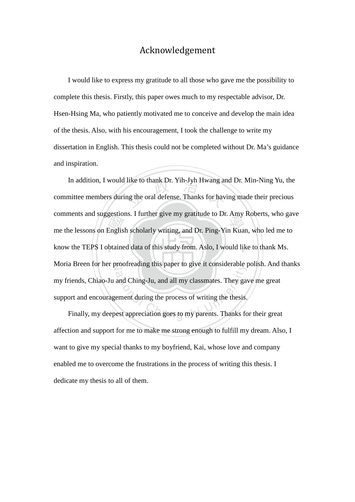## Acknowledgement

I would like to express my gratitude to all those who gave me the possibility to complete this thesis. Firstly, this paper owes much to my respectable advisor, Dr. Hsen-Hsing Ma, who patiently motivated me to conceive and develop the main idea of the thesis. Also, with his encouragement, I took the challenge to write my dissertation in English. This thesis could not be completed without Dr. Ma's guidance and inspiration.

gestion<br>Englis<br>btaine like to thank Dr. Yih-Jyh Hwang are<br>ng the oral defense. Thanks for have comments and suggestions. I further give my grantude to Dr. Ally Roberts, who gave<br>me the lessons on English scholarly writing, and Dr. Ping-Yin Kuan, who led me to know the TEPS I obtained data of this study from. Aslo, I would like to thank Ms. N Moria Breen for her proofreading this paper to give it considerable polish. And thanks and Ching-Ju, and all my classmates. They gave ment during the process of writing the thesis.<br>Lest appreciation goes to my parents. Thanks for In addition, I would like to thank Dr. Yih-Jyh Hwang and Dr. Min-Ning Yu, the committee members during the oral defense. Thanks for having made their precious comments and suggestions. I further give my gratitude to Dr. Amy Roberts, who gave my friends, Chiao-Ju and Ching-Ju, and all my classmates. They gave me great support and encouragement during the process of writing the thesis.

Finally, my deepest appreciation goes to my parents. Thanks for their great affection and support for me to make me strong enough to fulfill my dream. Also, I want to give my special thanks to my boyfriend, Kai, whose love and company enabled me to overcome the frustrations in the process of writing this thesis. I dedicate my thesis to all of them.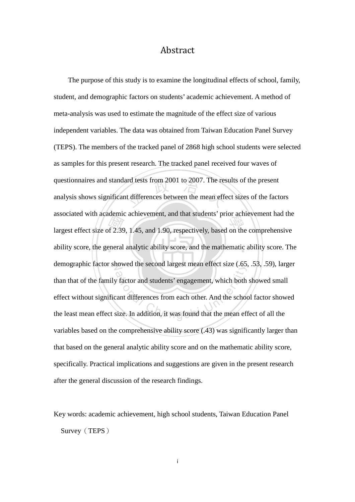## Abstract

rectified<br>of 2.39<br>eneral ard tests from 2001 to 2007. The res<br>t differences between the mean effe associated with academic achievement, and that students prior achievement had the<br>largest effect size of 2.39, 1.45, and 1.90, respectively, based on the comprehensive ability score, the general analytic ability score, and the mathematic ability score. The demographic factor showed the second largest mean effect size (.65, .53, .59), larger ation and students' engagement, which both<br>cant differences from each other. And the schoolsize. In addition, it was found that the mean eff The purpose of this study is to examine the longitudinal effects of school, family, student, and demographic factors on students' academic achievement. A method of meta-analysis was used to estimate the magnitude of the effect size of various independent variables. The data was obtained from Taiwan Education Panel Survey (TEPS). The members of the tracked panel of 2868 high school students were selected as samples for this present research. The tracked panel received four waves of questionnaires and standard tests from 2001 to 2007. The results of the present analysis shows significant differences between the mean effect sizes of the factors associated with academic achievement, and that students' prior achievement had the than that of the family factor and students' engagement, which both showed small effect without significant differences from each other. And the school factor showed the least mean effect size. In addition, it was found that the mean effect of all the variables based on the comprehensive ability score (.43) was significantly larger than that based on the general analytic ability score and on the mathematic ability score, specifically. Practical implications and suggestions are given in the present research after the general discussion of the research findings.

Key words: academic achievement, high school students, Taiwan Education Panel Survey (TEPS)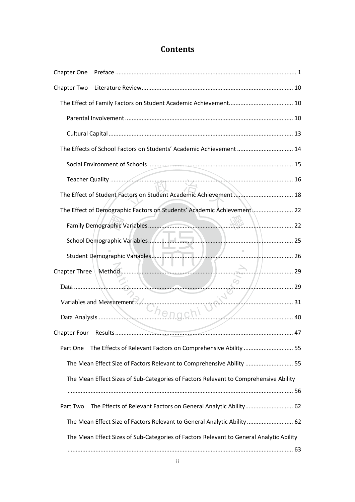## **Contents**

| The Effects of School Factors on Students' Academic Achievement  14                                                                                                                                                                  |              |
|--------------------------------------------------------------------------------------------------------------------------------------------------------------------------------------------------------------------------------------|--------------|
|                                                                                                                                                                                                                                      |              |
|                                                                                                                                                                                                                                      |              |
| The Effect of Student Factors on Student Academic Achievement  18                                                                                                                                                                    |              |
| The Effect of Demographic Factors on Students' Academic Achievement 22                                                                                                                                                               |              |
|                                                                                                                                                                                                                                      |              |
|                                                                                                                                                                                                                                      |              |
|                                                                                                                                                                                                                                      |              |
|                                                                                                                                                                                                                                      | $\geq$ 1. 29 |
| <u> La communicación de la communicación de la communicación de la communicación de la communicación de la communicación de la communicación de la communicación de la communicación de la communicación de la communicación de </u> |              |
| Variables and Measurement?                                                                                                                                                                                                           |              |
| Chengch!<br>$\frac{1}{2}$ 40                                                                                                                                                                                                         |              |
|                                                                                                                                                                                                                                      | . 47         |
| The Effects of Relevant Factors on Comprehensive Ability  55<br>Part One                                                                                                                                                             |              |
| The Mean Effect Size of Factors Relevant to Comprehensive Ability  55                                                                                                                                                                |              |
| The Mean Effect Sizes of Sub-Categories of Factors Relevant to Comprehensive Ability                                                                                                                                                 |              |
|                                                                                                                                                                                                                                      |              |
| The Effects of Relevant Factors on General Analytic Ability 62<br>Part Two                                                                                                                                                           |              |
| The Mean Effect Size of Factors Relevant to General Analytic Ability  62                                                                                                                                                             |              |
| The Mean Effect Sizes of Sub-Categories of Factors Relevant to General Analytic Ability                                                                                                                                              |              |
|                                                                                                                                                                                                                                      |              |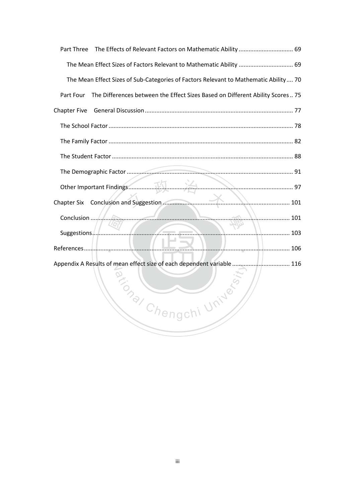| The Effects of Relevant Factors on Mathematic Ability  69<br>Part Three                                                             |  |
|-------------------------------------------------------------------------------------------------------------------------------------|--|
| The Mean Effect Sizes of Factors Relevant to Mathematic Ability  69                                                                 |  |
| The Mean Effect Sizes of Sub-Categories of Factors Relevant to Mathematic Ability 70                                                |  |
| The Differences between the Effect Sizes Based on Different Ability Scores 75<br>Part Four                                          |  |
| <b>Chapter Five</b>                                                                                                                 |  |
|                                                                                                                                     |  |
|                                                                                                                                     |  |
|                                                                                                                                     |  |
|                                                                                                                                     |  |
| Other Important Findings                                                                                                            |  |
|                                                                                                                                     |  |
|                                                                                                                                     |  |
| <u> El propio de la propio de la propio de la propio de la propio de la propio de la propio de la propio de la p</u><br>Suggestions |  |
|                                                                                                                                     |  |
| Appendix A Results of mean effect size of each dependent variable  116                                                              |  |
|                                                                                                                                     |  |
|                                                                                                                                     |  |
| itional Che<br>II Univer                                                                                                            |  |
|                                                                                                                                     |  |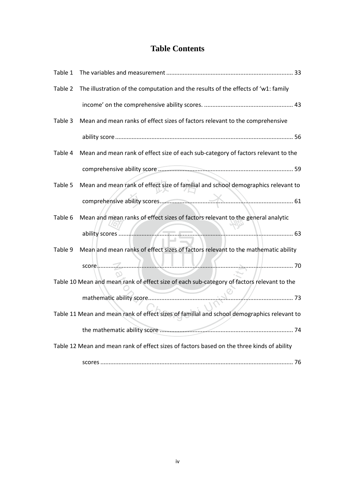## **Table Contents**

| Table 1                                                                                    |                                                                                             |  |
|--------------------------------------------------------------------------------------------|---------------------------------------------------------------------------------------------|--|
| Table 2                                                                                    | The illustration of the computation and the results of the effects of 'w1: family           |  |
|                                                                                            |                                                                                             |  |
| Table 3                                                                                    | Mean and mean ranks of effect sizes of factors relevant to the comprehensive                |  |
|                                                                                            |                                                                                             |  |
| Table 4                                                                                    | Mean and mean rank of effect size of each sub-category of factors relevant to the           |  |
|                                                                                            |                                                                                             |  |
| Table 5                                                                                    | Mean and mean rank of effect size of familial and school demographics relevant to           |  |
|                                                                                            |                                                                                             |  |
| Table 6                                                                                    | Mean and mean ranks of effect sizes of factors relevant to the general analytic             |  |
|                                                                                            |                                                                                             |  |
| Table 9                                                                                    | Mean and mean ranks of effect sizes of factors relevant to the mathematic ability           |  |
|                                                                                            |                                                                                             |  |
|                                                                                            | Table 10 Mean and mean rank of effect size of each sub-category of factors relevant to the  |  |
|                                                                                            |                                                                                             |  |
|                                                                                            | Table 11 Mean and mean rank of effect sizes of familial and school demographics relevant to |  |
|                                                                                            |                                                                                             |  |
| Table 12 Mean and mean rank of effect sizes of factors based on the three kinds of ability |                                                                                             |  |
|                                                                                            |                                                                                             |  |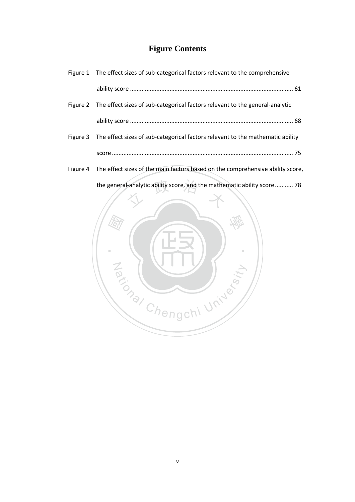## **Figure Contents**

| Figure 1 The effect sizes of sub-categorical factors relevant to the comprehensive      |
|-----------------------------------------------------------------------------------------|
|                                                                                         |
| Figure 2 The effect sizes of sub-categorical factors relevant to the general-analytic   |
|                                                                                         |
| Figure 3 The effect sizes of sub-categorical factors relevant to the mathematic ability |
|                                                                                         |
|                                                                                         |

Figure 4 The effect sizes of the main factors based on the comprehensive ability score,

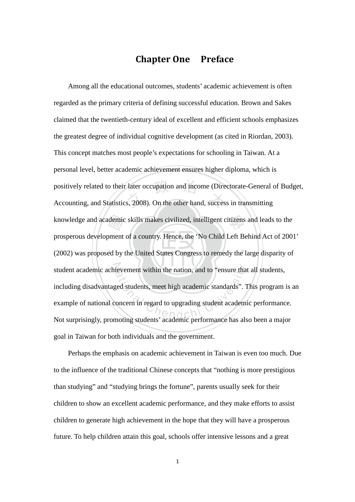## Chapter One Preface

(2002) was proposed by the United States Congress to remedy the large disparity of demic<br>oment<br>ed by positively related to their later occupation and income (Directorate-General of<br>Accounting, and Statistics, 2008). On the other hand, success in transmitting knowledge and academic skills makes civilized, intelligent citizens and leads to the student academic achievement within the nation, and to "ensure that all students, ievement within the nation, and to "ensure that<br>ged students, meet high academic standards". Toncern in regard to upgrading student academic<br>moting students' academic performance has also Among all the educational outcomes, students' academic achievement is often regarded as the primary criteria of defining successful education. Brown and Sakes claimed that the twentieth-century ideal of excellent and efficient schools emphasizes the greatest degree of individual cognitive development (as cited in Riordan, 2003). This concept matches most people's expectations for schooling in Taiwan. At a personal level, better academic achievement ensures higher diploma, which is positively related to their later occupation and income (Directorate-General of Budget, prosperous development of a country. Hence, the 'No Child Left Behind Act of 2001' including disadvantaged students, meet high academic standards". This program is an example of national concern in regard to upgrading student academic performance. Not surprisingly, promoting students' academic performance has also been a major goal in Taiwan for both individuals and the government.

Perhaps the emphasis on academic achievement in Taiwan is even too much. Due to the influence of the traditional Chinese concepts that "nothing is more prestigious than studying" and "studying brings the fortune", parents usually seek for their children to show an excellent academic performance, and they make efforts to assist children to generate high achievement in the hope that they will have a prosperous future. To help children attain this goal, schools offer intensive lessons and a great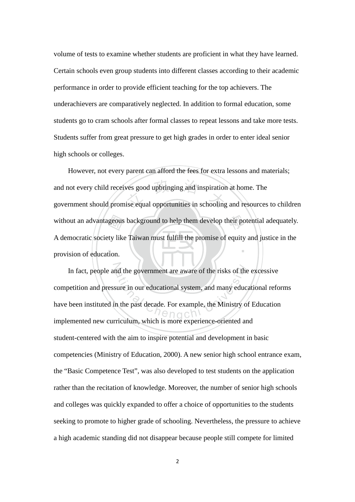volume of tests to examine whether students are proficient in what they have learned. Certain schools even group students into different classes according to their academic performance in order to provide efficient teaching for the top achievers. The underachievers are comparatively neglected. In addition to formal education, some students go to cram schools after formal classes to repeat lessons and take more tests. Students suffer from great pressure to get high grades in order to enter ideal senior high schools or colleges.

provision of education. without an advantageous background to help them develop their potential adequately.<br>A democratic society like Taiwan must fulfill the promise of equity and justice in the provision of education. ves good upbringing and inspiration<br>ise equal opportunities in schooling ‧ However, not every parent can afford the fees for extra lessons and materials; and not every child receives good upbringing and inspiration at home. The government should promise equal opportunities in schooling and resources to children A democratic society like Taiwan must fulfill the promise of equity and justice in the

In fact, people and the government are aware of the risks of the excessive at the government are aware of the risks of the<br>sure in our educational system, and many educ<br>n the past decade. For example, the Ministry of competition and pressure in our educational system, and many educational reforms have been instituted in the past decade. For example, the Ministry of Education implemented new curriculum, which is more experience-oriented and student-centered with the aim to inspire potential and development in basic competencies (Ministry of Education, 2000). A new senior high school entrance exam, the "Basic Competence Test", was also developed to test students on the application rather than the recitation of knowledge. Moreover, the number of senior high schools and colleges was quickly expanded to offer a choice of opportunities to the students seeking to promote to higher grade of schooling. Nevertheless, the pressure to achieve a high academic standing did not disappear because people still compete for limited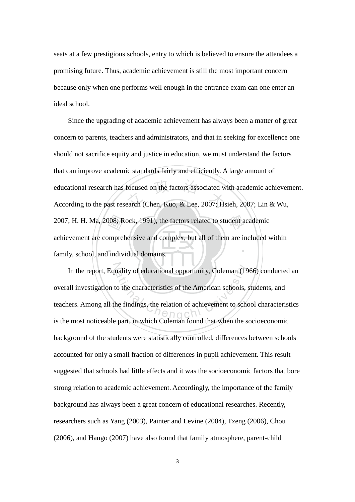seats at a few prestigious schools, entry to which is believed to ensure the attendees a promising future. Thus, academic achievement is still the most important concern because only when one performs well enough in the entrance exam can one enter an ideal school.

family, school, and individual domains. 2007; H. H. Ma, 2008; Rock, 1991), the factors related to student academic<br>achievement are comprehensive and complex, but all of them are included v<br>family, school, and individual domains. focused on the factors associated w<br>earch (Chen, Kuo, & Lee, 2007; Hs ‧ Since the upgrading of academic achievement has always been a matter of great concern to parents, teachers and administrators, and that in seeking for excellence one should not sacrifice equity and justice in education, we must understand the factors that can improve academic standards fairly and efficiently. A large amount of educational research has focused on the factors associated with academic achievement. According to the past research (Chen, Kuo, & Lee, 2007; Hsieh, 2007; Lin & Wu, achievement are comprehensive and complex, but all of them are included within

In the report, Equality of educational opportunity, Coleman (1966) conducted an uality of educational opportunity, Coleman (19<br>to the characteristics of the American schools,<br>the findings, the relation of achievement to schools overall investigation to the characteristics of the American schools, students, and teachers. Among all the findings, the relation of achievement to school characteristics is the most noticeable part, in which Coleman found that when the socioeconomic background of the students were statistically controlled, differences between schools accounted for only a small fraction of differences in pupil achievement. This result suggested that schools had little effects and it was the socioeconomic factors that bore strong relation to academic achievement. Accordingly, the importance of the family background has always been a great concern of educational researches. Recently, researchers such as Yang (2003), Painter and Levine (2004), Tzeng (2006), Chou (2006), and Hango (2007) have also found that family atmosphere, parent-child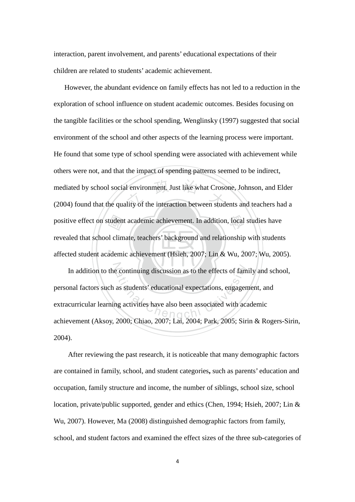interaction, parent involvement, and parents' educational expectations of their children are related to students' academic achievement.

tudent<br>I clim<br>ademi I environment. Just like what Crose<br>lity of the interaction between stude positive effect on student academic achievement. In addition, local studies have ‧ However, the abundant evidence on family effects has not led to a reduction in the exploration of school influence on student academic outcomes. Besides focusing on the tangible facilities or the school spending, Wenglinsky (1997) suggested that social environment of the school and other aspects of the learning process were important. He found that some type of school spending were associated with achievement while others were not, and that the impact of spending patterns seemed to be indirect, mediated by school social environment. Just like what Crosone, Johnson, and Elder (2004) found that the quality of the interaction between students and teachers had a revealed that school climate, teachers' background and relationship with students affected student academic achievement (Hsieh, 2007; Lin & Wu, 2007; Wu, 2005).

In addition to the continuing discussion as to the effects of family and school,<br>
unal factors such as students' educational expectations, engagement, and<br>
curricular learning activities have also been associated with acad personal factors such as students' educational expectations, engagement, and extracurricular learning activities have also been associated with academic achievement (Aksoy, 2000; Chiao, 2007; Lai, 2004; Park, 2005; Sirin & Rogers-Sirin, 2004).

After reviewing the past research, it is noticeable that many demographic factors are contained in family, school, and student categories**,** such as parents' education and occupation, family structure and income, the number of siblings, school size, school location, private/public supported, gender and ethics (Chen, 1994; Hsieh, 2007; Lin & Wu, 2007). However, Ma (2008) distinguished demographic factors from family, school, and student factors and examined the effect sizes of the three sub-categories of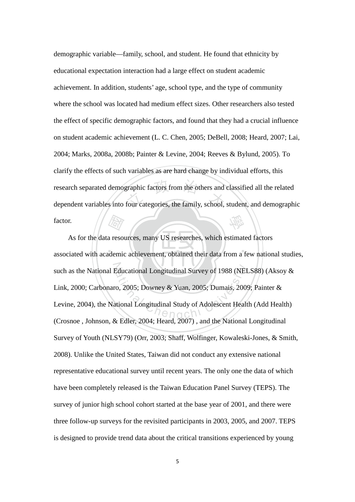graphic factors from the others and<br>four categories, the family, school, 學 demographic variable—family, school, and student. He found that ethnicity by educational expectation interaction had a large effect on student academic achievement. In addition, students' age, school type, and the type of community where the school was located had medium effect sizes. Other researchers also tested the effect of specific demographic factors, and found that they had a crucial influence on student academic achievement (L. C. Chen, 2005; DeBell, 2008; Heard, 2007; Lai, 2004; Marks, 2008a, 2008b; Painter & Levine, 2004; Reeves & Bylund, 2005). To clarify the effects of such variables as are hard change by individual efforts, this research separated demographic factors from the others and classified all the related dependent variables into four categories, the family, school, student, and demographic factor.

. . \\. ( <u>! '\_\_</u>\_\_\_', | , *\_/,* \_ . *Fair*<br>a resorted such as the National Educational Longitudinal Survey of 1988 (NELS88) (Aksoy & Educational Longitudinal Survey of 1988 (NEI<br>
co, 2005; Downey & Yuan, 2005; Dumais, 2009<br>
ttional Longitudinal Study of Adolescent Healt As for the data resources, many US researches, which estimated factors associated with academic achievement, obtained their data from a few national studies, Link, 2000; Carbonaro, 2005; Downey & Yuan, 2005; Dumais, 2009; Painter & Levine, 2004), the National Longitudinal Study of Adolescent Health (Add Health) (Crosnoe , Johnson, & Edler, 2004; Heard, 2007) , and the National Longitudinal Survey of Youth (NLSY79) (Orr, 2003; Shaff, Wolfinger, Kowaleski-Jones, & Smith, 2008). Unlike the United States, Taiwan did not conduct any extensive national representative educational survey until recent years. The only one the data of which have been completely released is the Taiwan Education Panel Survey (TEPS). The survey of junior high school cohort started at the base year of 2001, and there were three follow-up surveys for the revisited participants in 2003, 2005, and 2007. TEPS is designed to provide trend data about the critical transitions experienced by young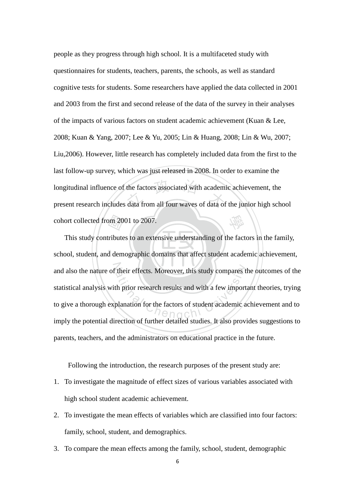the factors associated with academi<br>data from all four waves of data of 學 people as they progress through high school. It is a multifaceted study with questionnaires for students, teachers, parents, the schools, as well as standard cognitive tests for students. Some researchers have applied the data collected in 2001 and 2003 from the first and second release of the data of the survey in their analyses of the impacts of various factors on student academic achievement (Kuan & Lee, 2008; Kuan & Yang, 2007; Lee & Yu, 2005; Lin & Huang, 2008; Lin & Wu, 2007; Liu,2006). However, little research has completely included data from the first to the last follow-up survey, which was just released in 2008. In order to examine the longitudinal influence of the factors associated with academic achievement, the present research includes data from all four waves of data of the junior high school cohort collected from 2001 to 2007.

‧om 20<br>ribute<br>d dem ‧ and also the nature of their effects. Moreover, this study compares the outcomes of the their effects. Moreover, this study compares the<br>th prior research results and with a few imports<br>planation for the factors of student academic as This study contributes to an extensive understanding of the factors in the family, school, student, and demographic domains that affect student academic achievement, statistical analysis with prior research results and with a few important theories, trying to give a thorough explanation for the factors of student academic achievement and to imply the potential direction of further detailed studies. It also provides suggestions to parents, teachers, and the administrators on educational practice in the future.

Following the introduction, the research purposes of the present study are:

- 1. To investigate the magnitude of effect sizes of various variables associated with high school student academic achievement.
- 2. To investigate the mean effects of variables which are classified into four factors: family, school, student, and demographics.
- 3. To compare the mean effects among the family, school, student, demographic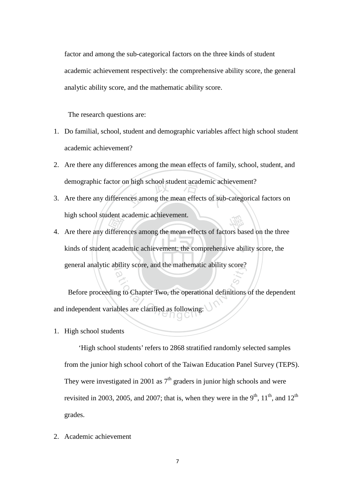factor and among the sub-categorical factors on the three kinds of student academic achievement respectively: the comprehensive ability score, the general analytic ability score, and the mathematic ability score.

The research questions are:

- 1. Do familial, school, student and demographic variables affect high school student academic achievement?
- 2. Are there any differences among the mean effects of family, school, student, and demographic factor on high school student academic achievement?
- n high school student academic ach<br>nces among the mean effects of sub 3. Are there any differences among the mean effects of sub-categorical factors on high school student academic achievement.
- kinds of student academic achievement: the comprehensive ability score, the high school student academic achievement.<br>
4. Are there any differences among the mean effects of factors based on the three<br>
kinds of student academic achievement: the comprehensive ability score, the general analytic ability score, and the mathematic ability score?

buity score, and the mathematic ability score?<br>
and the mathematic ability score?<br>
and the operational definitions<br>
ables are clarified as following: Before proceeding to Chapter Two, the operational definitions of the dependent and independent variables are clarified as following:

1. High school students

'High school students' refers to 2868 stratified randomly selected samples from the junior high school cohort of the Taiwan Education Panel Survey (TEPS). They were investigated in 2001 as  $7<sup>th</sup>$  graders in junior high schools and were revisited in 2003, 2005, and 2007; that is, when they were in the 9<sup>th</sup>, 11<sup>th</sup>, and 12<sup>th</sup> grades.

2. Academic achievement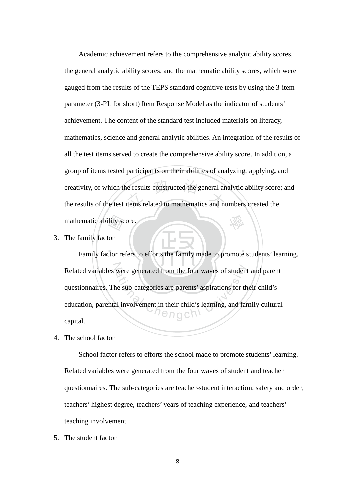lity sc<br>or<br>ctor re ne results constructed the general and<br>items related to mathematics and nu 學 Academic achievement refers to the comprehensive analytic ability scores, the general analytic ability scores, and the mathematic ability scores, which were gauged from the results of the TEPS standard cognitive tests by using the 3-item parameter (3-PL for short) Item Response Model as the indicator of students' achievement. The content of the standard test included materials on literacy, mathematics, science and general analytic abilities. An integration of the results of all the test items served to create the comprehensive ability score. In addition, a group of items tested participants on their abilities of analyzing, applying**,** and creativity, of which the results constructed the general analytic ability score; and the results of the test items related to mathematics and numbers created the mathematic ability score.

3. The family factor

‧ N Related variables were generated from the four waves of student and parent were generated from the four waves of student<br>ne sub-categories are parents' aspirations for the<br>all involvement in their child's learning, and far<br> $\bigcap_{i=1}^n a_i$  of  $\bigcap_{i=1}^n a_i$  of  $\bigcap_{i=1}^n a_i$  of  $\bigcap_{i=1}^n a_i$  of Family factor refers to efforts the family made to promote students' learning. questionnaires. The sub-categories are parents' aspirations for their child's education, parental involvement in their child's learning, and family cultural capital.

4. The school factor

 School factor refers to efforts the school made to promote students' learning. Related variables were generated from the four waves of student and teacher questionnaires. The sub-categories are teacher-student interaction, safety and order, teachers' highest degree, teachers' years of teaching experience, and teachers' teaching involvement.

5. The student factor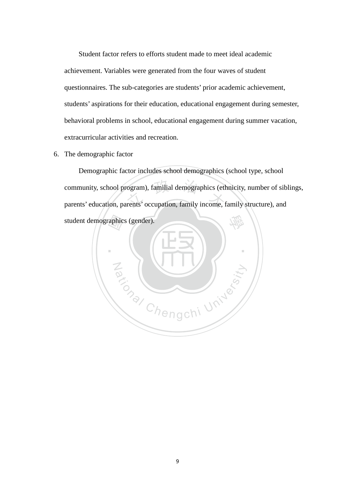Student factor refers to efforts student made to meet ideal academic achievement. Variables were generated from the four waves of student questionnaires. The sub-categories are students' prior academic achievement, students' aspirations for their education, educational engagement during semester, behavioral problems in school, educational engagement during summer vacation, extracurricular activities and recreation.

6. The demographic factor

community, school program), familial demographics (ethnicity, number of sib-<br>parents' education, parents' occupation, family income, family structure), and 學 Demographic factor includes school demographics (school type, school community, school program), familial demographics (ethnicity, number of siblings,

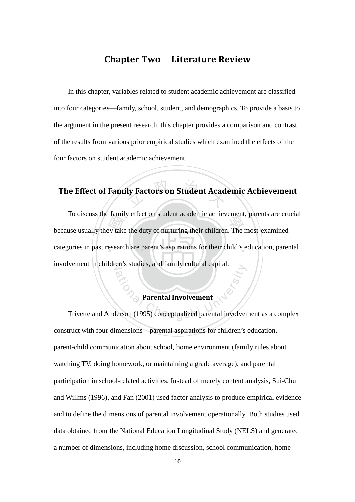## Chapter Two Literature Review

In this chapter, variables related to student academic achievement are classified into four categories—family, school, student, and demographics. To provide a basis to the argument in the present research, this chapter provides a comparison and contrast of the results from various prior empirical studies which examined the effects of the four factors on student academic achievement.

## ly Factors on Student Acad The Effect of Family Factors on Student Academic Achievement

Example<br>by take<br>esearc It is a because usually they take the duty of nurturing their children. The most-examined categories in past research are parent's aspirations for their child's education, parental involvement in children's studies, and family cultural capital. To discuss the family effect on student academic achievement, parents are crucial

#### Parental Involvement

en s studies, and rannity cultural capital.<br>
<br>
Parental Involvement<br>
lerson (1995) conceptualized parental involver Trivette and Anderson (1995) conceptualized parental involvement as a complex construct with four dimensions—parental aspirations for children's education, parent-child communication about school, home environment (family rules about watching TV, doing homework, or maintaining a grade average), and parental participation in school-related activities. Instead of merely content analysis, Sui-Chu and Willms (1996), and Fan (2001) used factor analysis to produce empirical evidence and to define the dimensions of parental involvement operationally. Both studies used data obtained from the National Education Longitudinal Study (NELS) and generated a number of dimensions, including home discussion, school communication, home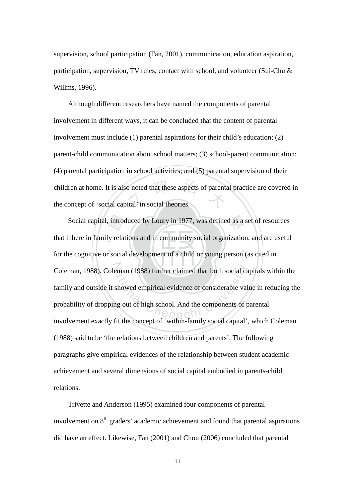supervision, school participation (Fan, 2001), communication, education aspiration, participation, supervision, TV rules, contact with school, and volunteer (Sui-Chu & Willms, 1996).

o noted that these aspects of parents<br>bital' in social theories. Although different researchers have named the components of parental involvement in different ways, it can be concluded that the content of parental involvement must include (1) parental aspirations for their child's education; (2) parent-child communication about school matters; (3) school-parent communication; (4) parental participation in school activities; and (5) parental supervision of their children at home. It is also noted that these aspects of parental practice are covered in the concept of 'social capital' in social theories.

intro<br>y rela<br>cocia Social capital, introduced by Loury in 1977, was defined as a set of resources ‧ Coleman, 1988). Coleman (1988) further claimed that both social capitals within the<br>family and outside it showed empirical evidence of considerable value in reducing the<br>probability of dropping out of high school. And the that inhere in family relations and in community social organization, and are useful for the cognitive or social development of a child or young person (as cited in family and outside it showed empirical evidence of considerable value in reducing the probability of dropping out of high school. And the components of parental involvement exactly fit the concept of 'within-family social capital', which Coleman (1988) said to be 'the relations between children and parents'. The following paragraphs give empirical evidences of the relationship between student academic achievement and several dimensions of social capital embodied in parents-child relations.

Trivette and Anderson (1995) examined four components of parental involvement on  $8<sup>th</sup>$  graders' academic achievement and found that parental aspirations did have an effect. Likewise, Fan (2001) and Chou (2006) concluded that parental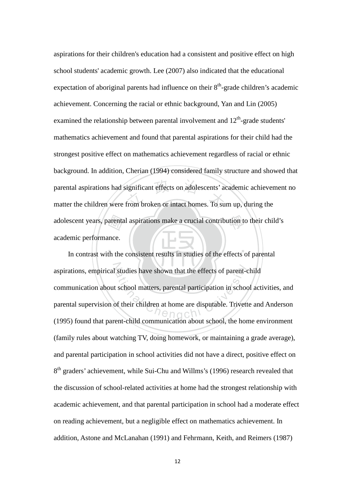adolescent years, parental aspirations make a crucial contribution to their child's<br>academic performance.<br>In contrast with the consistent results in studies of the effects of parental parental aspirations had significant effects on adolescents' academic achieven<br>matter the children were from broken or intact homes. To sum up, during the aspirations for their children's education had a consistent and positive effect on high school students' academic growth. Lee (2007) also indicated that the educational expectation of aboriginal parents had influence on their  $8<sup>th</sup>$ -grade children's academic achievement. Concerning the racial or ethnic background, Yan and Lin (2005) examined the relationship between parental involvement and  $12<sup>th</sup>$ -grade students' mathematics achievement and found that parental aspirations for their child had the strongest positive effect on mathematics achievement regardless of racial or ethnic background. In addition, Cherian (1994) considered family structure and showed that parental aspirations had significant effects on adolescents' academic achievement no academic performance.

. \ <u>| - - | |</u> aspirations, empirical studies have shown that the effects of parent-child studies have shown that the effects of parent-<br>t school matters, parental participation in school<br>of their children at home are disputable. Trivett In contrast with the consistent results in studies of the effects of parental communication about school matters, parental participation in school activities, and parental supervision of their children at home are disputable. Trivette and Anderson (1995) found that parent-child communication about school, the home environment (family rules about watching TV, doing homework, or maintaining a grade average), and parental participation in school activities did not have a direct, positive effect on 8<sup>th</sup> graders' achievement, while Sui-Chu and Willms's (1996) research revealed that the discussion of school-related activities at home had the strongest relationship with academic achievement, and that parental participation in school had a moderate effect on reading achievement, but a negligible effect on mathematics achievement. In addition, Astone and McLanahan (1991) and Fehrmann, Keith, and Reimers (1987)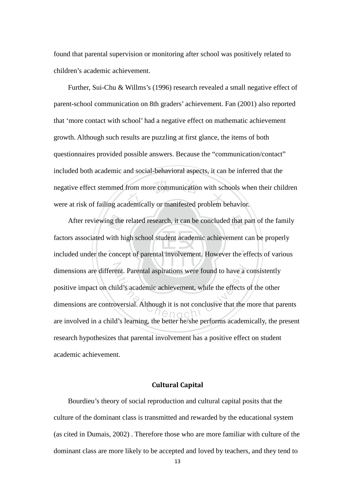found that parental supervision or monitoring after school was positively related to children's academic achievement.

negative effect stemmed from more communication with schools who<br>were at risk of failing academically or manifested problem behavior. Further, Sui-Chu & Willms's (1996) research revealed a small negative effect of parent-school communication on 8th graders' achievement. Fan (2001) also reported that 'more contact with school' had a negative effect on mathematic achievement growth. Although such results are puzzling at first glance, the items of both questionnaires provided possible answers. Because the "communication/contact" included both academic and social-behavioral aspects, it can be inferred that the negative effect stemmed from more communication with schools when their children

ng the<br>with h<br>conce After reviewing the related research, it can be concluded that part of the family ‧ dimensions are different. Parental aspirations were found to have a consistently<br>positive impact on child's academic achievement, while the effects of the other<br>dimensions are controversial. Although it is not conclusive t factors associated with high school student academic achievement can be properly included under the concept of parental involvement. However the effects of various positive impact on child's academic achievement, while the effects of the other dimensions are controversial. Although it is not conclusive that the more that parents are involved in a child's learning, the better he/she performs academically, the present research hypothesizes that parental involvement has a positive effect on student academic achievement.

### Cultural Capital

Bourdieu's theory of social reproduction and cultural capital posits that the culture of the dominant class is transmitted and rewarded by the educational system (as cited in Dumais, 2002) . Therefore those who are more familiar with culture of the dominant class are more likely to be accepted and loved by teachers, and they tend to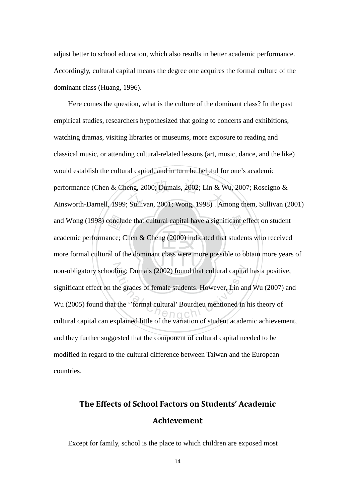adjust better to school education, which also results in better academic performance. Accordingly, cultural capital means the degree one acquires the formal culture of the dominant class (Huang, 1996).

conclu<br>nce; (<br>al of t performance (Chen & Cheng, 2000; Dumais, 2002; Lin & Wu, 2007; Roscigno &<br>Ainsworth-Darnell, 1999; Sullivan, 2001; Wong, 1998) . Among them, Sullivan (2001) and Wong (1998) conclude that cultural capital have a significant effect on student ‧ non-obligatory schooling; Dumais (2002) found that cultural capital has a positive,<br>significant effect on the grades of female students. However, Lin and Wu (2007) an<br>Wu (2005) found that the "formal cultural" Bourdieu men Here comes the question, what is the culture of the dominant class? In the past empirical studies, researchers hypothesized that going to concerts and exhibitions, watching dramas, visiting libraries or museums, more exposure to reading and classical music, or attending cultural-related lessons (art, music, dance, and the like) would establish the cultural capital, and in turn be helpful for one's academic performance (Chen & Cheng, 2000; Dumais, 2002; Lin & Wu, 2007; Roscigno & academic performance; Chen & Cheng (2000) indicated that students who received more formal cultural of the dominant class were more possible to obtain more years of significant effect on the grades of female students. However, Lin and Wu (2007) and Wu (2005) found that the ''formal cultural' Bourdieu mentioned in his theory of cultural capital can explained little of the variation of student academic achievement, and they further suggested that the component of cultural capital needed to be modified in regard to the cultural difference between Taiwan and the European countries.

## The Effects of School Factors on Students' Academic Achievement

Except for family, school is the place to which children are exposed most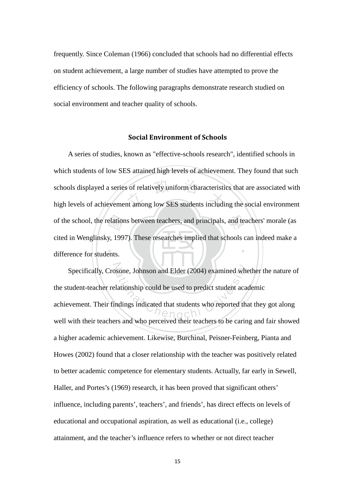frequently. Since Coleman (1966) concluded that schools had no differential effects on student achievement, a large number of studies have attempted to prove the efficiency of schools. The following paragraphs demonstrate research studied on social environment and teacher quality of schools.

#### Social Environment of Schools

difference for students. of the school, the relations between teachers, and principals, and teachers' morale (as cited in Wenglinsky, 1997). These researches implied that schools can indeed make a difference for students. s of relatively uniform characteristic<br>nt among low SES students includi ‧ A series of studies, known as "effective-schools research", identified schools in which students of low SES attained high levels of achievement. They found that such schools displayed a series of relatively uniform characteristics that are associated with high levels of achievement among low SES students including the social environment cited in Wenglinsky, 1997). These researches implied that schools can indeed make a

Specifically, Crosone, Johnson and Elder (2004) examined whether the nature of<br>tudent-teacher relationship could be used to predict student academic<br>wement. Their findings indicated that students who reported that they got the student-teacher relationship could be used to predict student academic achievement. Their findings indicated that students who reported that they got along well with their teachers and who perceived their teachers to be caring and fair showed a higher academic achievement. Likewise, Burchinal, Peisner-Feinberg, Pianta and Howes (2002) found that a closer relationship with the teacher was positively related to better academic competence for elementary students. Actually, far early in Sewell, Haller, and Portes's (1969) research, it has been proved that significant others' influence, including parents', teachers', and friends', has direct effects on levels of educational and occupational aspiration, as well as educational (i.e., college) attainment, and the teacher's influence refers to whether or not direct teacher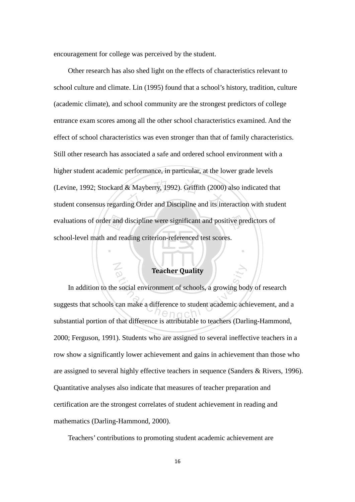encouragement for college was perceived by the student.

N

evaluations of order and discipline were significant and positive predictors of school-level math and reading criterion-referenced test scores. & Mayberry, 1992). Griffith (2000)<br>ing Order and Discipline and its int Other research has also shed light on the effects of characteristics relevant to school culture and climate. Lin (1995) found that a school's history, tradition, culture (academic climate), and school community are the strongest predictors of college entrance exam scores among all the other school characteristics examined. And the effect of school characteristics was even stronger than that of family characteristics. Still other research has associated a safe and ordered school environment with a higher student academic performance, in particular, at the lower grade levels (Levine, 1992; Stockard & Mayberry, 1992). Griffith (2000) also indicated that student consensus regarding Order and Discipline and its interaction with student school-level math and reading criterion-referenced test scores.

## Teacher Quality

‧

Teacher Quality<br>
e social environment of schools, a growing boot<br>
can make a difference to student academic ach<br>
the difference is stributable to teachers (Derl In addition to the social environment of schools, a growing body of research suggests that schools can make a difference to student academic achievement, and a substantial portion of that difference is attributable to teachers (Darling-Hammond, 2000; Ferguson, 1991). Students who are assigned to several ineffective teachers in a row show a significantly lower achievement and gains in achievement than those who are assigned to several highly effective teachers in sequence (Sanders & Rivers, 1996). Quantitative analyses also indicate that measures of teacher preparation and certification are the strongest correlates of student achievement in reading and mathematics (Darling-Hammond, 2000).

Teachers' contributions to promoting student academic achievement are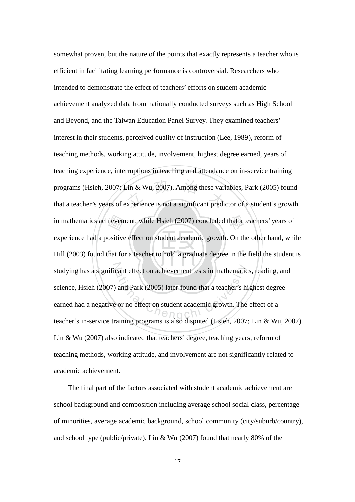‧‧ in mathematics achievement, while Hsieh (2007) concluded that a teachers' years of experience had a positive effect on student academic growth. On the other hand, whi<br>Hill (2003) found that for a teacher to hold a graduate  $\sin \& \text{ Wu}, 2007$ ). Among these vari<br>xperience is not a significant prediction studying has a significant effect on achievement tests in mathematics, reading, and cant effect on achievement tests in mathematic<br>and Park (2005) later found that a teacher's historic or<br>or no effect on student academic growth. The somewhat proven, but the nature of the points that exactly represents a teacher who is efficient in facilitating learning performance is controversial. Researchers who intended to demonstrate the effect of teachers' efforts on student academic achievement analyzed data from nationally conducted surveys such as High School and Beyond, and the Taiwan Education Panel Survey. They examined teachers' interest in their students, perceived quality of instruction (Lee, 1989), reform of teaching methods, working attitude, involvement, highest degree earned, years of teaching experience, interruptions in teaching and attendance on in-service training programs (Hsieh, 2007; Lin & Wu, 2007). Among these variables, Park (2005) found that a teacher's years of experience is not a significant predictor of a student's growth experience had a positive effect on student academic growth. On the other hand, while Hill (2003) found that for a teacher to hold a graduate degree in the field the student is science, Hsieh (2007) and Park (2005) later found that a teacher's highest degree earned had a negative or no effect on student academic growth. The effect of a teacher's in-service training programs is also disputed (Hsieh, 2007; Lin & Wu, 2007). Lin & Wu (2007) also indicated that teachers' degree, teaching years, reform of teaching methods, working attitude, and involvement are not significantly related to academic achievement.

The final part of the factors associated with student academic achievement are school background and composition including average school social class, percentage of minorities, average academic background, school community (city/suburb/country), and school type (public/private). Lin & Wu (2007) found that nearly 80% of the

17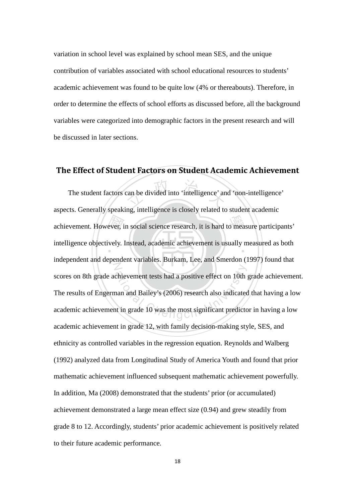variation in school level was explained by school mean SES, and the unique contribution of variables associated with school educational resources to students' academic achievement was found to be quite low (4% or thereabouts). Therefore, in order to determine the effects of school efforts as discussed before, all the background variables were categorized into demographic factors in the present research and will be discussed in later sections.

## The Effect of Student Factors on Student Academic Achievement

ever, i<br>vely. can be divided into 'intelligence' an achievement. However, in social science research, it is hard to measure participants' intelligence objectively. Instead, academic achievement is usually measured as both N chievement tests had a positive effect on 10th<br>nan and Bailey's (2006) research also indicated<br>nt in grade 10 was the most significant predicto The student factors can be divided into 'intelligence' and 'non-intelligence' aspects. Generally speaking, intelligence is closely related to student academic independent and dependent variables. Burkam, Lee, and Smerdon (1997) found that scores on 8th grade achievement tests had a positive effect on 10th grade achievement. The results of Engerman and Bailey's (2006) research also indicated that having a low academic achievement in grade 10 was the most significant predictor in having a low academic achievement in grade 12, with family decision-making style, SES, and ethnicity as controlled variables in the regression equation. Reynolds and Walberg (1992) analyzed data from Longitudinal Study of America Youth and found that prior mathematic achievement influenced subsequent mathematic achievement powerfully. In addition, Ma (2008) demonstrated that the students' prior (or accumulated) achievement demonstrated a large mean effect size (0.94) and grew steadily from grade 8 to 12. Accordingly, students' prior academic achievement is positively related to their future academic performance.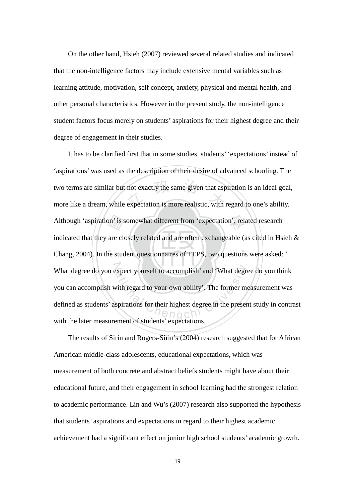On the other hand, Hsieh (2007) reviewed several related studies and indicated that the non-intelligence factors may include extensive mental variables such as learning attitude, motivation, self concept, anxiety, physical and mental health, and other personal characteristics. However in the present study, the non-intelligence student factors focus merely on students' aspirations for their highest degree and their degree of engagement in their studies.

on' is s<br>are cle<br>ne stud not exactly the same given that asp<br>expectation is more realistic, with Although 'aspiration' is somewhat different from 'expectation', related research ‧ N What degree do you expect yourself to accomplish' and 'What degree do you think Expect yourself to accomplish' and 'What degrees It has to be clarified first that in some studies, students' 'expectations' instead of 'aspirations' was used as the description of their desire of advanced schooling. The two terms are similar but not exactly the same given that aspiration is an ideal goal, more like a dream, while expectation is more realistic, with regard to one's ability. indicated that they are closely related and are often exchangeable (as cited in Hsieh  $\&$ Chang, 2004). In the student questionnaires of TEPS, two questions were asked: ' you can accomplish with regard to your own ability'. The former measurement was defined as students' aspirations for their highest degree in the present study in contrast with the later measurement of students' expectations.

The results of Sirin and Rogers-Sirin's (2004) research suggested that for African American middle-class adolescents, educational expectations, which was measurement of both concrete and abstract beliefs students might have about their educational future, and their engagement in school learning had the strongest relation to academic performance. Lin and Wu's (2007) research also supported the hypothesis that students' aspirations and expectations in regard to their highest academic achievement had a significant effect on junior high school students' academic growth.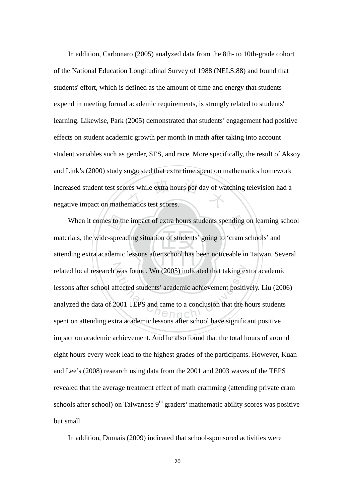res while extra hours per day of wa In addition, Carbonaro (2005) analyzed data from the 8th- to 10th-grade cohort of the National Education Longitudinal Survey of 1988 (NELS:88) and found that students' effort, which is defined as the amount of time and energy that students expend in meeting formal academic requirements, is strongly related to students' learning. Likewise, Park (2005) demonstrated that students' engagement had positive effects on student academic growth per month in math after taking into account student variables such as gender, SES, and race. More specifically, the result of Aksoy and Link's (2000) study suggested that extra time spent on mathematics homework increased student test scores while extra hours per day of watching television had a negative impact on mathematics test scores.

‧s to th<br>-sprea<br>demic When it comes to the impact of extra hours students spending on learning school  $\ddot{\phantom{a}}$ related local research was found. Wu (2005) indicated that taking extra academic was found. Wu (2005) indicated that taking exercises the test of the students' academic achievement positiversity and came to a conclusion that the h<br>tree seedomic lessons of the school have signified materials, the wide-spreading situation of students' going to 'cram schools' and attending extra academic lessons after school has been noticeable in Taiwan. Several lessons after school affected students' academic achievement positively. Liu (2006) analyzed the data of 2001 TEPS and came to a conclusion that the hours students spent on attending extra academic lessons after school have significant positive impact on academic achievement. And he also found that the total hours of around eight hours every week lead to the highest grades of the participants. However, Kuan and Lee's (2008) research using data from the 2001 and 2003 waves of the TEPS revealed that the average treatment effect of math cramming (attending private cram schools after school) on Taiwanese  $9<sup>th</sup>$  graders' mathematic ability scores was positive but small.

In addition, Dumais (2009) indicated that school-sponsored activities were

20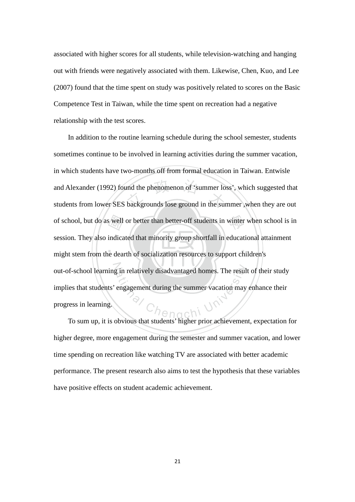associated with higher scores for all students, while television-watching and hanging out with friends were negatively associated with them. Likewise, Chen, Kuo, and Lee (2007) found that the time spent on study was positively related to scores on the Basic Competence Test in Taiwan, while the time spent on recreation had a negative relationship with the test scores.

s well<br>indica<br>le deal and Alexander (1992) found the phenomenon of 'summer loss', which suggested that<br>students from lower SES backgrounds lose ground in the summer ,when they are out of school, but do as well or better than better-off students in winter when school is in ‧ out-of-school learning in relatively disadvantaged homes. The result of their study g in relatively disadvantaged homes. The result<br>engagement during the summer vacation may In addition to the routine learning schedule during the school semester, students sometimes continue to be involved in learning activities during the summer vacation, in which students have two-months off from formal education in Taiwan. Entwisle and Alexander (1992) found the phenomenon of 'summer loss', which suggested that session*.* They also indicated that minority group shortfall in educational attainment might stem from the dearth of socialization resources to support children's implies that students' engagement during the summer vacation may enhance their progress in learning.

To sum up, it is obvious that students' higher prior achievement, expectation for higher degree, more engagement during the semester and summer vacation, and lower time spending on recreation like watching TV are associated with better academic performance. The present research also aims to test the hypothesis that these variables have positive effects on student academic achievement.

21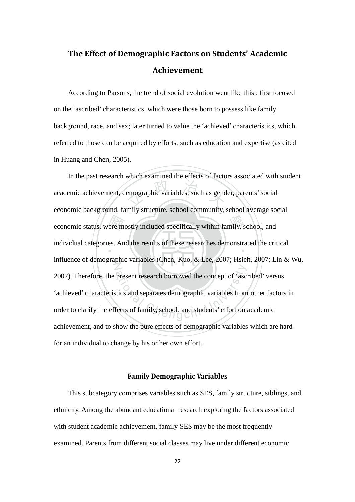## The Effect of Demographic Factors on Students' Academic Achievement

According to Parsons, the trend of social evolution went like this : first focused on the 'ascribed' characteristics, which were those born to possess like family background, race, and sex; later turned to value the 'achieved' characteristics, which referred to those can be acquired by efforts, such as education and expertise (as cited in Huang and Chen, 2005).

economic status, were mostly included specifically within family, school, and<br>individual categories. And the results of these researches demonstrated the criterial emographic variables, such as gend individual categories. And the results of these researches demonstrated the critical Z present research borrowed the concept of 'ascidions' and separates demographic variables from In the past research which examined the effects of factors associated with student academic achievement, demographic variables, such as gender, parents' social economic background, family structure, school community, school average social influence of demographic variables (Chen, Kuo, & Lee, 2007; Hsieh, 2007; Lin & Wu, 2007). Therefore, the present research borrowed the concept of 'ascribed' versus 'achieved' characteristics and separates demographic variables from other factors in order to clarify the effects of family, school, and students' effort on academic achievement, and to show the pure effects of demographic variables which are hard for an individual to change by his or her own effort.

#### Family Demographic Variables

 This subcategory comprises variables such as SES, family structure, siblings, and ethnicity. Among the abundant educational research exploring the factors associated with student academic achievement, family SES may be the most frequently examined. Parents from different social classes may live under different economic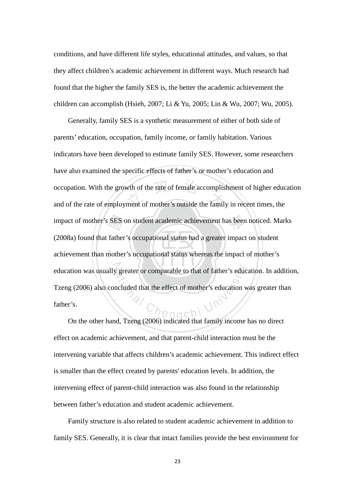conditions, and have different life styles, educational attitudes, and values, so that they affect children's academic achievement in different ways. Much research had found that the higher the family SES is, the better the academic achievement the children can accomplish (Hsieh, 2007; Li & Yu, 2005; Lin & Wu, 2007; Wu, 2005).

‧‧ impact of mother's SES on student academic achievement has been noticed. Marks<br>(2008a) found that father's occupational status had a greater impact on student<br>achievement than mother's occupational status whereas the impac wth of the rate of female accomplish<br>ment of mother's outside the family education was usually greater or comparable to that of father's education. In addition, greater or comparable to that of father's education<br>
ncluded that the effect of mother's education w Generally, family SES is a synthetic measurement of either of both side of parents' education, occupation, family income, or family habitation. Various indicators have been developed to estimate family SES. However, some researchers have also examined the specific effects of father's or mother's education and occupation. With the growth of the rate of female accomplishment of higher education and of the rate of employment of mother's outside the family in recent times, the (2008a) found that father's occupational status had a greater impact on student achievement than mother's occupational status whereas the impact of mother's Tzeng (2006) also concluded that the effect of mother's education was greater than father's.

 On the other hand, Tzeng (2006) indicated that family income has no direct effect on academic achievement, and that parent-child interaction must be the intervening variable that affects children's academic achievement. This indirect effect is smaller than the effect created by parents' education levels. In addition, the intervening effect of parent-child interaction was also found in the relationship between father's education and student academic achievement.

Family structure is also related to student academic achievement in addition to family SES. Generally, it is clear that intact families provide the best environment for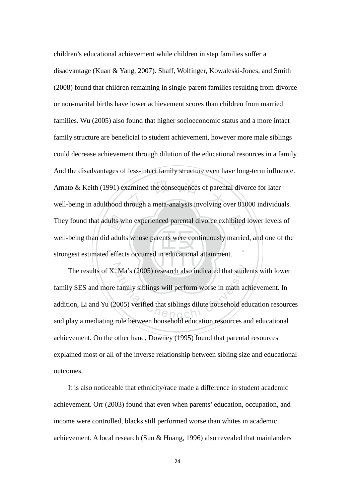strongest estimated effects occurred in educational attainment. They found that adults who experienced parental divorce exhibited lower levels of well-being than did adults whose parents were continuously married, and one of the strongest estimated effects occurred in educational attai xamined the consequences of parent<br>hrough a meta-analysis involving o ‧ children's educational achievement while children in step families suffer a disadvantage (Kuan & Yang, 2007). Shaff, Wolfinger, Kowaleski-Jones, and Smith (2008) found that children remaining in single-parent families resulting from divorce or non-marital births have lower achievement scores than children from married families. Wu (2005) also found that higher socioeconomic status and a more intact family structure are beneficial to student achievement, however more male siblings could decrease achievement through dilution of the educational resources in a family. And the disadvantages of less-intact family structure even have long-term influence. Amato & Keith (1991) examined the consequences of parental divorce for later well-being in adulthood through a meta-analysis involving over 81000 individuals. well-being than did adults whose parents were continuously married, and one of the

The results of X. Ma's (2005) research also indicated that students with lower Ma's (2005) research also indicated that stude<br>family siblings will perform worse in math ac<br>2005) verified that siblings dilute household ed family SES and more family siblings will perform worse in math achievement. In addition, Li and Yu (2005) verified that siblings dilute household education resources and play a mediating role between household education resources and educational achievement. On the other hand, Downey (1995) found that parental resources explained most or all of the inverse relationship between sibling size and educational outcomes.

It is also noticeable that ethnicity/race made a difference in student academic achievement. Orr (2003) found that even when parents' education, occupation, and income were controlled, blacks still performed worse than whites in academic achievement. A local research (Sun & Huang, 1996) also revealed that mainlanders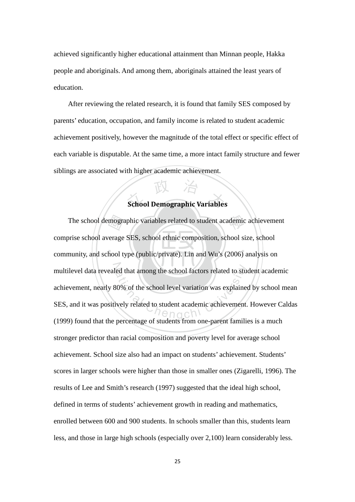achieved significantly higher educational attainment than Minnan people, Hakka people and aboriginals. And among them, aboriginals attained the least years of education.

 After reviewing the related research, it is found that family SES composed by parents' education, occupation, and family income is related to student academic achievement positively, however the magnitude of the total effect or specific effect of each variable is disputable. At the same time, a more intact family structure and fewer siblings are associated with higher academic achievement.

# <sup>立</sup> <sup>政</sup> <sup>治</sup> <sup>大</sup> School Demographic Variables

‧mogra<br>verage<br>hool t The school demographic variables related to student academic achievement ‧ multilevel data revealed that among the school factors related to student academic<br>achievement, nearly 80% of the school level variation was explained by school me<br>SES, and it was positively related to student academic ach comprise school average SES, school ethnic composition, school size, school community, and school type (public/private). Lin and Wu's (2006) analysis on achievement, nearly 80% of the school level variation was explained by school mean SES, and it was positively related to student academic achievement. However Caldas (1999) found that the percentage of students from one-parent families is a much stronger predictor than racial composition and poverty level for average school achievement. School size also had an impact on students' achievement. Students' scores in larger schools were higher than those in smaller ones (Zigarelli, 1996). The results of Lee and Smith's research (1997) suggested that the ideal high school, defined in terms of students' achievement growth in reading and mathematics, enrolled between 600 and 900 students. In schools smaller than this, students learn less, and those in large high schools (especially over 2,100) learn considerably less.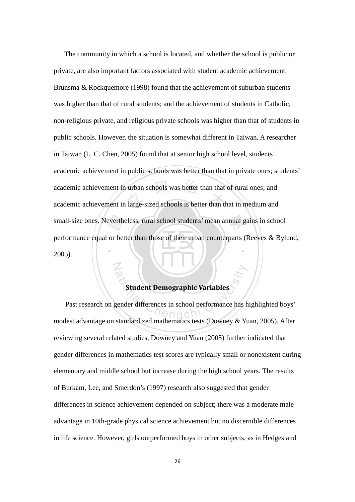small-size ones. Nevertheless, rural school students' mean annual gains in school<br>performance equal or better than those of their urban counterparts (Reeves & Bylu<br>2005). academic achievement in urban schools was better than that of rural ones; and<br>academic achievement in large-sized schools is better than that in medium and ‧ The community in which a school is located, and whether the school is public or private, are also important factors associated with student academic achievement. Brunsma & Rockquemore (1998) found that the achievement of suburban students was higher than that of rural students; and the achievement of students in Catholic, non-religious private, and religious private schools was higher than that of students in public schools. However, the situation is somewhat different in Taiwan. A researcher in Taiwan (L. C. Chen, 2005) found that at senior high school level, students' academic achievement in public schools was better than that in private ones; students' academic achievement in urban schools was better than that of rural ones; and performance equal or better than those of their urban counterparts (Reeves & Bylund, 2005).

## Student Demographic Variables

N

Student Demographic Variables Past research on gender differences in school performance has highlighted boys' modest advantage on standardized mathematics tests (Downey & Yuan, 2005). After reviewing several related studies, Downey and Yuan (2005) further indicated that gender differences in mathematics test scores are typically small or nonexistent during elementary and middle school but increase during the high school years. The results of Burkam, Lee, and Smerdon's (1997) research also suggested that gender differences in science achievement depended on subject; there was a moderate male advantage in 10th-grade physical science achievement but no discernible differences in life science. However, girls outperformed boys in other subjects, as in Hedges and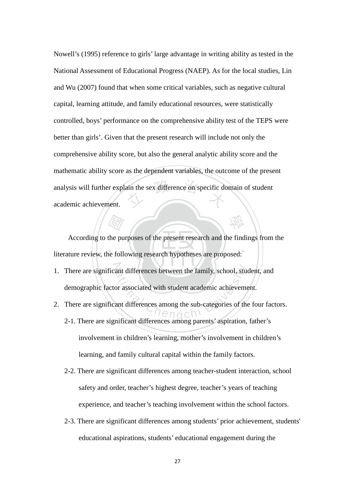ain the sex difference on specific do Nowell's (1995) reference to girls' large advantage in writing ability as tested in the National Assessment of Educational Progress (NAEP). As for the local studies, Lin and Wu (2007) found that when some critical variables, such as negative cultural capital, learning attitude, and family educational resources, were statistically controlled, boys' performance on the comprehensive ability test of the TEPS were better than girls'. Given that the present research will include not only the comprehensive ability score, but also the general analytic ability score and the mathematic ability score as the dependent variables, the outcome of the present analysis will further explain the sex difference on specific domain of student academic achievement.

(Fight)<br>the pu<br>ne foll ‧ According to the purposes of the present research and the findings from the literature review, the following research hypotheses are proposed:

學

- 1. There are significant differences between the family, school, student, and ant differences between the family, school, student<br>or associated with student academic achievement<br>ant differences among the sub-categories of the<br>prificant differences among personts' expiration demographic factor associated with student academic achievement.
- 2. There are significant differences among the sub-categories of the four factors. 2-1. There are significant differences among parents' aspiration, father's involvement in children's learning, mother's involvement in children's learning, and family cultural capital within the family factors.
	- 2-2. There are significant differences among teacher-student interaction, school safety and order, teacher's highest degree, teacher's years of teaching experience, and teacher's teaching involvement within the school factors.
	- 2-3. There are significant differences among students' prior achievement, students' educational aspirations, students' educational engagement during the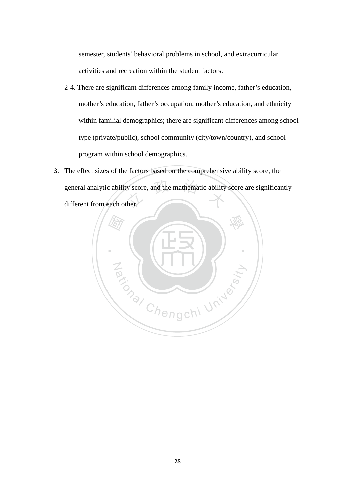semester, students' behavioral problems in school, and extracurricular activities and recreation within the student factors.

- 2-4. There are significant differences among family income, father's education, mother's education, father's occupation, mother's education, and ethnicity within familial demographics; there are significant differences among school type (private/public), school community (city/town/country), and school program within school demographics.
- $\frac{1}{2}$  y score, and the mathematic ability then. 3. The effect sizes of the factors based on the comprehensive ability score, the general analytic ability score, and the mathematic ability score are significantly different from each other.

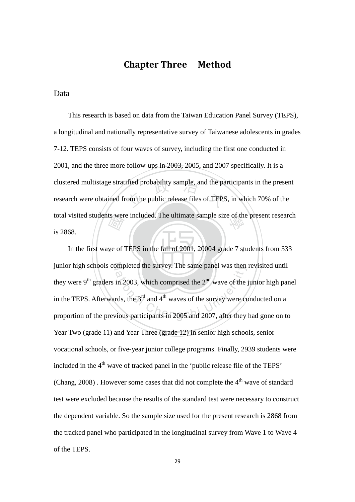## Chapter Three Method

### Data

ts wer<br>*light* ified probability sample, and the pa<br>
om the public release files of TEPS total visited students were included. The ultimate sample size of the present research<br> $\cdot$  2060 This research is based on data from the Taiwan Education Panel Survey (TEPS), a longitudinal and nationally representative survey of Taiwanese adolescents in grades 7-12. TEPS consists of four waves of survey, including the first one conducted in 2001, and the three more follow-ups in 2003, 2005, and 2007 specifically. It is a clustered multistage stratified probability sample, and the participants in the present research were obtained from the public release files of TEPS, in which 70% of the is 2868.

‧In the first wave of TEPS in the fall of 2001, 20004 grade 7 students from 333 junior high schools completed the survey. The same panel was then revisited until mpleted the survey. The same panel was then<br>in 2003, which comprised the  $2<sup>nd</sup>$  wave of the rds, the  $3<sup>rd</sup>$  and  $4<sup>th</sup>$  waves of the survey were co<br>vious participants in 2005 and 2007, after they they were 9<sup>th</sup> graders in 2003, which comprised the  $2<sup>nd</sup>$  wave of the junior high panel in the TEPS. Afterwards, the  $3<sup>rd</sup>$  and  $4<sup>th</sup>$  waves of the survey were conducted on a proportion of the previous participants in 2005 and 2007, after they had gone on to Year Two (grade 11) and Year Three (grade 12) in senior high schools, senior vocational schools, or five-year junior college programs. Finally, 2939 students were included in the 4<sup>th</sup> wave of tracked panel in the 'public release file of the TEPS' (Chang,  $2008$ ). However some cases that did not complete the  $4<sup>th</sup>$  wave of standard test were excluded because the results of the standard test were necessary to construct the dependent variable. So the sample size used for the present research is 2868 from the tracked panel who participated in the longitudinal survey from Wave 1 to Wave 4 of the TEPS.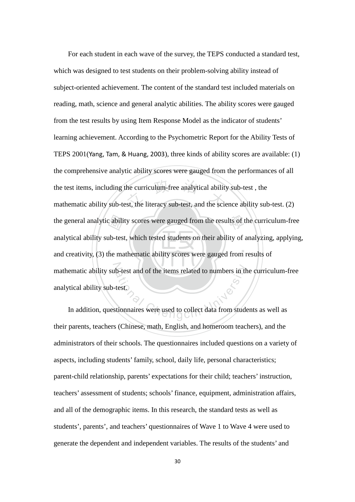$\mathcal{N}$  .  $\mathcal{N}$  .  $\mathcal{N}$  ,  $\mathcal{N}$  ,  $\mathcal{N}$ the general analytic ability scores were gauged from the results of the curriculum-free<br>analytical ability sub-test, which tested students on their ability of analyzing, applying<br>and creativity, (3) the mathematic ability the curriculum-free analytical ability<br>st, the literacy sub-test, and the scie mathematic ability sub-test and of the items related to numbers in the curriculum-free b-test and of the items related to numbers in the<br>test. For each student in each wave of the survey, the TEPS conducted a standard test, which was designed to test students on their problem-solving ability instead of subject-oriented achievement. The content of the standard test included materials on reading, math, science and general analytic abilities. The ability scores were gauged from the test results by using Item Response Model as the indicator of students' learning achievement. According to the Psychometric Report for the Ability Tests of TEPS 2001(Yang, Tam, & Huang, 2003), three kinds of ability scores are available: (1) the comprehensive analytic ability scores were gauged from the performances of all the test items, including the curriculum-free analytical ability sub-test , the mathematic ability sub-test, the literacy sub-test, and the science ability sub-test. (2) analytical ability sub-test, which tested students on their ability of analyzing, applying, and creativity, (3) the mathematic ability scores were gauged from results of analytical ability sub-test.

In addition, questionnaires were used to collect data from students as well as their parents, teachers (Chinese, math, English, and homeroom teachers), and the administrators of their schools. The questionnaires included questions on a variety of aspects, including students' family, school, daily life, personal characteristics; parent-child relationship, parents' expectations for their child; teachers' instruction, teachers' assessment of students; schools' finance, equipment, administration affairs, and all of the demographic items. In this research, the standard tests as well as students', parents', and teachers' questionnaires of Wave 1 to Wave 4 were used to generate the dependent and independent variables. The results of the students' and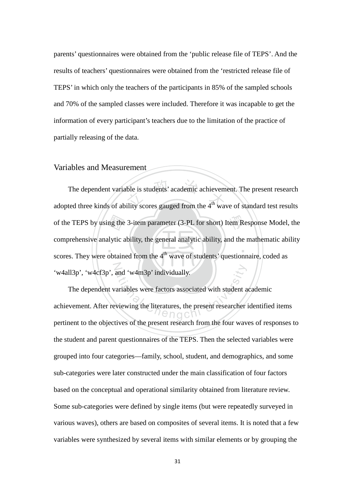parents' questionnaires were obtained from the 'public release file of TEPS'. And the results of teachers' questionnaires were obtained from the 'restricted release file of TEPS' in which only the teachers of the participants in 85% of the sampled schools and 70% of the sampled classes were included. Therefore it was incapable to get the information of every participant's teachers due to the limitation of the practice of partially releasing of the data.

#### Variables and Measurement

scores. They were obtained from the  $4<sup>th</sup>$  wave of students' questionnaire, coded as of the TEPS by using the 3-item parameter (3-PL for short) Item Response Model, the comprehensive analytic ability, the general analytic ability, and the mathematic ability scores. They were obtained from the  $4<sup>th</sup>$  w The dependent variable is students' academic achievement. The present research adopted three kinds of ability scores gauged from the  $4<sup>th</sup>$  wave of standard test results ‧ N The dependent variable is students' academic achievement. The present research comprehensive analytic ability, the general analytic ability, and the mathematic ability 'w4all3p', 'w4cf3p', and 'w4m3p' individually.

and 'w4m3p' individually.<br>
ariables were factors associated with student a<br>
viewing the literatures, the present researcher The dependent variables were factors associated with student academic achievement. After reviewing the literatures, the present researcher identified items pertinent to the objectives of the present research from the four waves of responses to the student and parent questionnaires of the TEPS. Then the selected variables were grouped into four categories—family, school, student, and demographics, and some sub-categories were later constructed under the main classification of four factors based on the conceptual and operational similarity obtained from literature review. Some sub-categories were defined by single items (but were repeatedly surveyed in various waves), others are based on composites of several items. It is noted that a few variables were synthesized by several items with similar elements or by grouping the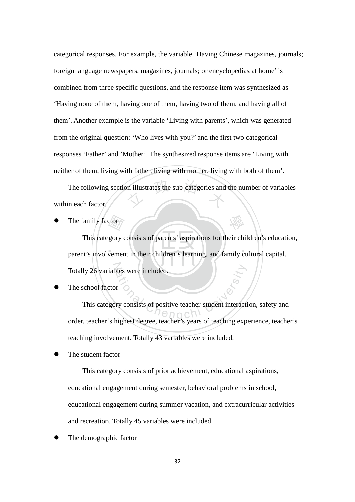categorical responses. For example, the variable 'Having Chinese magazines, journals; foreign language newspapers, magazines, journals; or encyclopedias at home' is combined from three specific questions, and the response item was synthesized as 'Having none of them, having one of them, having two of them, and having all of them'. Another example is the variable 'Living with parents', which was generated from the original question: 'Who lives with you?' and the first two categorical responses 'Father' and 'Mother'. The synthesized response items are 'Living with neither of them, living with father, living with mother, living with both of them'.

on illustrates the sub-categories and The following section illustrates the sub-categories and the number of variables within each factor.

The family factor

‧‧ ctor<br>gory o Totally 26 variables were included. This category consists of parents' aspirations for their children's education, parent's involvement in their children's learning, and family cultural capital.

學

The school factor

ational Chengchi University<br>of the Chengchi University<br>at the Chengchi University of the China Chengchi University<br>of the Chengchi University of the China Chengchi University of the China Chengchi<br>of the Chengchi Universit This category consists of positive teacher-student interaction, safety and order, teacher's highest degree, teacher's years of teaching experience, teacher's teaching involvement. Totally 43 variables were included.

The student factor

 This category consists of prior achievement, educational aspirations, educational engagement during semester, behavioral problems in school, educational engagement during summer vacation, and extracurricular activities and recreation. Totally 45 variables were included.

The demographic factor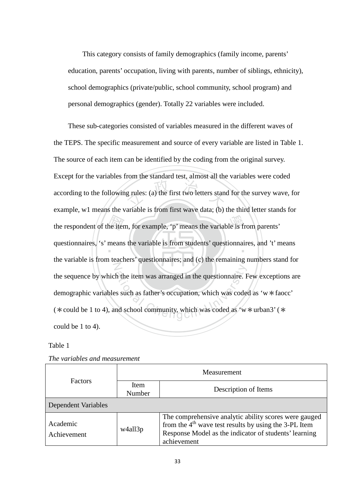This category consists of family demographics (family income, parents' education, parents' occupation, living with parents, number of siblings, ethnicity), school demographics (private/public, school community, school program) and personal demographics (gender). Totally 22 variables were included.

he iter<br>means g rules: (a) the first two letters stand the respondent of the item, for example, 'p' means the variable is from parents' questionnaires, 's' means the variable is from students' questionnaires, and 't' means N The the item was arranged in the questionnaire. For such as father's occupation, which was code as 'word school community, which was coded as 'w These sub-categories consisted of variables measured in the different waves of the TEPS. The specific measurement and source of every variable are listed in Table 1. The source of each item can be identified by the coding from the original survey. Except for the variables from the standard test, almost all the variables were coded according to the following rules: (a) the first two letters stand for the survey wave, for example, w1 means the variable is from first wave data; (b) the third letter stands for the variable is from teachers' questionnaires; and (c) the remaining numbers stand for the sequence by which the item was arranged in the questionnaire. Few exceptions are demographic variables such as father's occupation, which was coded as 'w\*faocc' ( $\ast$  could be 1 to 4), and school community, which was coded as 'w  $\ast$  urban3' ( $\ast$ could be 1 to 4).

#### Table 1

| <b>Factors</b>             | Measurement    |                                                                                                                                                                                          |  |  |
|----------------------------|----------------|------------------------------------------------------------------------------------------------------------------------------------------------------------------------------------------|--|--|
|                            | Item<br>Number | Description of Items                                                                                                                                                                     |  |  |
| <b>Dependent Variables</b> |                |                                                                                                                                                                                          |  |  |
| Academic<br>Achievement    | w4all3p        | The comprehensive analytic ability scores were gauged<br>from the $4th$ wave test results by using the 3-PL Item<br>Response Model as the indicator of students' learning<br>achievement |  |  |

*The variables and measurement*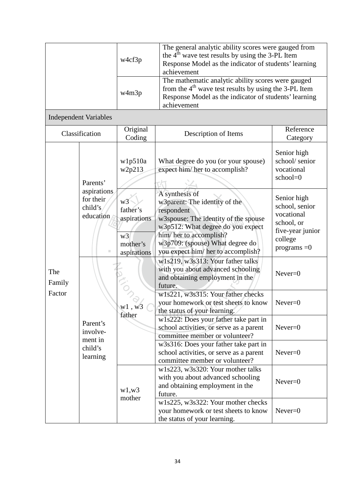|               |                                                  | w4cf3p                                                                     | The general analytic ability scores were gauged from<br>the 4 <sup>th</sup> wave test results by using the 3-PL Item<br>Response Model as the indicator of students' learning<br>achievement                                                  |                                                                                                                      |           |  |
|---------------|--------------------------------------------------|----------------------------------------------------------------------------|-----------------------------------------------------------------------------------------------------------------------------------------------------------------------------------------------------------------------------------------------|----------------------------------------------------------------------------------------------------------------------|-----------|--|
|               |                                                  | w4m3p                                                                      | The mathematic analytic ability scores were gauged<br>from the $4th$ wave test results by using the 3-PL Item<br>Response Model as the indicator of students' learning<br>achievement                                                         |                                                                                                                      |           |  |
|               | <b>Independent Variables</b>                     |                                                                            |                                                                                                                                                                                                                                               |                                                                                                                      |           |  |
|               | Classification                                   | Original<br>Coding                                                         | Description of Items                                                                                                                                                                                                                          | Reference<br>Category                                                                                                |           |  |
| Parents'      |                                                  | w1p510a<br>w2p213                                                          | What degree do you (or your spouse)<br>expect him/her to accomplish?                                                                                                                                                                          | Senior high<br>school/senior<br>vocational<br>school=0                                                               |           |  |
| The<br>Family | aspirations<br>for their<br>child's<br>education | w3<br>father's<br>aspirations<br>w <sub>3</sub><br>mother's<br>aspirations | A synthesis of<br>w3parent: The identity of the<br>respondent<br>w3spouse: The identity of the spouse<br>w3p512: What degree do you expect<br>him/her to accomplish?<br>w3p709: (spouse) What degree do<br>you expect him/ her to accomplish? | Senior high<br>school, senior<br>vocational<br>school, or<br>five-year junior<br>college<br>programs $=0$            |           |  |
|               |                                                  |                                                                            |                                                                                                                                                                                                                                               | w1s219, w3s313: Your father talks<br>with you about advanced schooling<br>and obtaining employment in the<br>future. | $Never=0$ |  |
| Factor        |                                                  |                                                                            | w1s221, w3s315: Your father checks<br>your homework or test sheets to know<br>the status of your learning.                                                                                                                                    | $Never=0$                                                                                                            |           |  |
|               | Parent's<br>involve-<br>ment in                  | father                                                                     | w1s222: Does your father take part in<br>school activities, or serve as a parent<br>committee member or volunteer?                                                                                                                            | $Never=0$                                                                                                            |           |  |
|               | child's<br>learning                              |                                                                            | w3s316: Does your father take part in<br>school activities, or serve as a parent<br>committee member or volunteer?                                                                                                                            | $Never=0$                                                                                                            |           |  |
|               |                                                  | w1,w3                                                                      | w1s223, w3s320: Your mother talks<br>with you about advanced schooling<br>and obtaining employment in the<br>future.                                                                                                                          | $Never=0$                                                                                                            |           |  |
|               |                                                  | mother                                                                     | w1s225, w3s322: Your mother checks<br>your homework or test sheets to know<br>the status of your learning.                                                                                                                                    | $Never=0$                                                                                                            |           |  |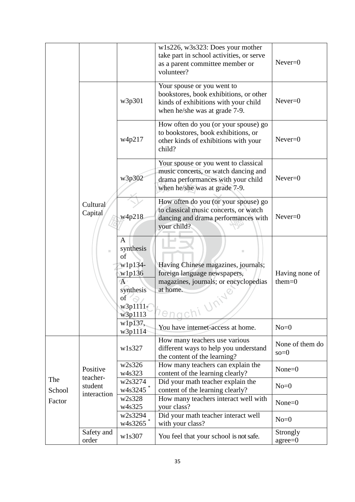|               |                     |                                                                                                       | w1s226, w3s323: Does your mother<br>take part in school activities, or serve<br>as a parent committee member or<br>volunteer?                       | $Never=0$                  |
|---------------|---------------------|-------------------------------------------------------------------------------------------------------|-----------------------------------------------------------------------------------------------------------------------------------------------------|----------------------------|
|               |                     | w3p301                                                                                                | Your spouse or you went to<br>bookstores, book exhibitions, or other<br>kinds of exhibitions with your child<br>when he/she was at grade 7-9.       | $Never=0$                  |
|               |                     | w4p217                                                                                                | How often do you (or your spouse) go<br>to bookstores, book exhibitions, or<br>other kinds of exhibitions with your<br>child?                       | $Never=0$                  |
|               |                     | w3p302                                                                                                | Your spouse or you went to classical<br>music concerts, or watch dancing and<br>drama performances with your child<br>when he/she was at grade 7-9. | $Never=0$                  |
|               | Cultural<br>Capital | w4p218                                                                                                | How often do you (or your spouse) go<br>to classical music concerts, or watch<br>dancing and drama performances with<br>your child?                 | $Never=0$                  |
|               |                     | A<br>synthesis<br>of<br>w1p134-<br>w1p136<br>$\overline{A}$<br>synthesis<br>of<br>w3p1111-<br>w3p1113 | Having Chinese magazines, journals;<br>foreign language newspapers,<br>magazines, journals; or encyclopedias<br>at home.<br>en                      | Having none of<br>$them=0$ |
|               |                     | w1p137,<br>w3p1114                                                                                    | You have internet-access at home.                                                                                                                   | $No = 0$                   |
|               |                     | w1s327                                                                                                | How many teachers use various<br>different ways to help you understand<br>the content of the learning?                                              | None of them do<br>$so=0$  |
|               | Positive            | w2s326<br>w4s323                                                                                      | How many teachers can explain the<br>content of the learning clearly?                                                                               | $None = 0$                 |
| The<br>School | teacher-<br>student | w2s3274<br>$w4s3245$ *                                                                                | Did your math teacher explain the<br>content of the learning clearly?                                                                               | $No=0$                     |
| Factor        | interaction         | w2s328<br>w4s325                                                                                      | How many teachers interact well with<br>your class?                                                                                                 | $None = 0$                 |
|               |                     | w2s3294<br>w4s3265 <sup>*</sup>                                                                       | Did your math teacher interact well<br>with your class?                                                                                             | $No=0$                     |
|               | Safety and<br>order | w1s307                                                                                                | You feel that your school is not safe.                                                                                                              | Strongly<br>$agree=0$      |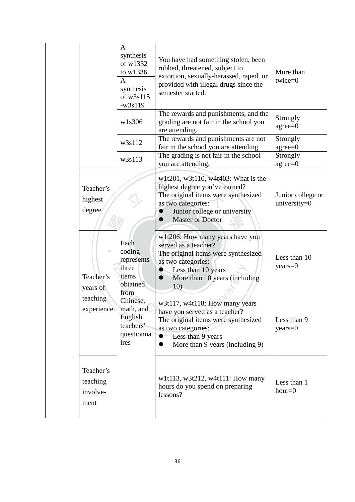|                                           | A<br>synthesis<br>of w1332<br>to w1336<br>$\mathsf{A}$<br>synthesis<br>of w3s115<br>$-w3s119$ | You have had something stolen, been<br>robbed, threatened, subject to<br>extortion, sexually-harassed, raped, or<br>provided with illegal drugs since the<br>semester started.                                 | More than<br>twice=0              |
|-------------------------------------------|-----------------------------------------------------------------------------------------------|----------------------------------------------------------------------------------------------------------------------------------------------------------------------------------------------------------------|-----------------------------------|
|                                           | w1s306                                                                                        | The rewards and punishments, and the<br>grading are not fair in the school you<br>are attending.                                                                                                               | Strongly<br>$agree = 0$           |
|                                           | w3s112                                                                                        | The rewards and punishments are not<br>fair in the school you are attending.                                                                                                                                   | Strongly<br>$agree = 0$           |
|                                           | w3s113                                                                                        | The grading is not fair in the school<br>you are attending.                                                                                                                                                    | Strongly<br>$agree = 0$           |
| Teacher's<br>highest<br>degree/           |                                                                                               | w1t201, w3t110, w4t403: What is the<br>highest degree you've earned?<br>The original items were synthesized<br>as two categories:<br>Junior college or university<br>$\bullet$<br><b>Master or Doctor</b><br>0 | Junior college or<br>university=0 |
| ٠<br>Teacher's<br>years of                | Each<br>coding<br>represents<br>three<br>items<br>obtained<br>from                            | w1t206: How many years have you<br>served as a teacher?<br>The original items were synthesized<br>as two categories:<br>Less than 10 years<br>$\bullet$<br>More than 10 years (including<br>$\bullet$<br>10)   | Less than 10<br>$years = 0$       |
| teaching<br>experience                    | Chinese,<br>math, and<br>English<br>teachers'<br>questionna<br>ires                           | w3t117, w4t118: How many years<br>have you served as a teacher?<br>The original items were synthesized<br>as two categories:<br>Less than 9 years<br>More than 9 years (including 9)<br>$\bullet$              | Less than 9<br>years=0            |
| Teacher's<br>teaching<br>involve-<br>ment |                                                                                               | w1t113, w3t212, w4t111: How many<br>hours do you spend on preparing<br>lessons?                                                                                                                                | Less than 1<br>$hour = 0$         |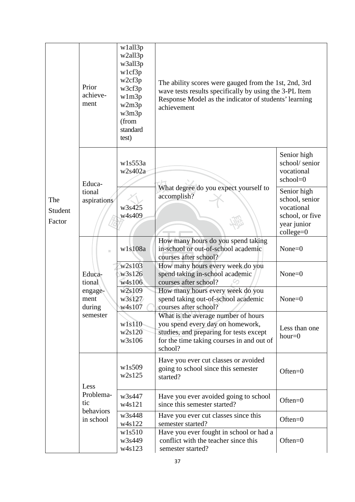| The<br>Student<br>Factor | Prior<br>achieve-<br>ment                                       | w1all3p<br>w2all3p<br>w3all3p<br>w1cf3p<br>w2cf3p<br>w3cf3p<br>w1m3p<br>w2m3p<br>w3m3p<br>(from<br>standard<br>test) | The ability scores were gauged from the 1st, 2nd, 3rd<br>wave tests results specifically by using the 3-PL Item<br>Response Model as the indicator of students' learning<br>achievement |                                                                                              |  |  |  |
|--------------------------|-----------------------------------------------------------------|----------------------------------------------------------------------------------------------------------------------|-----------------------------------------------------------------------------------------------------------------------------------------------------------------------------------------|----------------------------------------------------------------------------------------------|--|--|--|
|                          | Educa-<br>tional<br>aspirations                                 | w1s553a<br>w2s402a                                                                                                   |                                                                                                                                                                                         | Senior high<br>school/senior<br>vocational<br>school=0                                       |  |  |  |
|                          |                                                                 | w3s425<br>w4s409                                                                                                     | What degree do you expect yourself to<br>accomplish?                                                                                                                                    | Senior high<br>school, senior<br>vocational<br>school, or five<br>year junior<br>$college=0$ |  |  |  |
|                          | m.<br>Educa-<br>tional<br>engage-<br>ment<br>during<br>semester | w1s108a                                                                                                              | How many hours do you spend taking<br>in-school or out-of-school academic<br>courses after school?                                                                                      | $None = 0$                                                                                   |  |  |  |
|                          |                                                                 | w2s103<br>w3s126<br>w4s106                                                                                           | How many hours every week do you<br>spend taking in-school academic<br>courses after school?                                                                                            | $None = 0$                                                                                   |  |  |  |
|                          |                                                                 | w2s109<br>w3s127<br>w4s107                                                                                           | How many hours every week do you<br>spend taking out-of-school academic<br>courses after school?                                                                                        | $None = 0$                                                                                   |  |  |  |
|                          |                                                                 | w1s110<br>w2s120<br>w3s106                                                                                           | What is the average number of hours<br>you spend every day on homework,<br>studies, and preparing for tests except<br>for the time taking courses in and out of<br>school?              | Less than one<br>$hour = 0$                                                                  |  |  |  |
|                          | Less                                                            | w1s509<br>w2s125                                                                                                     | Have you ever cut classes or avoided<br>going to school since this semester<br>started?                                                                                                 | Often= $0$                                                                                   |  |  |  |
|                          | Problema-<br>tic                                                | w3s447<br>w4s121                                                                                                     | Have you ever avoided going to school<br>since this semester started?                                                                                                                   | $Often = 0$                                                                                  |  |  |  |
|                          | behaviors<br>in school                                          | w3s448<br>w4s122                                                                                                     | Have you ever cut classes since this<br>semester started?                                                                                                                               | $Often = 0$                                                                                  |  |  |  |
|                          |                                                                 | w1s510<br>w3s449<br>w4s123                                                                                           | Have you ever fought in school or had a<br>conflict with the teacher since this<br>semester started?                                                                                    | $Often = 0$                                                                                  |  |  |  |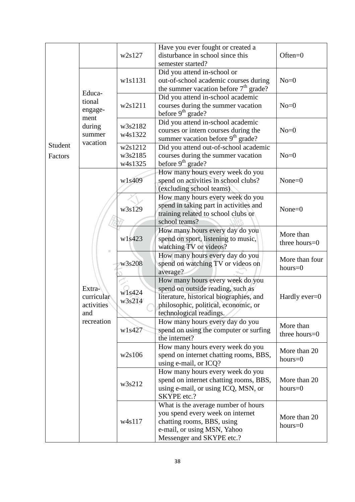|         |            | w2s127                           | Have you ever fought or created a<br>disturbance in school since this         | $Often = 0$      |  |  |
|---------|------------|----------------------------------|-------------------------------------------------------------------------------|------------------|--|--|
|         |            |                                  | semester started?                                                             |                  |  |  |
|         |            |                                  | Did you attend in-school or                                                   |                  |  |  |
|         |            | w1s1131                          | out-of-school academic courses during                                         | $No=0$           |  |  |
|         |            |                                  | the summer vacation before $7th$ grade?                                       |                  |  |  |
|         | Educa-     |                                  | Did you attend in-school academic                                             |                  |  |  |
|         | tional     | w2s1211                          | courses during the summer vacation                                            | $No=0$           |  |  |
|         | engage-    |                                  | before 9 <sup>th</sup> grade?                                                 |                  |  |  |
|         | ment       |                                  | Did you attend in-school academic                                             |                  |  |  |
|         | during     | w3s2182                          | courses or intern courses during the                                          | $No=0$           |  |  |
|         | summer     | w4s1322                          | summer vacation before 9 <sup>th</sup> grade?                                 |                  |  |  |
| Student | vacation   | w2s1212                          | Did you attend out-of-school academic                                         |                  |  |  |
| Factors |            | w3s2185                          | courses during the summer vacation                                            | $No=0$           |  |  |
|         |            | w4s1325                          | before 9 <sup>th</sup> grade?                                                 |                  |  |  |
|         |            |                                  | How many hours every week do you                                              |                  |  |  |
|         |            | w1s409                           | spend on activities in school clubs?                                          | $None = 0$       |  |  |
|         |            |                                  | (excluding school teams)                                                      |                  |  |  |
|         |            |                                  | How many hours every week do you                                              |                  |  |  |
|         |            |                                  |                                                                               |                  |  |  |
|         |            | w3s129                           | spend in taking part in activities and<br>training related to school clubs or | $None = 0$       |  |  |
|         |            |                                  | school teams?                                                                 |                  |  |  |
|         |            |                                  |                                                                               |                  |  |  |
|         |            | w1s423                           | How many hours every day do you                                               | More than        |  |  |
|         |            |                                  | spend on sport, listening to music,                                           | three hours=0    |  |  |
|         |            |                                  | watching TV or videos?                                                        |                  |  |  |
|         |            |                                  | How many hours every day do you                                               | More than four   |  |  |
|         |            | w3s208                           | spend on watching TV or videos on                                             | $hours = 0$      |  |  |
|         |            |                                  | average?                                                                      |                  |  |  |
|         |            |                                  | How many hours every week do you                                              |                  |  |  |
|         | Extra-     | w1s424<br>curricular<br>w3s214   | spend on outside reading, such as                                             |                  |  |  |
|         |            |                                  | literature, historical biographies, and                                       | Hardly ever= $0$ |  |  |
|         | activities |                                  | philosophic, political, economic, or                                          |                  |  |  |
|         | and        |                                  | technological readings.                                                       |                  |  |  |
|         | recreation |                                  | How many hours every day do you                                               | More than        |  |  |
|         |            | w1s427                           | spend on using the computer or surfing                                        | three hours=0    |  |  |
|         |            |                                  | the internet?                                                                 |                  |  |  |
|         |            |                                  | How many hours every week do you                                              | More than 20     |  |  |
|         |            | w2s106                           | spend on internet chatting rooms, BBS,                                        | $hours = 0$      |  |  |
|         |            |                                  | using e-mail, or ICQ?                                                         |                  |  |  |
|         |            | How many hours every week do you |                                                                               |                  |  |  |
|         |            | w3s212                           | spend on internet chatting rooms, BBS,                                        | More than 20     |  |  |
|         |            |                                  | using e-mail, or using ICQ, MSN, or                                           | $hours = 0$      |  |  |
|         |            |                                  | SKYPE etc.?                                                                   |                  |  |  |
|         |            |                                  | What is the average number of hours                                           |                  |  |  |
|         |            |                                  | you spend every week on internet                                              | More than 20     |  |  |
|         |            | w4s117                           | chatting rooms, BBS, using                                                    | $hours = 0$      |  |  |
|         |            |                                  | e-mail, or using MSN, Yahoo                                                   |                  |  |  |
|         |            |                                  | Messenger and SKYPE etc.?                                                     |                  |  |  |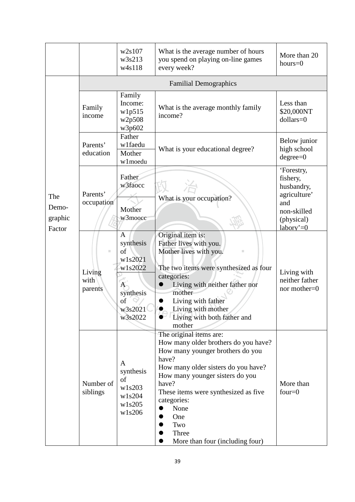|                                   |                                | w2s107<br>w3s213<br>w4s118                                                                                     | What is the average number of hours<br>you spend on playing on-line games<br>every week?                                                                                                                                                                                                                                 | More than 20<br>$hours = 0$                                                                              |
|-----------------------------------|--------------------------------|----------------------------------------------------------------------------------------------------------------|--------------------------------------------------------------------------------------------------------------------------------------------------------------------------------------------------------------------------------------------------------------------------------------------------------------------------|----------------------------------------------------------------------------------------------------------|
|                                   |                                |                                                                                                                | <b>Familial Demographics</b>                                                                                                                                                                                                                                                                                             |                                                                                                          |
| The<br>Demo-<br>graphic<br>Factor | Family<br>income               | Family<br>Income:<br>w1p515<br>w2p508<br>w3p602                                                                | Less than<br>\$20,000NT<br>$dollars=0$                                                                                                                                                                                                                                                                                   |                                                                                                          |
|                                   | Parents'<br>education          | Father<br>w1faedu<br>What is your educational degree?<br>Mother<br>w1moedu                                     |                                                                                                                                                                                                                                                                                                                          | Below junior<br>high school<br>$degree=0$                                                                |
|                                   | Parents'<br>occupation         | Father<br>w3faocc<br>Mother<br>w3moocc                                                                         | What is your occupation?                                                                                                                                                                                                                                                                                                 | 'Forestry,<br>fishery,<br>husbandry,<br>agriculture'<br>and<br>non-skilled<br>(physical)<br>labory'= $0$ |
|                                   | ш<br>Living<br>with<br>parents | $\mathbf{A}$<br>synthesis<br>of<br>w1s2021<br>w1s2022<br>$\mathbf{A}$<br>synthesis<br>of<br>w3s2021<br>w3s2022 | Original item is:<br>Father lives with you.<br>Mother lives with you.<br>п<br>The two items were synthesized as four<br>categories:<br>Living with neither father nor<br>mother<br>Living with father<br>Living with mother<br>Living with both father and<br>mother                                                     | Living with<br>neither father<br>nor mother=0                                                            |
|                                   | Number of<br>siblings          | A<br>synthesis<br>of<br>w1s203<br>w1s204<br>w1s205<br>w1s206                                                   | The original items are:<br>How many older brothers do you have?<br>How many younger brothers do you<br>have?<br>How many older sisters do you have?<br>How many younger sisters do you<br>have?<br>These items were synthesized as five<br>categories:<br>None<br>One<br>Two<br>Three<br>More than four (including four) | More than<br>four= $0$                                                                                   |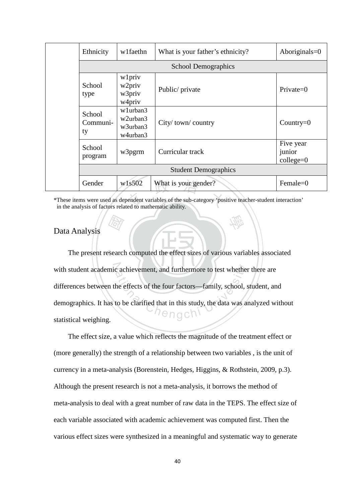|                                                                                                                                                                       | Ethnicity                                                                | wlfaethn                             | Aboriginals= $0$            |                                    |  |  |  |
|-----------------------------------------------------------------------------------------------------------------------------------------------------------------------|--------------------------------------------------------------------------|--------------------------------------|-----------------------------|------------------------------------|--|--|--|
|                                                                                                                                                                       | <b>School Demographics</b>                                               |                                      |                             |                                    |  |  |  |
|                                                                                                                                                                       | School<br>type                                                           | wlpriv<br>w2priv<br>w3priv<br>w4priv | Public/ private             | $Private=0$                        |  |  |  |
|                                                                                                                                                                       | w1urban3<br>School<br>w2urban3<br>Communi-<br>w3urban3<br>ty<br>w4urban3 |                                      | City/town/country           | Country= $0$                       |  |  |  |
|                                                                                                                                                                       | School<br>program                                                        | w3pgrm                               | Curricular track            | Five year<br>junior<br>$college=0$ |  |  |  |
|                                                                                                                                                                       |                                                                          |                                      | <b>Student Demographics</b> |                                    |  |  |  |
|                                                                                                                                                                       | Gender                                                                   | w1s502                               | What is your gender?        | Female= $0$                        |  |  |  |
| *These items were used as dependent variables of the sub-category 'positive teacher-student interaction'<br>in the analysis of factors related to mathematic ability. |                                                                          |                                      |                             |                                    |  |  |  |

\*These items were used as dependent variables of the sub-category 'positive teacher-student interaction' in the analysis of factors related to mathematic ability.

學

#### Data Analysis

‧**RAY**<br>searcl The present research computed the effect sizes of various variables associated with student academic achievement, and furthermore to test whether there are c achievement, and furthermore to test whether<br>he effects of the four factors—family, school, s<br>to be clarified that in this study, the data was a differences between the effects of the four factors—family, school, student, and demographics. It has to be clarified that in this study, the data was analyzed without statistical weighing.

The effect size, a value which reflects the magnitude of the treatment effect or (more generally) the strength of a relationship between two variables , is the unit of currency in a meta-analysis (Borenstein, Hedges, Higgins, & Rothstein, 2009, p.3). Although the present research is not a meta-analysis, it borrows the method of meta-analysis to deal with a great number of raw data in the TEPS. The effect size of each variable associated with academic achievement was computed first. Then the various effect sizes were synthesized in a meaningful and systematic way to generate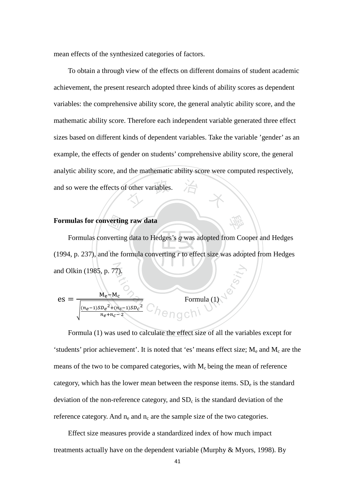mean effects of the synthesized categories of factors.

 $\overrightarrow{a}$  other variables. To obtain a through view of the effects on different domains of student academic achievement, the present research adopted three kinds of ability scores as dependent variables: the comprehensive ability score, the general analytic ability score, and the mathematic ability score. Therefore each independent variable generated three effect sizes based on different kinds of dependent variables. Take the variable 'gender' as an example, the effects of gender on students' comprehensive ability score, the general analytic ability score, and the mathematic ability score were computed respectively, and so were the effects of other variables.

#### **Formulas for converting raw data**

vertin<br>verting<br>the fo ‧ and Olkin (1985, p. 77). Formulas converting data to Hedges's *g* was adopted from Cooper and Hedges (1994, p. 237), and the formula converting *r* to effect size was adopted from Hedges

學

nd Olkin (1985, p. 77).  
\nes = 
$$
\frac{M_e - M_c}{\sqrt{\frac{(n_e - 1)SD_e^2 + (n_c - 1)SD_c^2}{n_e + n_c - 2}}}
$$
 Formula (1)

Formula (1) was used to calculate the effect size of all the variables except for 'students' prior achievement'. It is noted that 'es' means effect size;  $M_e$  and  $M_c$  are the means of the two to be compared categories, with  $M_c$  being the mean of reference category, which has the lower mean between the response items.  $SD<sub>e</sub>$  is the standard deviation of the non-reference category, and  $SD<sub>c</sub>$  is the standard deviation of the reference category. And  $n_e$  and  $n_c$  are the sample size of the two categories.

Effect size measures provide a standardized index of how much impact treatments actually have on the dependent variable (Murphy & Myors, 1998). By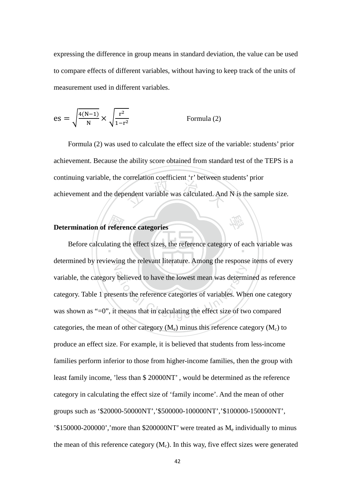expressing the difference in group means in standard deviation, the value can be used to compare effects of different variables, without having to keep track of the units of measurement used in different variables.

$$
es = \sqrt{\frac{4(N-1)}{N}} \times \sqrt{\frac{r^2}{1-r^2}}
$$
 Formula (2)

endent variable was calculated. And Formula (2) was used to calculate the effect size of the variable: students' prior achievement. Because the ability score obtained from standard test of the TEPS is a continuing variable, the correlation coefficient 'r' between students' prior achievement and the dependent variable was calculated. And N is the sample size.

學

#### **Determination of reference categories**

**Prefere**<br>ating t Before calculating the effect sizes, the reference category of each variable was determined by reviewing the relevant literature. Among the response items of every believed to have the lowest mean was determinents the reference categories of variables. When the means that in calculating the effect size of two variable, the category believed to have the lowest mean was determined as reference category. Table 1 presents the reference categories of variables. When one category was shown as "=0", it means that in calculating the effect size of two compared categories, the mean of other category  $(M_e)$  minus this reference category  $(M_c)$  to produce an effect size. For example, it is believed that students from less-income families perform inferior to those from higher-income families, then the group with least family income, 'less than \$ 20000NT' , would be determined as the reference category in calculating the effect size of 'family income'. And the mean of other groups such as '\$20000-50000NT','\$500000-100000NT','\$100000-150000NT', '\$150000-200000','more than \$200000NT' were treated as Me individually to minus the mean of this reference category  $(M<sub>c</sub>)$ . In this way, five effect sizes were generated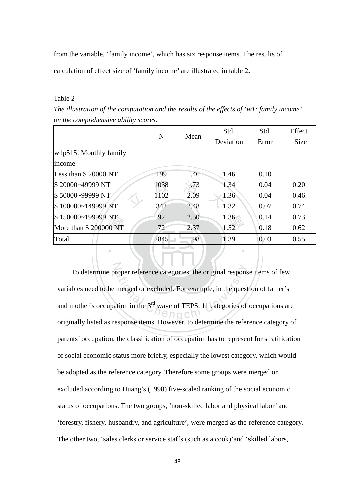from the variable, 'family income', which has six response items. The results of calculation of effect size of 'family income' are illustrated in table 2.

#### Table 2

*The illustration of the computation and the results of the effects of 'w1: family income' on the comprehensive ability scores.*

|                           |      |      | Std.      | Std.  | Effect      |
|---------------------------|------|------|-----------|-------|-------------|
|                           | N    | Mean | Deviation | Error | <b>Size</b> |
| $w1p515$ : Monthly family |      |      |           |       |             |
| income                    |      |      |           |       |             |
| Less than \$20000 NT      | 199  | 1.46 | 1.46      | 0.10  |             |
| \$20000~49999 NT          | 1038 | 1.73 | 1.34      | 0.04  | 0.20        |
| \$50000~99999 NT          | 1102 | 2.09 | 1.36      | 0.04  | 0.46        |
| \$100000~149999 NT        | 342  | 2.48 | 1.32      | 0.07  | 0.74        |
| \$150000~199999 NT        | 92   | 2.50 | 1.36      | 0.14  | 0.73        |
| More than \$200000 NT     | 72   | 2.37 | 1.52      | 0.18  | 0.62        |
| Total                     | 2845 | 1.98 | 1.39      | 0.03  | 0.55        |
| ٠                         |      |      | п         |       |             |

N roper reference categories, the original respons<br>merged or excluded. For example, in the quest<br>ation in the  $3<sup>rd</sup>$  wave of TEPS, 11 categories of To determine proper reference categories, the original response items of few variables need to be merged or excluded. For example, in the question of father's and mother's occupation in the  $3<sup>rd</sup>$  wave of TEPS, 11 categories of occupations are originally listed as response items. However, to determine the reference category of parents' occupation, the classification of occupation has to represent for stratification of social economic status more briefly, especially the lowest category, which would be adopted as the reference category. Therefore some groups were merged or excluded according to Huang's (1998) five-scaled ranking of the social economic status of occupations. The two groups, 'non-skilled labor and physical labor' and 'forestry, fishery, husbandry, and agriculture', were merged as the reference category. The other two, 'sales clerks or service staffs (such as a cook)'and 'skilled labors,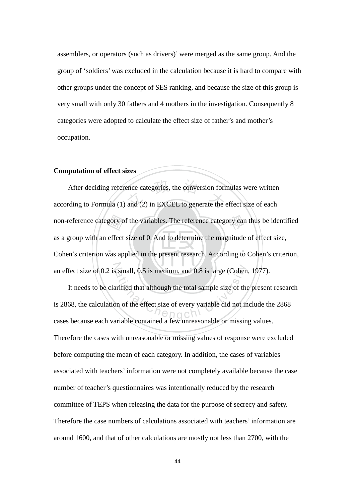assemblers, or operators (such as drivers)' were merged as the same group. And the group of 'soldiers' was excluded in the calculation because it is hard to compare with other groups under the concept of SES ranking, and because the size of this group is very small with only 30 fathers and 4 mothers in the investigation. Consequently 8 categories were adopted to calculate the effect size of father's and mother's occupation.

#### **Computation of effect sizes**

. N. I 노스 I. /. . non-reference category of the variables. The reference category can thus be identified<br>as a group with an effect size of 0. And to determine the magnitude of effect size,<br>Cohen's criterion was applied in the present resear ence categories, the conversion form<br>and (2) in EXCEL to generate the an effect size of 0.2 is small, 0.5 is medium, and 0.8 is large (Cohen, 1977). After deciding reference categories, the conversion formulas were written according to Formula (1) and (2) in EXCEL to generate the effect size of each as a group with an effect size of 0. And to determine the magnitude of effect size, Cohen's criterion was applied in the present research. According to Cohen's criterion,

ational Chengchi University and 0.8 is large (Cohen<br>
arified that although the total sample size of the<br>
on of the effect size of every variable did not in<br>
arishle contained a four unreseanable or missin It needs to be clarified that although the total sample size of the present research is 2868, the calculation of the effect size of every variable did not include the 2868 cases because each variable contained a few unreasonable or missing values. Therefore the cases with unreasonable or missing values of response were excluded before computing the mean of each category. In addition, the cases of variables associated with teachers' information were not completely available because the case number of teacher's questionnaires was intentionally reduced by the research committee of TEPS when releasing the data for the purpose of secrecy and safety. Therefore the case numbers of calculations associated with teachers' information are around 1600, and that of other calculations are mostly not less than 2700, with the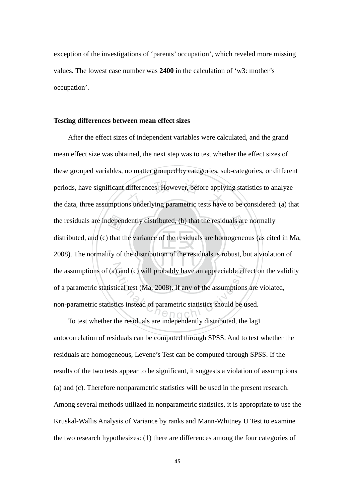exception of the investigations of 'parents' occupation', which reveled more missing values*.* The lowest case number was **2400** in the calculation of 'w3: mother's occupation'.

#### **Testing differences between mean effect sizes**

depen<br>that t<br>ity of differences. However, before apply<br>ns underlying parametric tests have the residuals are independently distributed, (b) that the residuals are normally ‧ the assumptions of (a) and (c) will probably have an appreciable effect on the validity ational Chengchi University and the assumptions<br>ical test (Ma, 2008). If any of the assumptions<br>ics instead of parametric statistics should be used After the effect sizes of independent variables were calculated, and the grand mean effect size was obtained, the next step was to test whether the effect sizes of these grouped variables, no matter grouped by categories, sub-categories, or different periods, have significant differences. However, before applying statistics to analyze the data, three assumptions underlying parametric tests have to be considered: (a) that distributed, and (c) that the variance of the residuals are homogeneous (as cited in Ma, 2008). The normality of the distribution of the residuals is robust, but a violation of of a parametric statistical test (Ma, 2008). If any of the assumptions are violated, non-parametric statistics instead of parametric statistics should be used.

To test whether the residuals are independently distributed, the lag1 autocorrelation of residuals can be computed through SPSS. And to test whether the residuals are homogeneous, Levene's Test can be computed through SPSS. If the results of the two tests appear to be significant, it suggests a violation of assumptions (a) and (c). Therefore nonparametric statistics will be used in the present research. Among several methods utilized in nonparametric statistics, it is appropriate to use the Kruskal-Wallis Analysis of Variance by ranks and Mann-Whitney U Test to examine the two research hypothesizes: (1) there are differences among the four categories of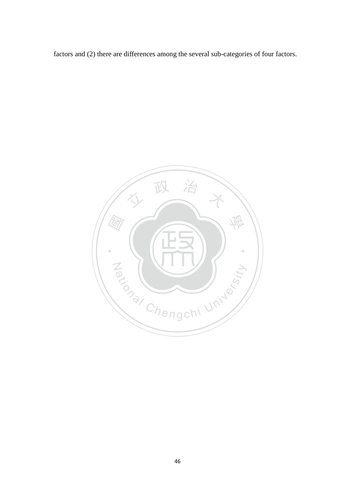factors and (2) there are differences among the several sub-categories of four factors.

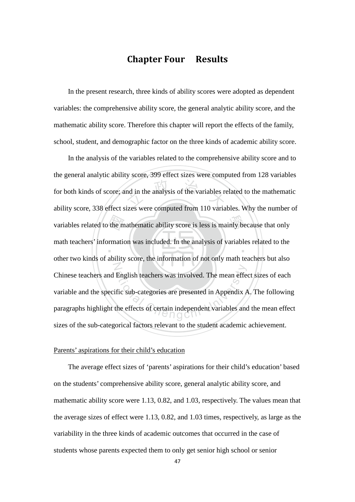# Chapter Four Results

In the present research, three kinds of ability scores were adopted as dependent variables: the comprehensive ability score, the general analytic ability score, and the mathematic ability score. Therefore this chapter will report the effects of the family, school, student, and demographic factor on the three kinds of academic ability score.

the m nd in the analysis of the variables re variables related to the mathematic ability score is less is mainly because that only ‧ N English teachers was involved. The mean effective sub-categories are presented in Appendix  $A$ <br>the effects of certain independent variables and In the analysis of the variables related to the comprehensive ability score and to the general analytic ability score, 399 effect sizes were computed from 128 variables for both kinds of score; and in the analysis of the variables related to the mathematic ability score, 338 effect sizes were computed from 110 variables. Why the number of math teachers' information was included. In the analysis of variables related to the other two kinds of ability score, the information of not only math teachers but also Chinese teachers and English teachers was involved. The mean effect sizes of each variable and the specific sub-categories are presented in Appendix A. The following paragraphs highlight the effects of certain independent variables and the mean effect sizes of the sub-categorical factors relevant to the student academic achievement.

#### Parents' aspirations for their child's education

The average effect sizes of 'parents' aspirations for their child's education' based on the students' comprehensive ability score, general analytic ability score, and mathematic ability score were 1.13, 0.82, and 1.03, respectively. The values mean that the average sizes of effect were 1.13, 0.82, and 1.03 times, respectively, as large as the variability in the three kinds of academic outcomes that occurred in the case of students whose parents expected them to only get senior high school or senior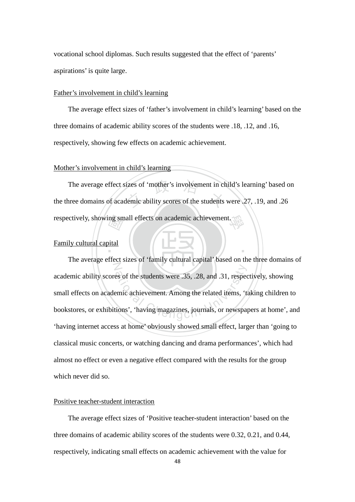vocational school diplomas. Such results suggested that the effect of 'parents' aspirations' is quite large.

#### Father's involvement in child's learning

The average effect sizes of 'father's involvement in child's learning' based on the three domains of academic ability scores of the students were .18, .12, and .16, respectively, showing few effects on academic achievement.

#### Mother's involvement in child's learning

respectively, showing small effects on academic achievement.<br>
Family cultural capital The average effect sizes of 'mother's involvement in child's learning' based of the three domains of academic ability scores of the students were  $.27, .19,$  and  $.26$ 學 The average effect sizes of 'mother's involvement in child's learning' based on

‧

#### Family cultural capital

N es of the students were .35, .28, and .31, respection<br>emic achievement. Among the related items, 'the violations', 'having magazines, journals, or newspaper The average effect sizes of 'family cultural capital' based on the three domains of academic ability scores of the students were .35, .28, and .31, respectively, showing small effects on academic achievement. Among the related items, 'taking children to bookstores, or exhibitions', 'having magazines, journals, or newspapers at home', and 'having internet access at home' obviously showed small effect, larger than 'going to classical music concerts, or watching dancing and drama performances', which had almost no effect or even a negative effect compared with the results for the group which never did so.

#### Positive teacher-student interaction

The average effect sizes of 'Positive teacher-student interaction' based on the three domains of academic ability scores of the students were 0.32, 0.21, and 0.44, respectively, indicating small effects on academic achievement with the value for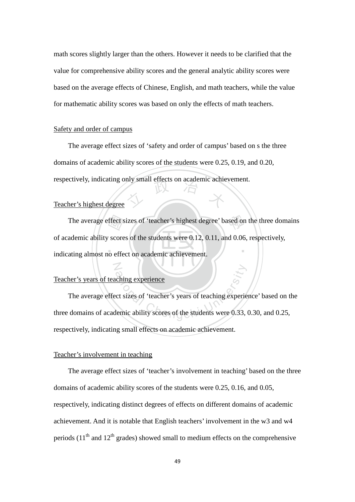math scores slightly larger than the others. However it needs to be clarified that the value for comprehensive ability scores and the general analytic ability scores were based on the average effects of Chinese, English, and math teachers, while the value for mathematic ability scores was based on only the effects of math teachers.

#### Safety and order of campus

respectively, indicating only small effects on academic achievement.<br>Teacher's highest degree The average effect sizes of 'safety and order of campus' based on s the three domains of academic ability scores of the students were 0.25, 0.19, and 0.20,

#### Teacher's highest degree

indicating almost no effect on academic achievement. The average effect sizes of 'teacher's highest degree' based on the three domains ademic ability scores of the students were 0.12, 0.11, and 0.06, respectively, ating almost no effect on academic achievement. ‧ of academic ability scores of the students were 0.12, 0.11, and 0.06, respectively,

#### Teacher's years of teaching experience

N

Ching experience<br>ct sizes of 'teacher's years of teaching experie<br>lemic ability scores of the students were 0.33, The average effect sizes of 'teacher's years of teaching experience' based on the three domains of academic ability scores of the students were 0.33, 0.30, and 0.25, respectively, indicating small effects on academic achievement.

#### Teacher's involvement in teaching

The average effect sizes of 'teacher's involvement in teaching' based on the three domains of academic ability scores of the students were 0.25, 0.16, and 0.05, respectively, indicating distinct degrees of effects on different domains of academic achievement. And it is notable that English teachers' involvement in the w3 and w4 periods  $(11<sup>th</sup>$  and  $12<sup>th</sup>$  grades) showed small to medium effects on the comprehensive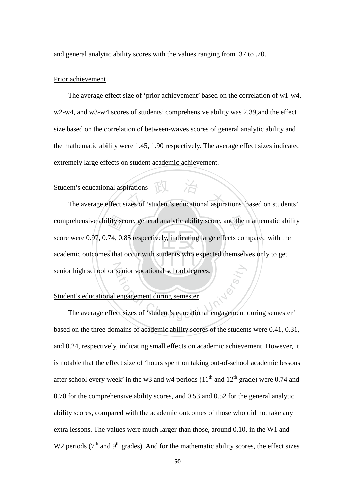and general analytic ability scores with the values ranging from .37 to .70.

#### Prior achievement

The average effect size of 'prior achievement' based on the correlation of w1-w4, w2-w4, and w3-w4 scores of students' comprehensive ability was 2.39,and the effect size based on the correlation of between-waves scores of general analytic ability and the mathematic ability were 1.45, 1.90 respectively. The average effect sizes indicated extremely large effects on student academic achievement.

# Student's educational aspirations

‧‧ comprehensive ability score, general analytic ability score, and the mathematic ability<br>score were 0.97, 0.74, 0.85 respectively, indicating large effects compared with the<br>academic outcomes that occur with students who ex ent's educational aspirations<br>The average effect sizes of 'student's educational aspirations' based on students' senior high school or senior vocational school degrees. score were 0.97, 0.74, 0.85 respectively, indicating large effects compared with the academic outcomes that occur with students who expected themselves only to get

#### Student's educational engagement during semester

ational Chengchi University Chengchi University<br>
The average effect sizes of 'student's educational engagement during semester' based on the three domains of academic ability scores of the students were 0.41, 0.31, and 0.24, respectively, indicating small effects on academic achievement. However, it is notable that the effect size of 'hours spent on taking out-of-school academic lessons after school every week' in the w3 and w4 periods  $(11<sup>th</sup>$  and  $12<sup>th</sup>$  grade) were 0.74 and 0.70 for the comprehensive ability scores, and 0.53 and 0.52 for the general analytic ability scores, compared with the academic outcomes of those who did not take any extra lessons. The values were much larger than those, around 0.10, in the W1 and W2 periods ( $7<sup>th</sup>$  and  $9<sup>th</sup>$  grades). And for the mathematic ability scores, the effect sizes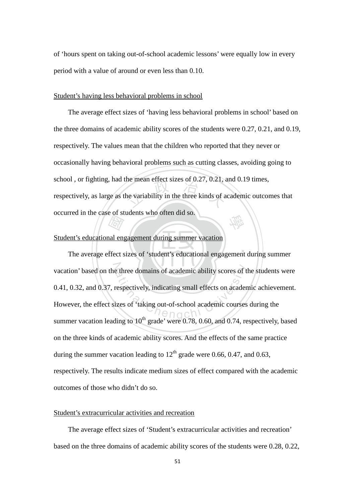of 'hours spent on taking out-of-school academic lessons' were equally low in every period with a value of around or even less than 0.10.

#### Student's having less behavioral problems in school

the mean effect sizes of 0.27, 0.21,  $\lambda$ <br>he variability in the three kinds of a 學 The average effect sizes of 'having less behavioral problems in school' based on the three domains of academic ability scores of the students were 0.27, 0.21, and 0.19, respectively. The values mean that the children who reported that they never or occasionally having behavioral problems such as cutting classes, avoiding going to school , or fighting, had the mean effect sizes of 0.27, 0.21, and 0.19 times, respectively, as large as the variability in the three kinds of academic outcomes that occurred in the case of students who often did so.

#### Student's educational engagement during summer vacation

 $\sim$ and engine ‧ vacation' based on the three domains of academic ability scores of the students were External of academic ability scores of the three domains of academic ability scores of the respectively, indicating small effects on academic courses<br>izes of 'taking out-of-school academic courses The average effect sizes of 'student's educational engagement during summer 0.41, 0.32, and 0.37, respectively, indicating small effects on academic achievement. However, the effect sizes of 'taking out-of-school academic courses during the summer vacation leading to  $10^{th}$  grade' were 0.78, 0.60, and 0.74, respectively, based on the three kinds of academic ability scores. And the effects of the same practice during the summer vacation leading to  $12<sup>th</sup>$  grade were 0.66, 0.47, and 0.63, respectively. The results indicate medium sizes of effect compared with the academic outcomes of those who didn't do so.

#### Student's extracurricular activities and recreation

The average effect sizes of 'Student's extracurricular activities and recreation' based on the three domains of academic ability scores of the students were 0.28, 0.22,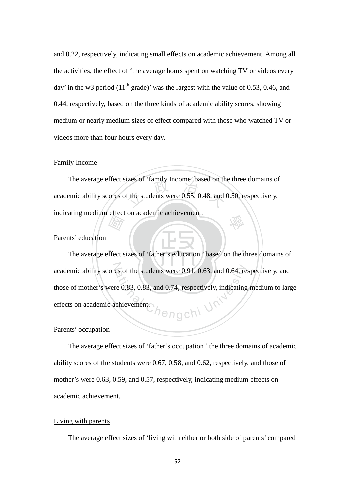and 0.22, respectively, indicating small effects on academic achievement. Among all the activities, the effect of 'the average hours spent on watching TV or videos every day' in the w3 period  $(11<sup>th</sup> \text{ grade})'$  was the largest with the value of 0.53, 0.46, and 0.44, respectively, based on the three kinds of academic ability scores, showing medium or nearly medium sizes of effect compared with those who watched TV or videos more than four hours every day.

#### Family Income

The students were  $0.55$ ,  $0.48$ , and  $\ell$ 學 The average effect sizes of 'family Income' based on the three domains of academic ability scores of the students were 0.55, 0.48, and 0.50, respectively, indicating medium effect on academic achievement.

#### Parents' education

 $\sim$ *Harry*<br>ffect s ‧ academic ability scores of the students were 0.91, 0.63, and 0.64, respectively, and ,<br>Pengchi <sup>Ur</sup> The average effect sizes of 'father's education ' based on the three domains of those of mother's were 0.83, 0.83, and 0.74, respectively, indicating medium to large effects on academic achievement.

#### Parents' occupation

The average effect sizes of 'father's occupation ' the three domains of academic ability scores of the students were 0.67, 0.58, and 0.62, respectively, and those of mother's were 0.63, 0.59, and 0.57, respectively, indicating medium effects on academic achievement.

#### Living with parents

The average effect sizes of 'living with either or both side of parents' compared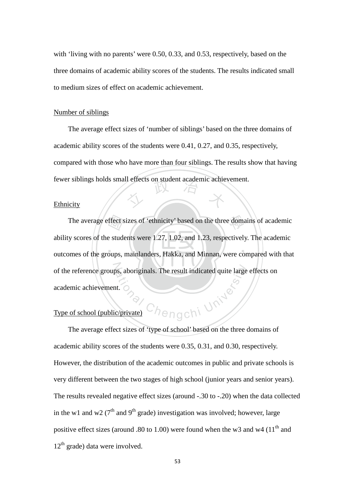with 'living with no parents' were 0.50, 0.33, and 0.53, respectively, based on the three domains of academic ability scores of the students. The results indicated small to medium sizes of effect on academic achievement.

#### Number of siblings

fewer siblings holds small effects on student academic achievement.<br>Ethnicity The average effect sizes of 'number of siblings' based on the three domains of academic ability scores of the students were 0.41, 0.27, and 0.35, respectively, compared with those who have more than four siblings. The results show that having

#### Ethnicity

. <u>\, , , , , , , ,</u> , , , , , The average effect sizes of 'ethnicity' based on the three domains of academic<br>y scores of the students were 1.27, 1.02, and 1.23, respectively. The academic<br>omes of the groups, mainlanders, Hakka, and Minnan, were compare of the reference groups, aboriginals. The result indicated quite large effects on hengchi University ability scores of the students were 1.27, 1.02, and 1.23, respectively. The academic outcomes of the groups, mainlanders, Hakka, and Minnan, were compared with that academic achievement.

## Type of school (public/private)

 The average effect sizes of 'type of school' based on the three domains of academic ability scores of the students were 0.35, 0.31, and 0.30, respectively. However, the distribution of the academic outcomes in public and private schools is very different between the two stages of high school (junior years and senior years). The results revealed negative effect sizes (around -.30 to -.20) when the data collected in the w1 and w2 ( $7<sup>th</sup>$  and  $9<sup>th</sup>$  grade) investigation was involved; however, large positive effect sizes (around .80 to 1.00) were found when the w3 and w4  $(11<sup>th</sup>$  and  $12<sup>th</sup>$  grade) data were involved.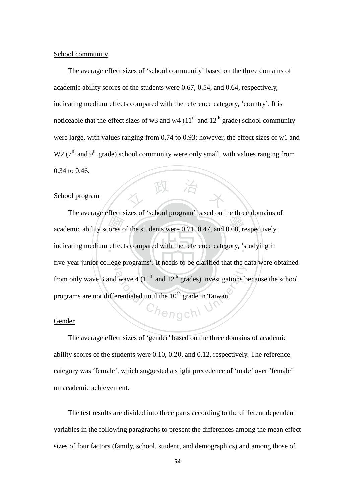#### School community

The average effect sizes of 'school community' based on the three domains of academic ability scores of the students were 0.67, 0.54, and 0.64, respectively, indicating medium effects compared with the reference category, 'country'. It is noticeable that the effect sizes of w3 and w4  $(11<sup>th</sup>$  and  $12<sup>th</sup>$  grade) school community were large, with values ranging from 0.74 to 0.93; however, the effect sizes of w1 and W<sub>2</sub> ( $7<sup>th</sup>$  and  $9<sup>th</sup>$  grade) school community were only small, with values ranging from 0.34 to 0.46.

#### School program

academic ability scores of the students were 0.71, 0.47, and 0.68, respectively, indicating medium effects compared with the reference category, 'studying in indicating medium effects compared with the reference category, 'studying in five-year junior college programs'. It needs to be clarified that the data were obtained ational Chengchi University of the University of the Hughestan Chengchi University of the University of the University of the University of the University of the University of the University of the University of the Unive The average effect sizes of 'school program' based on the three domains of from only wave 3 and wave 4  $(11<sup>th</sup>$  and  $12<sup>th</sup>$  grades) investigations because the school programs are not differentiated until the  $10<sup>th</sup>$  grade in Taiwan.

人 政 治 木

#### **Gender**

The average effect sizes of 'gender' based on the three domains of academic ability scores of the students were 0.10, 0.20, and 0.12, respectively. The reference category was 'female', which suggested a slight precedence of 'male' over 'female' on academic achievement.

The test results are divided into three parts according to the different dependent variables in the following paragraphs to present the differences among the mean effect sizes of four factors (family, school, student, and demographics) and among those of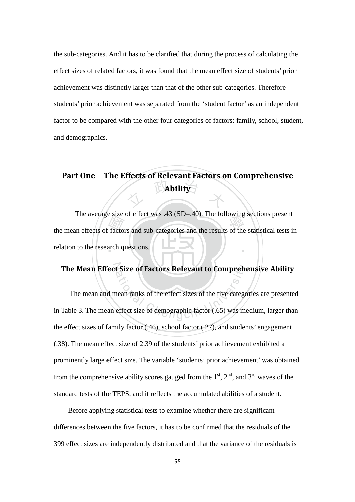the sub-categories. And it has to be clarified that during the process of calculating the effect sizes of related factors, it was found that the mean effect size of students' prior achievement was distinctly larger than that of the other sub-categories. Therefore students' prior achievement was separated from the 'student factor' as an independent factor to be compared with the other four categories of factors: family, school, student, and demographics.

# **The Ability** Part One The Effects of Relevant Factors on Comprehensive Ability

Find<br>Factor<br>arch q The average size of effect was .45 (SD–.40). The following sections present<br>the mean effects of factors and sub-categories and the results of the statistical tests in ‧ The average size of effect was .43 (SD=.40). The following sections present relation to the research questions.

The Mean Effect Size of Factors Relevant to Comprehensive Ability<br>The mean and mean ranks of the effect sizes of the five categories are presented<br>Table 3. The mean effect size of demographic factor (.65) was medium, large The mean and mean ranks of the effect sizes of the five categories are presented in Table 3. The mean effect size of demographic factor (.65) was medium, larger than the effect sizes of family factor (.46), school factor (.27), and students' engagement (.38). The mean effect size of 2.39 of the students' prior achievement exhibited a prominently large effect size. The variable 'students' prior achievement' was obtained from the comprehensive ability scores gauged from the  $1<sup>st</sup>$ ,  $2<sup>nd</sup>$ , and  $3<sup>rd</sup>$  waves of the standard tests of the TEPS, and it reflects the accumulated abilities of a student.

 Before applying statistical tests to examine whether there are significant differences between the five factors, it has to be confirmed that the residuals of the 399 effect sizes are independently distributed and that the variance of the residuals is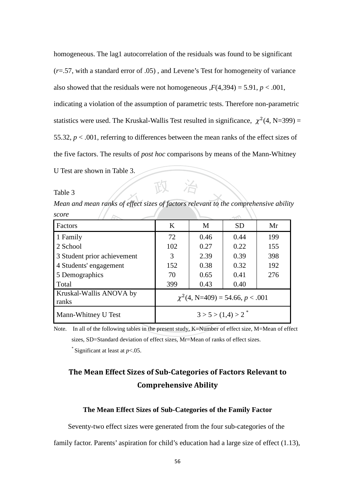homogeneous. The lag1 autocorrelation of the residuals was found to be significant (*r*=.57, with a standard error of .05) , and Levene's Test for homogeneity of variance also showed that the residuals were not homogeneous  $F(4,394) = 5.91$ ,  $p < .001$ ,

indicating a violation of the assumption of parametric tests. Therefore non-parametric statistics were used. The Kruskal-Wallis Test resulted in significance,  $\chi^2(4, N=399)$  = 55.32, *p* < .001, referring to differences between the mean ranks of the effect sizes of the five factors. The results of *post hoc* comparisons by means of the Mann-Whitney

U Test are shown in Table 3.

Table 3

Table 3<br>Mean and mean ranks of effect sizes of factors relevant to the comprehensive ability *score*

| score                            |                                       |                                  |           |     |  |
|----------------------------------|---------------------------------------|----------------------------------|-----------|-----|--|
| Factors                          | K                                     | M                                | <b>SD</b> | Mr  |  |
| 1 Family                         | 72                                    | 0.46                             | 0.44      | 199 |  |
| 2 School                         | 102                                   | 0.27                             | 0.22      | 155 |  |
| 3 Student prior achievement      | 3                                     | 2.39                             | 0.39      | 398 |  |
| 4 Students' engagement           | 152                                   | 0.38                             | 0.32      | 192 |  |
| 5 Demographics                   | 70                                    | 0.65                             | 0.41      | 276 |  |
| Total                            | 399                                   | 0.43                             | 0.40      |     |  |
| Kruskal-Wallis ANOVA by<br>ranks | $\chi^2$ (4, N=409) = 54.66, p < .001 |                                  |           |     |  |
| Mann-Whitney U Test              |                                       | $3 > 5 > (1,4) > 2$ <sup>*</sup> |           |     |  |

Note. In all of the following tables in the present study, K=Number of effect size, M=Mean of effect sizes, SD=Standard deviation of effect sizes, Mr=Mean of ranks of effect sizes.

\* Significant at least at *p*<.05.

# The Mean Effect Sizes of Sub-Categories of Factors Relevant to Comprehensive Ability

#### **The Mean Effect Sizes of Sub-Categories of the Family Factor**

Seventy-two effect sizes were generated from the four sub-categories of the

family factor. Parents' aspiration for child's education had a large size of effect (1.13),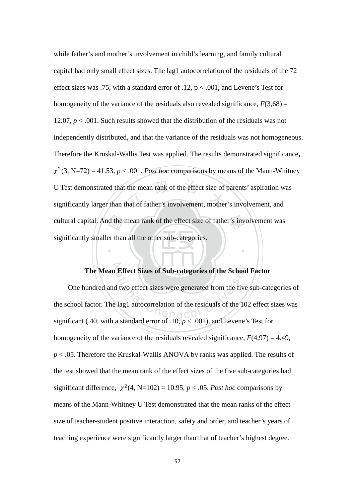cultural capital. And the mean rank of the effect size of father's involvement was<br>significantly smaller than all the other sub-categories. U Test demonstrated that the mean rank of the effect size of parents' aspiration w<br>significantly larger than that of father's involvement, mother's involvement, and while father's and mother's involvement in child's learning, and family cultural capital had only small effect sizes. The lag1 autocorrelation of the residuals of the 72 effect sizes was .75, with a standard error of .12,  $p < .001$ , and Levene's Test for homogeneity of the variance of the residuals also revealed significance,  $F(3,68) =$ 12.07, *p* < .001. Such results showed that the distribution of the residuals was not independently distributed, and that the variance of the residuals was not homogeneous. Therefore the Kruskal-Wallis Test was applied. The results demonstrated significance**,**   $\chi^2$ (3, N=72) = 41.53, *p* < .001. *Post hoc* comparisons by means of the Mann-Whitney U Test demonstrated that the mean rank of the effect size of parents' aspiration was significantly smaller than all the other sub-categories.

# N **The Mean Effect Sizes of Sub-categories of the School Factor**

‧

Effect Sizes of Sub-categories of the School<br>d two effect sizes were generated from the five<br>lag1 autocorrelation of the residuals of the 10<br>estandard error of 10  $\approx$  001) and Lavane's One hundred and two effect sizes were generated from the five sub-categories of the school factor. The lag1 autocorrelation of the residuals of the 102 effect sizes was significant (.40, with a standard error of .10,  $p < .001$ ), and Levene's Test for homogeneity of the variance of the residuals revealed significance,  $F(4,97) = 4.49$ , *p* < .05. Therefore the Kruskal-Wallis ANOVA by ranks was applied. The results of the test showed that the mean rank of the effect sizes of the five sub-categories had significant difference,  $\chi^2$ (4, N=102) = 10.95, *p* < .05. *Post hoc* comparisons by means of the Mann-Whitney U Test demonstrated that the mean ranks of the effect size of teacher-student positive interaction, safety and order, and teacher's years of teaching experience were significantly larger than that of teacher's highest degree.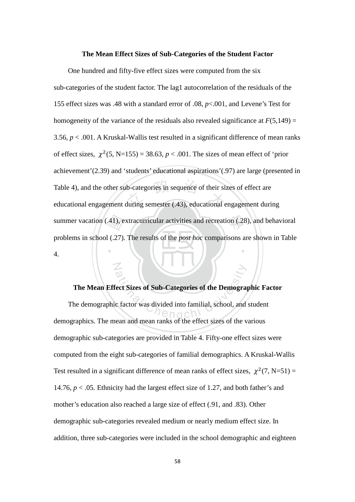#### **The Mean Effect Sizes of Sub-Categories of the Student Factor**

summer vacation (.41), extracurricular activities and recreation (.28), and behavioral problems in school (.27). The results of the *post hoc* comparisons are shown in Table 4. Table 4), and the other sub-categories in sequence of their sizes of effect are<br>educational engagement during semester (.43), educational engagement during ‧ One hundred and fifty-five effect sizes were computed from the six sub-categories of the student factor. The lag1 autocorrelation of the residuals of the 155 effect sizes was .48 with a standard error of .08, *p*<.001, and Levene's Test for homogeneity of the variance of the residuals also revealed significance at  $F(5,149) =$ 3.56, *p* < .001. A Kruskal-Wallis test resulted in a significant difference of mean ranks of effect sizes,  $\chi^2$ (5, N=155) = 38.63,  $p < .001$ . The sizes of mean effect of 'prior achievement'(2.39) and 'students' educational aspirations'(.97) are large (presented in Table 4), and the other sub-categories in sequence of their sizes of effect are problems in school (.27). The results of the *post hoc* comparisons are shown in Table 4.

#### **The Mean Effect Sizes of Sub-Categories of the Demographic Factor**

N

ect Sizes of Sub-Categories of the Demograp<br>
c factor was divided into familial, school, and The demographic factor was divided into familial, school, and student demographics. The mean and mean ranks of the effect sizes of the various demographic sub-categories are provided in Table 4. Fifty-one effect sizes were computed from the eight sub-categories of familial demographics. A Kruskal-Wallis Test resulted in a significant difference of mean ranks of effect sizes,  $\chi^2(7, N=51) =$ 14.76, *p* < .05. Ethnicity had the largest effect size of 1.27, and both father's and mother's education also reached a large size of effect (.91, and .83). Other demographic sub-categories revealed medium or nearly medium effect size. In addition, three sub-categories were included in the school demographic and eighteen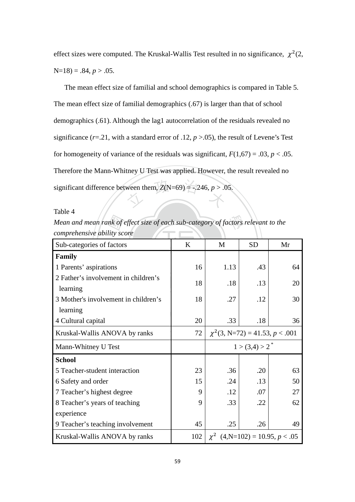effect sizes were computed. The Kruskal-Wallis Test resulted in no significance,  $\chi^2(2, \chi)$  $N=18$ ) = .84,  $p > .05$ .

ween them,  $Z(N=69) = -.246, p > .0$  The mean effect size of familial and school demographics is compared in Table 5. The mean effect size of familial demographics (.67) is larger than that of school demographics (.61). Although the lag1 autocorrelation of the residuals revealed no significance (*r*=.21, with a standard error of .12, *p* >.05), the result of Levene's Test for homogeneity of variance of the residuals was significant,  $F(1,67) = .03$ ,  $p < .05$ . Therefore the Mann-Whitney U Test was applied. However, the result revealed no significant difference between them,  $Z(N=69) = -.246, p > .05.$ 

Table 4

*Mean and mean rank of effect size of each sub-category of factors relevant to the comprehensive ability score*

| Mean and mean rank of effect size of each sub-category of factors relevant to the<br>comprehensive ability score |     |                                      |           |    |
|------------------------------------------------------------------------------------------------------------------|-----|--------------------------------------|-----------|----|
| Sub-categories of factors                                                                                        | K   | M                                    | <b>SD</b> | Mr |
| Family                                                                                                           |     |                                      |           |    |
| 1 Parents' aspirations                                                                                           | 16  | 1.13                                 | .43       | 64 |
| 2 Father's involvement in children's<br>learning                                                                 | 18  | .18                                  | .13       | 20 |
| 3 Mother's involvement in children's                                                                             | 18  | .27                                  | .12       | 30 |
| learning                                                                                                         |     |                                      |           |    |
| 4 Cultural capital                                                                                               | 20  | .33                                  | .18       | 36 |
| Kruskal-Wallis ANOVA by ranks                                                                                    | 72  | $\chi^2$ (3, N=72) = 41.53, p < .001 |           |    |
| Mann-Whitney U Test                                                                                              |     | $1 > (3,4) > 2^*$                    |           |    |
| <b>School</b>                                                                                                    |     |                                      |           |    |
| 5 Teacher-student interaction                                                                                    | 23  | .36                                  | .20       | 63 |
| 6 Safety and order                                                                                               | 15  | .24                                  | .13       | 50 |
| 7 Teacher's highest degree                                                                                       | 9   | .12                                  | .07       | 27 |
| 8 Teacher's years of teaching                                                                                    | 9   | .33                                  | .22       | 62 |
| experience                                                                                                       |     |                                      |           |    |
| 9 Teacher's teaching involvement                                                                                 | 45  | .25                                  | .26       | 49 |
| Kruskal-Wallis ANOVA by ranks                                                                                    | 102 | $\chi^2$ (4,N=102) = 10.95, p < .05  |           |    |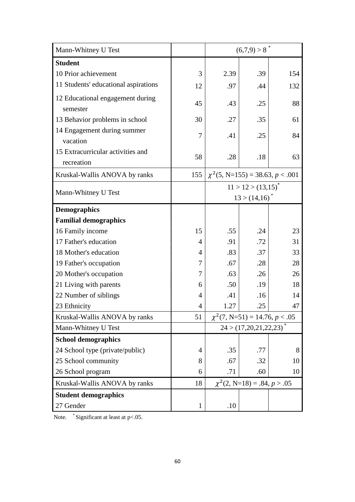| Mann-Whitney U Test                             |     |                                       | $(6,7,9) > 8$ <sup>*</sup>           |     |
|-------------------------------------------------|-----|---------------------------------------|--------------------------------------|-----|
| <b>Student</b>                                  |     |                                       |                                      |     |
| 10 Prior achievement                            | 3   | 2.39                                  | .39                                  | 154 |
| 11 Students' educational aspirations            | 12  | .97                                   | .44                                  | 132 |
| 12 Educational engagement during<br>semester    | 45  | .43                                   | .25                                  | 88  |
| 13 Behavior problems in school                  | 30  | .27                                   | .35                                  | 61  |
| 14 Engagement during summer<br>vacation         | 7   | .41                                   | .25                                  | 84  |
| 15 Extracurricular activities and<br>recreation | 58  | .28                                   | .18                                  | 63  |
| Kruskal-Wallis ANOVA by ranks                   | 155 | $\chi^2$ (5, N=155) = 38.63, p < .001 |                                      |     |
| Mann-Whitney U Test                             |     |                                       | $11 > 12 > (13,15)^{*}$              |     |
|                                                 |     | $13 > (14,16)^{*}$                    |                                      |     |
| <b>Demographics</b>                             |     |                                       |                                      |     |
| <b>Familial demographics</b>                    |     |                                       |                                      |     |
| 16 Family income                                | 15  | .55                                   | .24                                  | 23  |
| 17 Father's education                           | 4   | .91                                   | .72                                  | 31  |
| 18 Mother's education                           | 4   | .83                                   | .37                                  | 33  |
| 19 Father's occupation                          | 7   | .67                                   | .28                                  | 28  |
| 20 Mother's occupation                          | 7   | .63                                   | .26                                  | 26  |
| 21 Living with parents                          | 6   | .50                                   | .19                                  | 18  |
| 22 Number of siblings                           | 4   | .41                                   | .16                                  | 14  |
| 23 Ethnicity                                    | 4   | 1.27                                  | .25                                  | 47  |
| Kruskal-Wallis ANOVA by ranks                   | 51  |                                       | $\chi^2$ (7, N=51) = 14.76, p < .05  |     |
| Mann-Whitney U Test                             |     |                                       | $24 > (17,20,21,22,23)$ <sup>*</sup> |     |
| <b>School demographics</b>                      |     |                                       |                                      |     |
| 24 School type (private/public)                 | 4   | .35                                   | .77                                  | 8   |
| 25 School community                             | 8   | .67                                   | .32                                  | 10  |
| 26 School program                               | 6   | .71                                   | .60                                  | 10  |
| Kruskal-Wallis ANOVA by ranks                   | 18  |                                       | $\chi^2(2, N=18) = .84, p > .05$     |     |
| <b>Student demographics</b>                     |     |                                       |                                      |     |
| 27 Gender                                       | 1   | .10                                   |                                      |     |

Note. \* Significant at least at p<.05.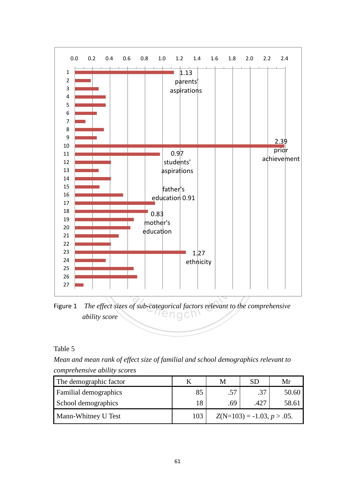

Figure 1 *The effect sizes of sub-categorical factors relevant to the comprehensive ability score* 

Table 5

*Mean and mean rank of effect size of familial and school demographics relevant to comprehensive ability scores*

| The demographic factor       |     | M                            | <b>SD</b> | Mr    |
|------------------------------|-----|------------------------------|-----------|-------|
| <b>Familial demographics</b> | 85  | .57                          | .37       | 50.60 |
| School demographics          | 18  | .69                          | .427      | 58.61 |
| Mann-Whitney U Test          | 103 | $Z(N=103) = -1.03, p > .05.$ |           |       |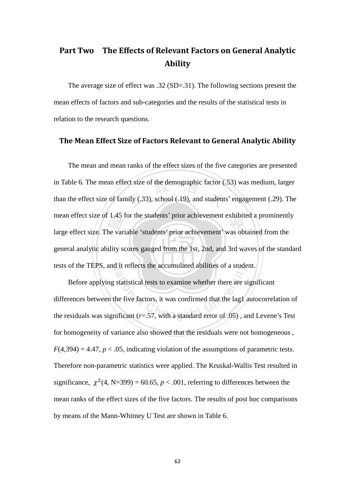# Part Two The Effects of Relevant Factors on General Analytic Ability

The average size of effect was .32 (SD=.31). The following sections present the mean effects of factors and sub-categories and the results of the statistical tests in relation to the research questions.

#### The Mean Effect Size of Factors Relevant to General Analytic Ability

general analytic ability scores gauged from the 1st, 2nd, and 3rd waves of the standard 1,45<br>
ne var<br>
ility se ect size of the demographic factor (.<br>
nily (.33), school (.19), and students mean effect size of 1.45 for the students' prior achievement exhibited a prominently tests of the TEPS, and it reflects the accumulated abilities of a student. The mean and mean ranks of the effect sizes of the five categories are presented in Table 6. The mean effect size of the demographic factor (.53) was medium, larger than the effect size of family (.33), school (.19), and students' engagement (.29). The large effect size. The variable 'students' prior achievement' was obtained from the

If it reflects the accumulated abilities of a stude<br>statistical tests to examine whether there are si<br>the five factors, it was confirmed that the lag1 a<br>ificant ( $r=0.57$ , with a standard error of .05), an Before applying statistical tests to examine whether there are significant differences between the five factors, it was confirmed that the lag1 autocorrelation of the residuals was significant  $(r=.57$ , with a standard error of  $.05)$ , and Levene's Test for homogeneity of variance also showed that the residuals were not homogeneous ,  $F(4,394) = 4.47$ ,  $p < .05$ , indicating violation of the assumptions of parametric tests. Therefore non-parametric statistics were applied. The Kruskal-Wallis Test resulted in significance,  $\chi^2$ (4, N=399) = 60.65,  $p < .001$ , referring to differences between the mean ranks of the effect sizes of the five factors. The results of post hoc comparisons by means of the Mann-Whitney U Test are shown in Table 6.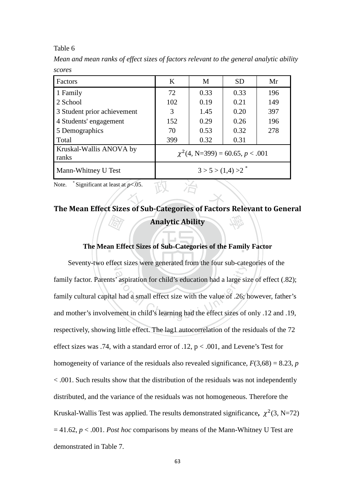#### Table 6

*Mean and mean ranks of effect sizes of factors relevant to the general analytic ability scores* 

| Factors                          | K                                     | M    | <b>SD</b> | Mr  |  |  |
|----------------------------------|---------------------------------------|------|-----------|-----|--|--|
| 1 Family                         | 72                                    | 0.33 | 0.33      | 196 |  |  |
| 2 School                         | 102                                   | 0.19 | 0.21      | 149 |  |  |
| 3 Student prior achievement      | 3                                     | 1.45 | 0.20      | 397 |  |  |
| 4 Students' engagement           | 152                                   | 0.29 | 0.26      | 196 |  |  |
| 5 Demographics                   | 70                                    | 0.53 | 0.32      | 278 |  |  |
| Total                            | 399                                   | 0.32 | 0.31      |     |  |  |
| Kruskal-Wallis ANOVA by<br>ranks | $\chi^2$ (4, N=399) = 60.65, p < .001 |      |           |     |  |  |
| Mann-Whitney U Test              | $3 > 5 > (1,4) > 2$ <sup>*</sup>      |      |           |     |  |  |

Note. \* Significant at least at *p*<.05.

# **Address**<br> **an Eff** Note. \* Significant at least at  $p<.05$ .<br>The Mean Effect Sizes of Sub-Categories of Factors Relevant to General 學 Analytic Ability

# ‧ **The Mean Effect Sizes of Sub-Categories of the Family Factor**

Seventy-two effect sizes were generated from the four sub-categories of the ation for child's education had a large size.<br>I had a small effect size with the value of .26; I hence in child's learning had the effect sizes of family factor. Parents' aspiration for child's education had a large size of effect (.82); family cultural capital had a small effect size with the value of .26; however, father's and mother's involvement in child's learning had the effect sizes of only .12 and .19, respectively, showing little effect. The lag1 autocorrelation of the residuals of the 72 effect sizes was .74, with a standard error of .12,  $p < .001$ , and Levene's Test for homogeneity of variance of the residuals also revealed significance,  $F(3,68) = 8.23$ , *p* < .001. Such results show that the distribution of the residuals was not independently distributed, and the variance of the residuals was not homogeneous. Therefore the Kruskal-Wallis Test was applied. The results demonstrated significance,  $\chi^2(3, N=72)$ = 41.62, *p* < .001. *Post hoc* comparisons by means of the Mann-Whitney U Test are demonstrated in Table 7.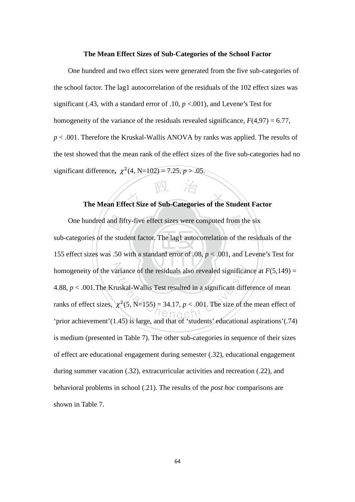#### **The Mean Effect Sizes of Sub-Categories of the School Factor**

One hundred and two effect sizes were generated from the five sub-categories of the school factor. The lag1 autocorrelation of the residuals of the 102 effect sizes was significant (.43, with a standard error of .10, *p* <.001), and Levene's Test for homogeneity of the variance of the residuals revealed significance,  $F(4,97) = 6.77$ , *p* < .001. Therefore the Kruskal-Wallis ANOVA by ranks was applied. The results of the test showed that the mean rank of the effect sizes of the five sub-categories had no significant difference,  $\chi^2(4, N=102) = 7.25, p > .05.$ 

# The Mean Effect Size of Sub-Categories of the Student Factor

 $\mathbb{R}$  .  $\mathbb{R}$  .  $\mathbb{R}$  .  $\mathbb{R}$  .  $\mathbb{R}$  .  $\mathbb{R}$  .  $\mathbb{R}$ and fil<br>ne studes .50 One hundred and fifty-five effect sizes were computed from the six homogeneity of the variance of the residuals also revealed significance at  $F(5,149) =$ ariance of the residuals also revealed significant<br>uskal-Wallis Test resulted in a significant different<br> $\chi^2$ (5, N=155) = 34.17, p < .001. The size of the<br>45) is large and that of istudents' advantance sub-categories of the student factor. The lag1 autocorrelation of the residuals of the 155 effect sizes was .50 with a standard error of .08, *p* < .001, and Levene's Test for 4.88, *p* < .001.The Kruskal-Wallis Test resulted in a significant difference of mean ranks of effect sizes,  $\chi^2$ (5, N=155) = 34.17, *p* < .001. The size of the mean effect of 'prior achievement'(1.45) is large, and that of 'students' educational aspirations'(.74) is medium (presented in Table 7). The other sub-categories in sequence of their sizes of effect are educational engagement during semester (.32), educational engagement during summer vacation (.32), extracurricular activities and recreation (.22), and behavioral problems in school (.21). The results of the *post hoc* comparisons are shown in Table 7.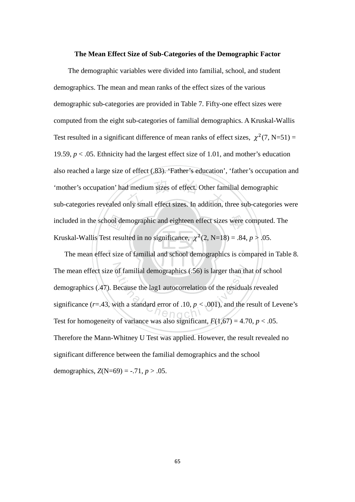#### **The Mean Effect Size of Sub-Categories of the Demographic Factor**

ool de<br>st resu<br>t size 'mother's occupation' had medium sizes of effect. Other familial demographic<br>sub-categories revealed only small effect sizes. In addition, three sub-categories were included in the school demographic and eighteen effect sizes were computed. The The demographic variables were divided into familial, school, and student demographics. The mean and mean ranks of the effect sizes of the various demographic sub-categories are provided in Table 7. Fifty-one effect sizes were computed from the eight sub-categories of familial demographics. A Kruskal-Wallis Test resulted in a significant difference of mean ranks of effect sizes,  $\chi^2(7, N=51) =$ 19.59,  $p < .05$ . Ethnicity had the largest effect size of 1.01, and mother's education also reached a large size of effect (.83). 'Father's education', 'father's occupation and 'mother's occupation' had medium sizes of effect. Other familial demographic Kruskal-Wallis Test resulted in no significance,  $\chi^2(2, N=18) = .84, p > .05$ .

‧‧ The mean effect size of familial demographics (.56) is larger than that of school of familial demographics (.56) is larger than the<br>Because the lag1 autocorrelation of the residual<br>vith a standard error of .10,  $p < .001$ ), and the residual The mean effect size of familial and school demographics is compared in Table 8. demographics (.47). Because the lag1 autocorrelation of the residuals revealed significance ( $r = .43$ , with a standard error of  $.10, p < .001$ ), and the result of Levene's Test for homogeneity of variance was also significant,  $F(1,67) = 4.70$ ,  $p < .05$ . Therefore the Mann-Whitney U Test was applied. However, the result revealed no significant difference between the familial demographics and the school demographics,  $Z(N=69) = -.71, p > .05$ .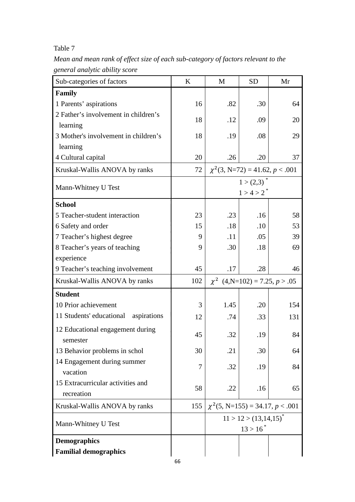### Table 7

*Mean and mean rank of effect size of each sub-category of factors relevant to the general analytic ability score*

| Sub-categories of factors            | K   | M                                     | <b>SD</b> | Mr  |
|--------------------------------------|-----|---------------------------------------|-----------|-----|
| <b>Family</b>                        |     |                                       |           |     |
| 1 Parents' aspirations               | 16  | .82                                   | .30       | 64  |
| 2 Father's involvement in children's | 18  | .12                                   | .09       | 20  |
| learning                             |     |                                       |           |     |
| 3 Mother's involvement in children's | 18  | .19                                   | .08       | 29  |
| learning                             |     |                                       |           |     |
| 4 Cultural capital                   | 20  | .26                                   | .20       | 37  |
| Kruskal-Wallis ANOVA by ranks        | 72  | $\chi^2$ (3, N=72) = 41.62, p < .001  |           |     |
| Mann-Whitney U Test                  |     | $1 > (2,3)^{*}$                       |           |     |
|                                      |     | $1 > 4 > 2^*$                         |           |     |
| <b>School</b>                        |     |                                       |           |     |
| 5 Teacher-student interaction        | 23  | .23                                   | .16       | 58  |
| 6 Safety and order                   | 15  | .18                                   | .10       | 53  |
| 7 Teacher's highest degree           | 9   | .11                                   | .05       | 39  |
| 8 Teacher's years of teaching        | 9   | .30                                   | .18       | 69  |
| experience                           |     |                                       |           |     |
| 9 Teacher's teaching involvement     | 45  | .17                                   | .28       | 46  |
| Kruskal-Wallis ANOVA by ranks        | 102 | $\chi^2$ (4,N=102) = 7.25, p > .05    |           |     |
| <b>Student</b>                       |     |                                       |           |     |
| 10 Prior achievement                 | 3   | 1.45                                  | .20       | 154 |
| 11 Students' educational aspirations | 12  | .74                                   | .33       | 131 |
| 12 Educational engagement during     | 45  | .32                                   | .19       | 84  |
| semester                             |     |                                       |           |     |
| 13 Behavior problems in schol        | 30  | .21                                   | .30       | 64  |
| 14 Engagement during summer          | 7   | .32                                   | .19       | 84  |
| vacation                             |     |                                       |           |     |
| 15 Extracurricular activities and    | 58  | .22                                   | .16       | 65  |
| recreation                           |     |                                       |           |     |
| Kruskal-Wallis ANOVA by ranks        | 155 | $\chi^2$ (5, N=155) = 34.17, p < .001 |           |     |
| Mann-Whitney U Test                  |     | $11 > 12 > (13, 14, 15)^{*}$          |           |     |
|                                      |     | $13 > 16^*$                           |           |     |
| <b>Demographics</b>                  |     |                                       |           |     |
| <b>Familial demographics</b>         |     |                                       |           |     |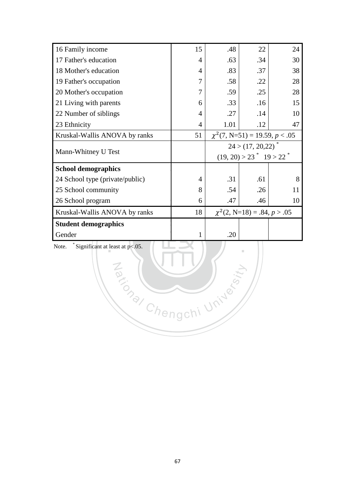| 16 Family income                | 15 | .48                                                 | 22  | 24 |  |
|---------------------------------|----|-----------------------------------------------------|-----|----|--|
| 17 Father's education           | 4  | .63                                                 | .34 | 30 |  |
| 18 Mother's education           | 4  | .83                                                 | .37 | 38 |  |
| 19 Father's occupation          | 7  | .58                                                 | .22 | 28 |  |
| 20 Mother's occupation          | 7  | .59                                                 | .25 | 28 |  |
| 21 Living with parents          | 6  | .33                                                 | .16 | 15 |  |
| 22 Number of siblings           | 4  | .27                                                 | .14 | 10 |  |
| 23 Ethnicity                    | 4  | 1.01                                                | .12 | 47 |  |
| Kruskal-Wallis ANOVA by ranks   | 51 | $\chi^2$ (7, N=51) = 19.59, p < .05                 |     |    |  |
|                                 |    | 24 > (17, 20, 22)                                   |     |    |  |
| Mann-Whitney U Test             |    | $(19, 20) > 23$ <sup>*</sup> $19 > 22$ <sup>*</sup> |     |    |  |
| <b>School demographics</b>      |    |                                                     |     |    |  |
| 24 School type (private/public) | 4  | .31                                                 | .61 | 8  |  |
| 25 School community             | 8  | .54                                                 | .26 | 11 |  |
| 26 School program               | 6  | .47                                                 | .46 | 10 |  |
| Kruskal-Wallis ANOVA by ranks   | 18 | $\chi^2(2, N=18) = .84, p > .05$                    |     |    |  |
| <b>Student demographics</b>     |    |                                                     |     |    |  |
| Gender                          | 1  | .20                                                 |     |    |  |
|                                 |    |                                                     |     |    |  |

Za (NIV)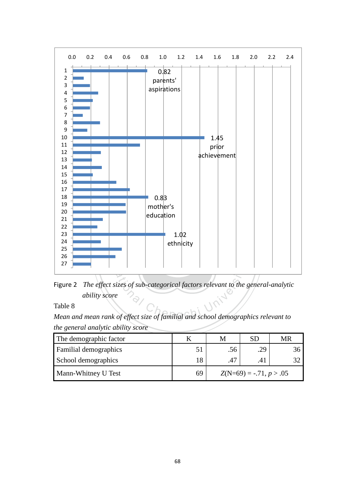

Figure 2 The effect sizes of sub-categorical factors relevant to the general-analytic<br>ability score<br>Mean and mean rank of effect size of familial and school demographics relevant to Figure 2 *The effect sizes of sub-categorical factors relevant to the general-analytic ability score* 

Table 8

*the general analytic ability score*

| The demographic factor       |    | M                         | SГ  | MR |
|------------------------------|----|---------------------------|-----|----|
| <b>Familial demographics</b> | 51 | .56                       | .29 |    |
| School demographics          | 18 | .47                       | .41 |    |
| <b>Mann-Whitney U Test</b>   | 69 | $Z(N=69) = -.71, p > .05$ |     |    |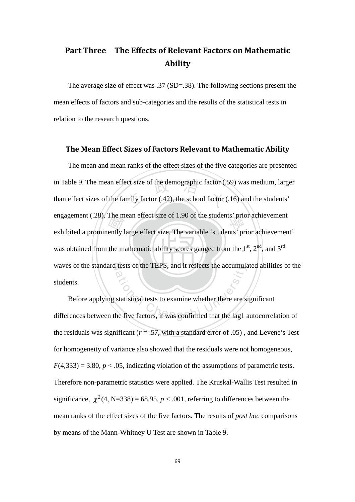# Part Three The Effects of Relevant Factors on Mathematic Ability

The average size of effect was .37 (SD=.38). The following sections present the mean effects of factors and sub-categories and the results of the statistical tests in relation to the research questions.

#### The Mean Effect Sizes of Factors Relevant to Mathematic Ability

‧I he m<br>ently l<br>the m ect size of the demographic factor (.<br>mily factor (.42), the school factor ( engagement (.28). The mean effect size of 1.90 of the students' prior achievement was obtained from the mathematic ability scores gauged from the  $1<sup>st</sup>$ ,  $2<sup>nd</sup>$ , and  $3<sup>rd</sup>$ waves of the standard tests of the TEPS, and it reflects the accumulated abilities of the The mean and mean ranks of the effect sizes of the five categories are presented in Table 9. The mean effect size of the demographic factor (.59) was medium, larger than effect sizes of the family factor (.42), the school factor (.16) and the students' exhibited a prominently large effect size. The variable 'students' prior achievement' students.

waves of the standard tests of the TEPS, and it reflects the accumulated abilities of the<br>students.<br>Before applying statistical tests to examine whether there are significant<br>differences between the five factors, it was co Before applying statistical tests to examine whether there are significant the residuals was significant ( $r = .57$ , with a standard error of .05), and Levene's Test for homogeneity of variance also showed that the residuals were not homogeneous,  $F(4,333) = 3.80, p < .05$ , indicating violation of the assumptions of parametric tests. Therefore non-parametric statistics were applied. The Kruskal-Wallis Test resulted in significance,  $\chi^2$ (4, N=338) = 68.95, *p* < .001, referring to differences between the mean ranks of the effect sizes of the five factors. The results of *post hoc* comparisons by means of the Mann-Whitney U Test are shown in Table 9.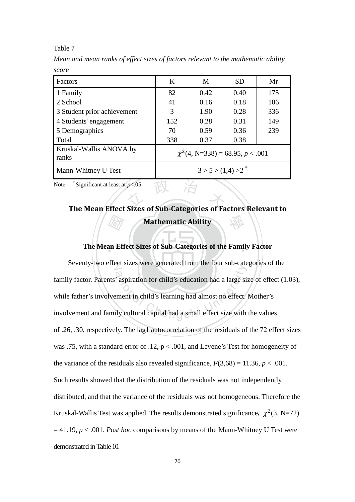#### Table 7

*Mean and mean ranks of effect sizes of factors relevant to the mathematic ability score* 

| Factors                          | K                                     | M    | <b>SD</b> | Mr  |  |
|----------------------------------|---------------------------------------|------|-----------|-----|--|
| 1 Family                         | 82                                    | 0.42 | 0.40      | 175 |  |
| 2 School                         | 41                                    | 0.16 | 0.18      | 106 |  |
| 3 Student prior achievement      | 3                                     | 1.90 | 0.28      | 336 |  |
| 4 Students' engagement           | 152                                   | 0.28 | 0.31      | 149 |  |
| 5 Demographics                   | 70                                    | 0.59 | 0.36      | 239 |  |
| Total                            | 338                                   | 0.37 | 0.38      |     |  |
| Kruskal-Wallis ANOVA by<br>ranks | $\chi^2$ (4, N=338) = 68.95, p < .001 |      |           |     |  |
| Mann-Whitney U Test              | $3 > 5 > (1,4) > 2$ <sup>*</sup>      |      |           |     |  |

Note. \* Significant at least at *p*<.05.

# **Address**<br> **an Eff** \* Significant at least at  $p < 0.05$ .<br>The Mean Effect Sizes of Sub-Categories of Factors Relevant to 學 Mathematic Ability

# ‧ **The Mean Effect Sizes of Sub-Categories of the Family Factor**

Seventy-two effect sizes were generated from the four sub-categories of the ation for child's education had a large size.<br>
The set of the child's education had a large size with<br>
The child's learning had almost no effect. family factor. Parents' aspiration for child's education had a large size of effect (1.03), while father's involvement in child's learning had almost no effect. Mother's involvement and family cultural capital had a small effect size with the values of .26, .30, respectively. The lag1 autocorrelation of the residuals of the 72 effect sizes was .75, with a standard error of .12,  $p < .001$ , and Levene's Test for homogeneity of the variance of the residuals also revealed significance,  $F(3,68) = 11.36, p < .001$ . Such results showed that the distribution of the residuals was not independently distributed, and that the variance of the residuals was not homogeneous. Therefore the Kruskal-Wallis Test was applied. The results demonstrated significance,  $\chi^2(3, N=72)$  $= 41.19$ ,  $p < .001$ . *Post hoc* comparisons by means of the Mann-Whitney U Test were demonstrated in Table 10.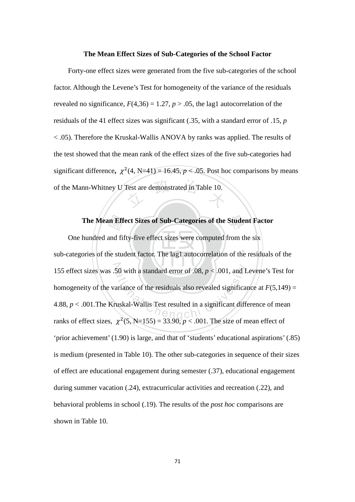#### **The Mean Effect Sizes of Sub-Categories of the School Factor**

Test are demonstrated in Table 10. Forty-one effect sizes were generated from the five sub-categories of the school factor. Although the Levene's Test for homogeneity of the variance of the residuals revealed no significance,  $F(4,36) = 1.27$ ,  $p > .05$ , the lag1 autocorrelation of the residuals of the 41 effect sizes was significant (.35, with a standard error of .15, *p*  < .05). Therefore the Kruskal-Wallis ANOVA by ranks was applied. The results of the test showed that the mean rank of the effect sizes of the five sub-categories had significant difference,  $\chi^2$ (4, N=41) = 16.45,  $p < .05$ . Post hoc comparisons by means of the Mann-Whitney U Test are demonstrated in Table 10.

 $\mathcal{L}$  .  $\mathcal{L}$  .  $\mathcal{L}$  ,  $\mathcal{L}$  ,  $\mathcal{L}$  ,  $\mathcal{L}$  ,  $\mathcal{L}$ The Mean Effect Sizes of Sub-Categories of the Student Factor hundred and fifty-five effect sizes were computed from the six ories of the student factor. The lag1 autocorrelation of the residuals 155 effect sizes was .50 with a standard error of .08,  $p < .001$ , and Levene's Test for 50 with a standard error of .08,  $p < .001$ , and L<br>ariance of the residuals also revealed significan<br>uskal-Wallis Test resulted in a significant different One hundred and fifty-five effect sizes were computed from the six sub-categories of the student factor. The lag1 autocorrelation of the residuals of the homogeneity of the variance of the residuals also revealed significance at  $F(5,149)$  = 4.88, *p* < .001.The Kruskal-Wallis Test resulted in a significant difference of mean ranks of effect sizes,  $\chi^2$ (5, N=155) = 33.90,  $p < .001$ . The size of mean effect of 'prior achievement' (1.90) is large, and that of 'students' educational aspirations' (.85) is medium (presented in Table 10). The other sub-categories in sequence of their sizes of effect are educational engagement during semester (.37), educational engagement during summer vacation (.24), extracurricular activities and recreation (.22), and behavioral problems in school (.19). The results of the *post hoc* comparisons are shown in Table 10.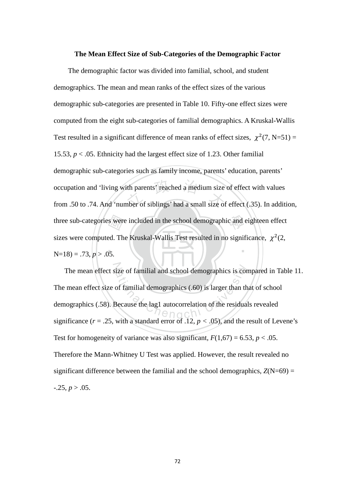#### **The Mean Effect Size of Sub-Categories of the Demographic Factor**

 $N=18$ ) = .73,  $p > .05$ . s were<br>ed. Th<br>05. occupation and 'living with parents' reached a medium size of effect with values<br>from .50 to .74. And 'number of siblings' had a small size of effect (.35). In addition, three sub-categories were included in the school demographic and eighteen effect ‧ The demographic factor was divided into familial, school, and student demographics. The mean and mean ranks of the effect sizes of the various demographic sub-categories are presented in Table 10. Fifty-one effect sizes were computed from the eight sub-categories of familial demographics. A Kruskal-Wallis Test resulted in a significant difference of mean ranks of effect sizes,  $\chi^2(7, N=51) =$ 15.53,  $p < .05$ . Ethnicity had the largest effect size of 1.23. Other familial demographic sub-categories such as family income, parents' education, parents' occupation and 'living with parents' reached a medium size of effect with values sizes were computed. The Kruskal-Wallis Test resulted in no significance,  $\chi^2(2, \chi)$ 

The mean effect size of familial and school demographics is compared in Table 11. ize of familial and school demographics is con<br>of familial demographics (.60) is larger than the<br>Because the lag1 autocorrelation of the residual The mean effect size of familial demographics (.60) is larger than that of school demographics (.58). Because the lag1 autocorrelation of the residuals revealed significance ( $r = .25$ , with a standard error of .12,  $p < .05$ ), and the result of Levene's Test for homogeneity of variance was also significant,  $F(1,67) = 6.53$ ,  $p < .05$ . Therefore the Mann-Whitney U Test was applied. However, the result revealed no significant difference between the familial and the school demographics,  $Z(N=69) =$  $-0.25, p > 0.05$ .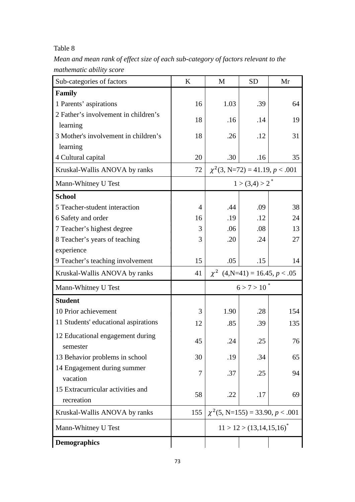# Table 8

*Mean and mean rank of effect size of each sub-category of factors relevant to the mathematic ability score*

| Sub-categories of factors                       | $\bf K$ | M                                     | <b>SD</b>                          | Mr                                   |
|-------------------------------------------------|---------|---------------------------------------|------------------------------------|--------------------------------------|
| Family                                          |         |                                       |                                    |                                      |
| 1 Parents' aspirations                          | 16      | 1.03                                  | .39                                | 64                                   |
| 2 Father's involvement in children's            | 18      | .16                                   | .14                                | 19                                   |
| learning                                        |         |                                       |                                    |                                      |
| 3 Mother's involvement in children's            | 18      | .26                                   | .12                                | 31                                   |
| learning                                        |         |                                       |                                    |                                      |
| 4 Cultural capital                              | 20      | .30                                   | .16                                | 35                                   |
| Kruskal-Wallis ANOVA by ranks                   | 72      |                                       |                                    | $\chi^2$ (3, N=72) = 41.19, p < .001 |
| Mann-Whitney U Test                             |         |                                       | $1 > (3,4) > 2^*$                  |                                      |
| <b>School</b>                                   |         |                                       |                                    |                                      |
| 5 Teacher-student interaction                   | 4       | .44                                   | .09                                | 38                                   |
| 6 Safety and order                              | 16      | .19                                   | .12                                | 24                                   |
| 7 Teacher's highest degree                      | 3       | .06                                   | .08                                | 13                                   |
| 8 Teacher's years of teaching                   | 3       | .20                                   | .24                                | 27                                   |
| experience                                      |         |                                       |                                    |                                      |
| 9 Teacher's teaching involvement                | 15      | .05                                   | .15                                | 14                                   |
| Kruskal-Wallis ANOVA by ranks                   | 41      |                                       | $\chi^2$ (4,N=41) = 16.45, p < .05 |                                      |
| Mann-Whitney U Test                             |         |                                       | $6 > 7 > 10^{*}$                   |                                      |
| <b>Student</b>                                  |         |                                       |                                    |                                      |
| 10 Prior achievement                            | 3       | 1.90                                  | .28                                | 154                                  |
| 11 Students' educational aspirations            | 12      | .85                                   | .39                                | 135                                  |
| 12 Educational engagement during<br>semester    | 45      | 24                                    | 25                                 | 76                                   |
| 13 Behavior problems in school                  | 30      | .19                                   | .34                                | 65                                   |
| 14 Engagement during summer<br>vacation         | 7       | .37                                   | .25                                | 94                                   |
| 15 Extracurricular activities and<br>recreation | 58      | .22                                   | .17                                | 69                                   |
| Kruskal-Wallis ANOVA by ranks                   | 155     | $\chi^2$ (5, N=155) = 33.90, p < .001 |                                    |                                      |
| Mann-Whitney U Test                             |         | $11 > 12 > (13, 14, 15, 16)^{*}$      |                                    |                                      |
| <b>Demographics</b>                             |         |                                       |                                    |                                      |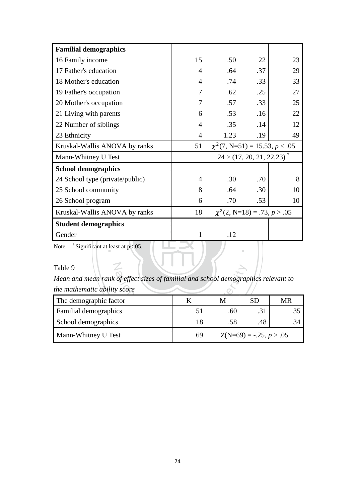| <b>Familial demographics</b>                            |    |                                     |     |    |
|---------------------------------------------------------|----|-------------------------------------|-----|----|
| 16 Family income                                        | 15 | .50                                 | 22  | 23 |
| 17 Father's education                                   | 4  | .64                                 | .37 | 29 |
| 18 Mother's education                                   | 4  | .74                                 | .33 | 33 |
| 19 Father's occupation                                  | 7  | .62                                 | .25 | 27 |
| 20 Mother's occupation                                  | 7  | .57                                 | .33 | 25 |
| 21 Living with parents                                  | 6  | .53                                 | .16 | 22 |
| 22 Number of siblings                                   | 4  | .35                                 | .14 | 12 |
| 23 Ethnicity                                            | 4  | 1.23                                | .19 | 49 |
| Kruskal-Wallis ANOVA by ranks                           | 51 | $\chi^2$ (7, N=51) = 15.53, p < .05 |     |    |
| Mann-Whitney U Test                                     |    | 24 > (17, 20, 21, 22, 23)           |     |    |
| <b>School demographics</b>                              |    |                                     |     |    |
| 24 School type (private/public)                         | 4  | .30                                 | .70 | 8  |
| 25 School community                                     | 8  | .64                                 | .30 | 10 |
| 26 School program                                       | 6  | .70                                 | .53 | 10 |
| Kruskal-Wallis ANOVA by ranks                           | 18 | $\chi^2(2, N=18) = .73, p > .05$    |     |    |
| <b>Student demographics</b>                             |    |                                     |     |    |
| Gender                                                  | 1  | .12                                 |     |    |
| <sup>a</sup> Significant at least at $p<.05$ .<br>Note. |    |                                     | m   |    |

N

# Table 9

| Table 9                                                                            |    |     |                           |    |  |
|------------------------------------------------------------------------------------|----|-----|---------------------------|----|--|
| Mean and mean rank of effect sizes of familial and school demographics relevant to |    |     |                           |    |  |
| the mathematic ability score                                                       |    |     |                           |    |  |
| The demographic factor                                                             | K  | M   | <b>SD</b>                 | MR |  |
| Familial demographics                                                              | 51 | .60 | .31                       | 35 |  |
| School demographics                                                                | 18 | .58 | .48                       | 34 |  |
| Mann-Whitney U Test                                                                | 69 |     | $Z(N=69) = -.25, p > .05$ |    |  |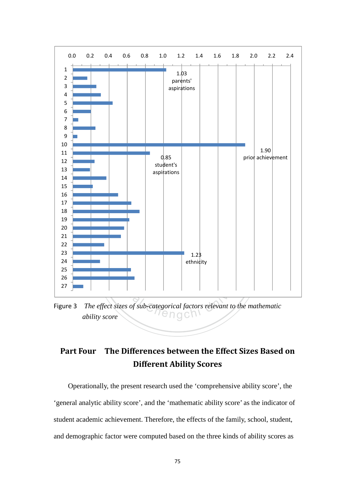

Figure 3 *The effect sizes of sub-categorical factors relevant to the mathematic ability score*

# Part Four The Differences between the Effect Sizes Based on Different Ability Scores

Operationally, the present research used the 'comprehensive ability score', the 'general analytic ability score', and the 'mathematic ability score' as the indicator of student academic achievement. Therefore, the effects of the family, school, student, and demographic factor were computed based on the three kinds of ability scores as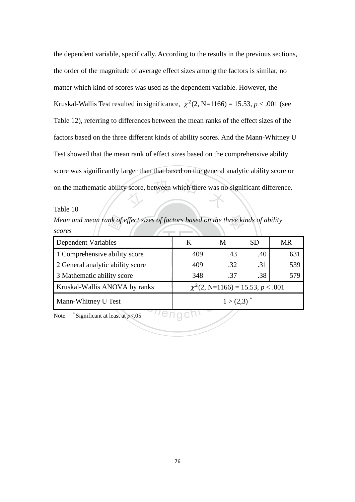score, between which there was no the dependent variable, specifically. According to the results in the previous sections, the order of the magnitude of average effect sizes among the factors is similar, no matter which kind of scores was used as the dependent variable. However, the Kruskal-Wallis Test resulted in significance,  $\chi^2(2, N=1166) = 15.53, p < .001$  (see Table 12), referring to differences between the mean ranks of the effect sizes of the factors based on the three different kinds of ability scores. And the Mann-Whitney U Test showed that the mean rank of effect sizes based on the comprehensive ability score was significantly larger than that based on the general analytic ability score or on the mathematic ability score, between which there was no significant difference.

Table 10

*scores* 

| Mean and mean rank of effect sizes of factors based on the three kinds of ability |                 |     |           |     |
|-----------------------------------------------------------------------------------|-----------------|-----|-----------|-----|
| scores                                                                            |                 |     |           |     |
| Dependent Variables                                                               | K               | M   | <b>SD</b> | MR  |
| 1 Comprehensive ability score                                                     | 409             | .43 | .40       | 631 |
| 2 General analytic ability score                                                  | 409             | .32 | .31       | 539 |
| 3 Mathematic ability score                                                        | 348             | .37 | .38       | 579 |
| $\chi^2$ (2, N=1166) = 15.53, p < .001<br>Kruskal-Wallis ANOVA by ranks           |                 |     |           |     |
| Mann-Whitney U Test                                                               | $1 > (2,3)^{*}$ |     |           |     |
| Significant at least at $p<.05$ .<br>Note.                                        |                 |     |           |     |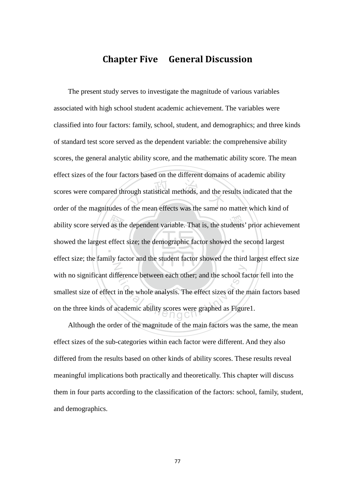# Chapter Five General Discussion

ability score served as the dependent variable. That is, the students' prior achievement<br>showed the largest effect size; the demographic factor showed the second largest rough statistical methods, and the re ‧ N fference between each other; and the school farming<br>in the whole analysis. The effect sizes of the reader in the whole analysis. The effect sizes of the reader in The present study serves to investigate the magnitude of various variables associated with high school student academic achievement. The variables were classified into four factors: family, school, student, and demographics; and three kinds of standard test score served as the dependent variable: the comprehensive ability scores, the general analytic ability score, and the mathematic ability score. The mean effect sizes of the four factors based on the different domains of academic ability scores were compared through statistical methods, and the results indicated that the order of the magnitudes of the mean effects was the same no matter which kind of showed the largest effect size; the demographic factor showed the second largest effect size; the family factor and the student factor showed the third largest effect size with no significant difference between each other; and the school factor fell into the smallest size of effect in the whole analysis. The effect sizes of the main factors based on the three kinds of academic ability scores were graphed as Figure1.

Although the order of the magnitude of the main factors was the same, the mean effect sizes of the sub-categories within each factor were different. And they also differed from the results based on other kinds of ability scores. These results reveal meaningful implications both practically and theoretically. This chapter will discuss them in four parts according to the classification of the factors: school, family, student, and demographics.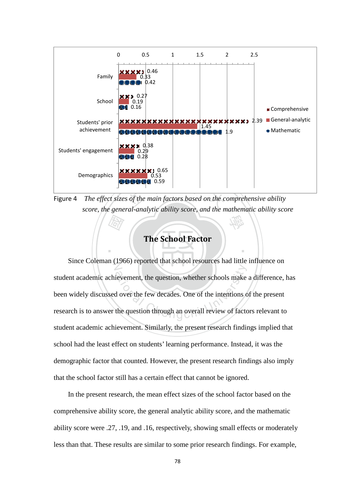

學 Figure 4 *The effect sizes of the main factors based on the comprehensive ability score, the general-analytic ability score, and the mathematic ability score* 

# The School Factor

‧

**国** Since Coleman (1966) reported that school resources had little influence on ievement, the question, whether schools make<br>d over the few decades. One of the intentions of<br>the question through an overall review of facto student academic achievement, the question, whether schools make a difference, has been widely discussed over the few decades. One of the intentions of the present research is to answer the question through an overall review of factors relevant to student academic achievement. Similarly, the present research findings implied that school had the least effect on students' learning performance. Instead, it was the demographic factor that counted. However, the present research findings also imply that the school factor still has a certain effect that cannot be ignored.

In the present research, the mean effect sizes of the school factor based on the comprehensive ability score, the general analytic ability score, and the mathematic ability score were .27, .19, and .16, respectively, showing small effects or moderately less than that. These results are similar to some prior research findings. For example,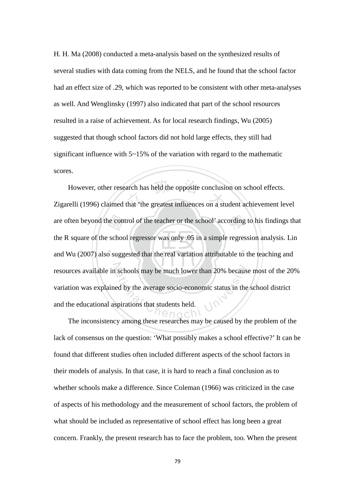H. H. Ma (2008) conducted a meta-analysis based on the synthesized results of several studies with data coming from the NELS, and he found that the school factor had an effect size of .29, which was reported to be consistent with other meta-analyses as well. And Wenglinsky (1997) also indicated that part of the school resources resulted in a raise of achievement. As for local research findings, Wu (2005) suggested that though school factors did not hold large effects, they still had significant influence with  $5 \sim 15\%$  of the variation with regard to the mathematic scores.

. N. . (1. 55 . ) . . / . . . are often beyond the control of the teacher or the school' according to his findings that<br>the R square of the school regressor was only .05 in a simple regression analysis. Lin<br>and Wu (2007) also suggested that the real va arch has held the opposite conclusie<br>that 'the greatest influences on a stu resources available in schools may be much lower than 20% because most of the 20% schools may be much lower than 20% becaused by the average socio-economic status in the spirations that students held. However, other research has held the opposite conclusion on school effects. Zigarelli (1996) claimed that 'the greatest influences on a student achievement level the R square of the school regressor was only .05 in a simple regression analysis. Lin and Wu (2007) also suggested that the real variation attributable to the teaching and variation was explained by the average socio-economic status in the school district and the educational aspirations that students held.

The inconsistency among these researches may be caused by the problem of the lack of consensus on the question: 'What possibly makes a school effective?' It can be found that different studies often included different aspects of the school factors in their models of analysis. In that case, it is hard to reach a final conclusion as to whether schools make a difference. Since Coleman (1966) was criticized in the case of aspects of his methodology and the measurement of school factors, the problem of what should be included as representative of school effect has long been a great concern. Frankly, the present research has to face the problem, too. When the present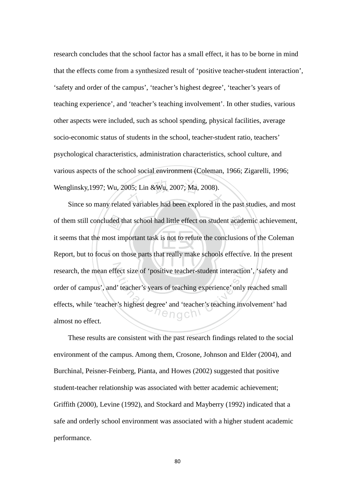2005; Lin & Wu, 2007; Ma, 2008).<br>Expedience of variables had been explored in the research concludes that the school factor has a small effect, it has to be borne in mind that the effects come from a synthesized result of 'positive teacher-student interaction', 'safety and order of the campus', 'teacher's highest degree', 'teacher's years of teaching experience', and 'teacher's teaching involvement'. In other studies, various other aspects were included, such as school spending, physical facilities, average socio-economic status of students in the school, teacher-student ratio, teachers' psychological characteristics, administration characteristics, school culture, and various aspects of the school social environment (Coleman, 1966; Zigarelli, 1996; Wenglinsky,1997; Wu, 2005; Lin &Wu, 2007; Ma, 2008).

uded the<br>ost im<br>s on th of them still concluded that school had little effect on student academic achievement, ‧ research, the mean effect size of 'positive teacher-student interaction', 'safety and fect size of 'positive teacher-student interaction<br>
l' teacher's years of teaching experience' only<br>
r's highest degree' and 'teacher's teaching involved Since so many related variables had been explored in the past studies, and most it seems that the most important task is not to refute the conclusions of the Coleman Report, but to focus on those parts that really make schools effective. In the present order of campus', and' teacher's years of teaching experience' only reached small effects, while 'teacher's highest degree' and 'teacher's teaching involvement' had almost no effect.

These results are consistent with the past research findings related to the social environment of the campus. Among them, Crosone, Johnson and Elder (2004), and Burchinal, Peisner-Feinberg, Pianta, and Howes (2002) suggested that positive student-teacher relationship was associated with better academic achievement; Griffith (2000), Levine (1992), and Stockard and Mayberry (1992) indicated that a safe and orderly school environment was associated with a higher student academic performance.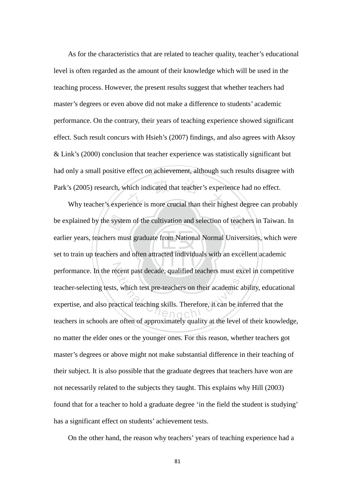thich indicated that teacher's experiment is more crucial than their high As for the characteristics that are related to teacher quality, teacher's educational level is often regarded as the amount of their knowledge which will be used in the teaching process. However, the present results suggest that whether teachers had master's degrees or even above did not make a difference to students' academic performance. On the contrary, their years of teaching experience showed significant effect. Such result concurs with Hsieh's (2007) findings, and also agrees with Aksoy & Link's (2000) conclusion that teacher experience was statistically significant but had only a small positive effect on achievement, although such results disagree with Park's (2005) research, which indicated that teacher's experience had no effect.

e syste<br>ers mu<br>ners ar be explained by the system of the cultivation and selection of teachers in Taiwan. In ‧ performance. In the recent past decade, qualified teachers must excel in competitive ational decade, qualified teachers must excess, which test pre-teachers on their academic ab-<br>actical teaching skills. Therefore, it can be inferenced about the lovel of Why teacher's experience is more crucial than their highest degree can probably earlier years, teachers must graduate from National Normal Universities, which were set to train up teachers and often attracted individuals with an excellent academic teacher-selecting tests, which test pre-teachers on their academic ability, educational expertise, and also practical teaching skills. Therefore, it can be inferred that the teachers in schools are often of approximately quality at the level of their knowledge, no matter the elder ones or the younger ones. For this reason, whether teachers got master's degrees or above might not make substantial difference in their teaching of their subject. It is also possible that the graduate degrees that teachers have won are not necessarily related to the subjects they taught. This explains why Hill (2003) found that for a teacher to hold a graduate degree 'in the field the student is studying' has a significant effect on students' achievement tests.

On the other hand, the reason why teachers' years of teaching experience had a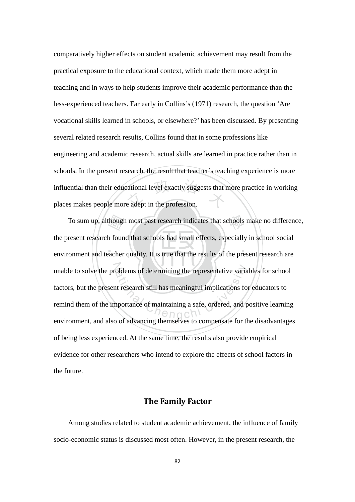cational level exactly suggests that a<br>e adept in the profession. comparatively higher effects on student academic achievement may result from the practical exposure to the educational context, which made them more adept in teaching and in ways to help students improve their academic performance than the less-experienced teachers. Far early in Collins's (1971) research, the question 'Are vocational skills learned in schools, or elsewhere?' has been discussed. By presenting several related research results, Collins found that in some professions like engineering and academic research, actual skills are learned in practice rather than in schools. In the present research, the result that teacher's teaching experience is more influential than their educational level exactly suggests that more practice in working places makes people more adept in the profession.

though<br>h foun<br>acher To sum up, although most past research indicates that schools make no difference, ‧ unable to solve the problems of determining the representative variables for school belems of determining the representative variant<br>tresearch still has meaningful implications for<br>apportance of maintaining a safe, ordered, and p the present research found that schools had small effects, especially in school social environment and teacher quality. It is true that the results of the present research are factors, but the present research still has meaningful implications for educators to remind them of the importance of maintaining a safe, ordered, and positive learning environment, and also of advancing themselves to compensate for the disadvantages of being less experienced. At the same time, the results also provide empirical evidence for other researchers who intend to explore the effects of school factors in the future.

### The Family Factor

Among studies related to student academic achievement, the influence of family socio-economic status is discussed most often. However, in the present research, the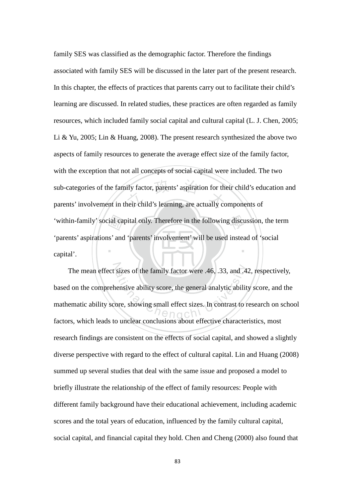'within-family' social capital only. Therefore in the following discussion, the term<br>'parents' aspirations' and 'parents' involvement' will be used instead of 'social<br>capital'. ily factor, parents' aspiration for the<br>heir child's learning, are actually co ‧ family SES was classified as the demographic factor. Therefore the findings associated with family SES will be discussed in the later part of the present research. In this chapter, the effects of practices that parents carry out to facilitate their child's learning are discussed. In related studies, these practices are often regarded as family resources, which included family social capital and cultural capital (L. J. Chen, 2005; Li & Yu, 2005; Lin & Huang, 2008). The present research synthesized the above two aspects of family resources to generate the average effect size of the family factor, with the exception that not all concepts of social capital were included. The two sub-categories of the family factor, parents' aspiration for their child's education and parents' involvement in their child's learning, are actually components of 'parents' aspirations' and 'parents' involvement' will be used instead of 'social capital'.

The mean effect sizes of the family factor were .46, .33, and .42, respectively,<br>d on the comprehensive ability score, the general analytic ability score, and the<br>ematic ability score, showing small effect sizes. In contra based on the comprehensive ability score, the general analytic ability score, and the mathematic ability score, showing small effect sizes. In contrast to research on school factors, which leads to unclear conclusions about effective characteristics, most research findings are consistent on the effects of social capital, and showed a slightly diverse perspective with regard to the effect of cultural capital. Lin and Huang (2008) summed up several studies that deal with the same issue and proposed a model to briefly illustrate the relationship of the effect of family resources: People with different family background have their educational achievement, including academic scores and the total years of education, influenced by the family cultural capital, social capital, and financial capital they hold. Chen and Cheng (2000) also found that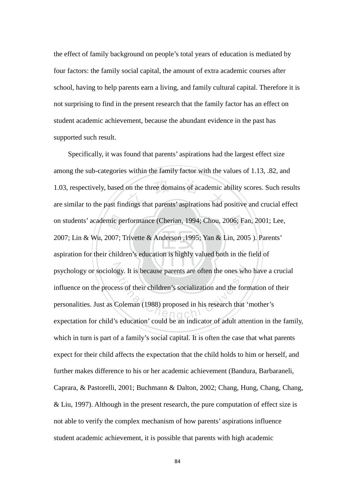the effect of family background on people's total years of education is mediated by four factors: the family social capital, the amount of extra academic courses after school, having to help parents earn a living, and family cultural capital. Therefore it is not surprising to find in the present research that the family factor has an effect on student academic achievement, because the abundant evidence in the past has supported such result.

nic pe<br>007; 1<br>childr on the three domains of academic a<br>dings that parents' aspirations had p on students' academic performance (Cherian, 1994; Chou, 2006; Fan, 2001; Lee, ‧ psychology or sociology. It is because parents are often the ones who have a crucial because parents are often the ones wh<br>ess of their children's socialization and the form<br>Coleman (1988) proposed in his research that Specifically, it was found that parents' aspirations had the largest effect size among the sub-categories within the family factor with the values of 1.13, .82, and 1.03, respectively, based on the three domains of academic ability scores. Such results are similar to the past findings that parents' aspirations had positive and crucial effect 2007; Lin & Wu, 2007; Trivette & Anderson ,1995; Yan & Lin, 2005 ). Parents' aspiration for their children's education is highly valued both in the field of influence on the process of their children's socialization and the formation of their personalities. Just as Coleman (1988) proposed in his research that 'mother's expectation for child's education' could be an indicator of adult attention in the family, which in turn is part of a family's social capital. It is often the case that what parents expect for their child affects the expectation that the child holds to him or herself, and further makes difference to his or her academic achievement (Bandura, Barbaraneli, Caprara, & Pastorelli, 2001; Buchmann & Dalton, 2002; Chang, Hung, Chang, Chang, & Liu, 1997). Although in the present research, the pure computation of effect size is not able to verify the complex mechanism of how parents' aspirations influence student academic achievement, it is possible that parents with high academic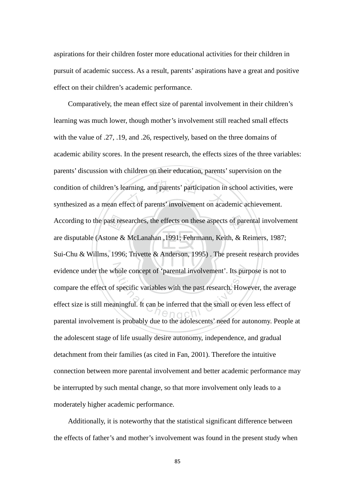aspirations for their children foster more educational activities for their children in pursuit of academic success. As a result, parents' aspirations have a great and positive effect on their children's academic performance.

 $\mathbf{L}$ According to the past researches, the effects on these aspects of parental involvement<br>are disputable (Astone & McLanahan, 1991; Fehrmann, Keith, & Reimers, 1987;<br>Sui-Chu & Willms, 1996; Trivette & Anderson, 1995). The pre condition of children's learning, and parents' participation in school activities, w<br>synthesized as a mean effect of parents' involvement on academic achievement. evidence under the whole concept of 'parental involvement'. Its purpose is not to hole concept of 'parental involvement'. Its pur<br>specific variables with the past research. How<br>mingful. It can be inferred that the small or eve<br>is probably due to the ordelessants' need for su Comparatively, the mean effect size of parental involvement in their children's learning was much lower, though mother's involvement still reached small effects with the value of .27, .19, and .26, respectively, based on the three domains of academic ability scores. In the present research, the effects sizes of the three variables: parents' discussion with children on their education, parents' supervision on the condition of children's learning, and parents' participation in school activities, were are disputable (Astone & McLanahan ,1991; Fehrmann, Keith, & Reimers, 1987; Sui-Chu & Willms, 1996; Trivette & Anderson, 1995) . The present research provides compare the effect of specific variables with the past research. However, the average effect size is still meaningful. It can be inferred that the small or even less effect of parental involvement is probably due to the adolescents' need for autonomy. People at the adolescent stage of life usually desire autonomy, independence, and gradual detachment from their families (as cited in Fan, 2001). Therefore the intuitive connection between more parental involvement and better academic performance may be interrupted by such mental change, so that more involvement only leads to a moderately higher academic performance.

Additionally, it is noteworthy that the statistical significant difference between the effects of father's and mother's involvement was found in the present study when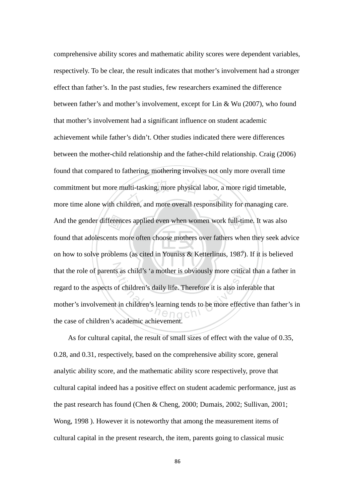$\mathbb{R}$  .  $\mathbb{R}$  .  $\mathbb{R}$  .  $\mathbb{R}$  .  $\mathbb{R}$  .  $\mathbb{R}$  .  $\mathbb{R}$  .  $\mathbb{R}$ And the gender differences applied even when women work full-time. It was also found that adolescents more often choose mothers over fathers when they seek adv<br>on how to solve problems (as cited in Youniss & Ketterlinus, 1 commitment but more multi-tasking, more physical labor, a more rigid timetable,<br>more time alone with children, and more overall responsibility for managing care. that the role of parents as child's 'a mother is obviously more critical than a father in s as child's 'a mother is obviously more critical<br>of children's daily life. Therefore it is also infer<br>t in children's learning tends to be more effectively comprehensive ability scores and mathematic ability scores were dependent variables, respectively. To be clear, the result indicates that mother's involvement had a stronger effect than father's. In the past studies, few researchers examined the difference between father's and mother's involvement, except for Lin & Wu (2007), who found that mother's involvement had a significant influence on student academic achievement while father's didn't. Other studies indicated there were differences between the mother-child relationship and the father-child relationship. Craig (2006) found that compared to fathering, mothering involves not only more overall time commitment but more multi-tasking, more physical labor, a more rigid timetable, found that adolescents more often choose mothers over fathers when they seek advice on how to solve problems (as cited in Youniss & Ketterlinus, 1987). If it is believed regard to the aspects of children's daily life. Therefore it is also inferable that mother's involvement in children's learning tends to be more effective than father's in the case of children's academic achievement.

As for cultural capital, the result of small sizes of effect with the value of 0.35, 0.28, and 0.31, respectively, based on the comprehensive ability score, general analytic ability score, and the mathematic ability score respectively, prove that cultural capital indeed has a positive effect on student academic performance, just as the past research has found (Chen & Cheng, 2000; Dumais, 2002; Sullivan, 2001; Wong, 1998 ). However it is noteworthy that among the measurement items of cultural capital in the present research, the item, parents going to classical music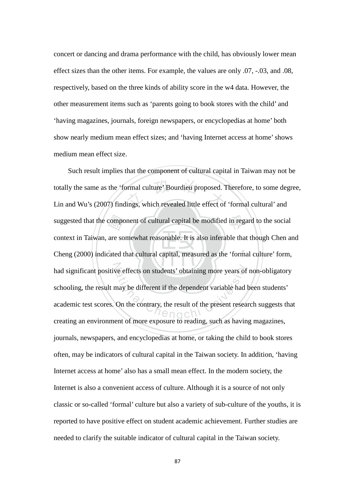concert or dancing and drama performance with the child, has obviously lower mean effect sizes than the other items. For example, the values are only .07, -.03, and .08, respectively, based on the three kinds of ability score in the w4 data. However, the other measurement items such as 'parents going to book stores with the child' and 'having magazines, journals, foreign newspapers, or encyclopedias at home' both show nearly medium mean effect sizes; and 'having Internet access at home' shows medium mean effect size.

composed are so<br>cated t totally the same as the 'formal culture' Bourdieu proposed. Therefore, to some deg<br>Lin and Wu's (2007) findings, which revealed little effect of 'formal cultural' and suggested that the component of cultural capital be modified in regard to the social ‧ had significant positive effects on students' obtaining more years of non-obligatory we effects on students' obtaining more years of<br>may be different if the dependent variable had<br>On the contrary, the result of the present resea Such result implies that the component of cultural capital in Taiwan may not be totally the same as the 'formal culture' Bourdieu proposed. Therefore, to some degree, context in Taiwan, are somewhat reasonable. It is also inferable that though Chen and Cheng (2000) indicated that cultural capital, measured as the 'formal culture' form, schooling, the result may be different if the dependent variable had been students' academic test scores. On the contrary, the result of the present research suggests that creating an environment of more exposure to reading, such as having magazines, journals, newspapers, and encyclopedias at home, or taking the child to book stores often, may be indicators of cultural capital in the Taiwan society. In addition, 'having Internet access at home' also has a small mean effect. In the modern society, the Internet is also a convenient access of culture. Although it is a source of not only classic or so-called 'formal' culture but also a variety of sub-culture of the youths, it is reported to have positive effect on student academic achievement. Further studies are needed to clarify the suitable indicator of cultural capital in the Taiwan society.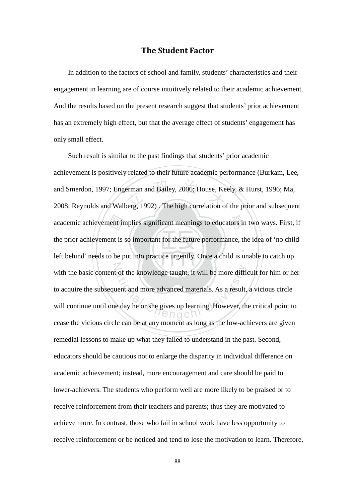### The Student Factor

In addition to the factors of school and family, students' characteristics and their engagement in learning are of course intuitively related to their academic achievement. And the results based on the present research suggest that students' prior achievement has an extremely high effect, but that the average effect of students' engagement has only small effect.

left behind' needs to be put into practice urgently. Once a child is unable to catch up academic achievement implies significant meanings to educators in two ways. First, if<br>the prior achievement is so important for the future performance, the idea of 'no child<br>left behind' needs to be put into practice urgen erman and Bailey, 2006; House, Ke<br>perg, 1992). The high correlation of ‧ N Example 18 and the knowledge taught, it will be more difficultiers<br>uent and more advanced materials. As a result,<br>e day he or she gives up learning. However, the ngch Such result is similar to the past findings that students' prior academic achievement is positively related to their future academic performance (Burkam, Lee, and Smerdon, 1997; Engerman and Bailey, 2006; House, Keely, & Hurst, 1996; Ma, 2008; Reynolds and Walberg, 1992) . The high correlation of the prior and subsequent the prior achievement is so important for the future performance, the idea of 'no child with the basic content of the knowledge taught, it will be more difficult for him or her to acquire the subsequent and more advanced materials. As a result, a vicious circle will continue until one day he or she gives up learning. However, the critical point to cease the vicious circle can be at any moment as long as the low-achievers are given remedial lessons to make up what they failed to understand in the past. Second, educators should be cautious not to enlarge the disparity in individual difference on academic achievement; instead, more encouragement and care should be paid to lower-achievers. The students who perform well are more likely to be praised or to receive reinforcement from their teachers and parents; thus they are motivated to achieve more. In contrast, those who fail in school work have less opportunity to receive reinforcement or be noticed and tend to lose the motivation to learn. Therefore,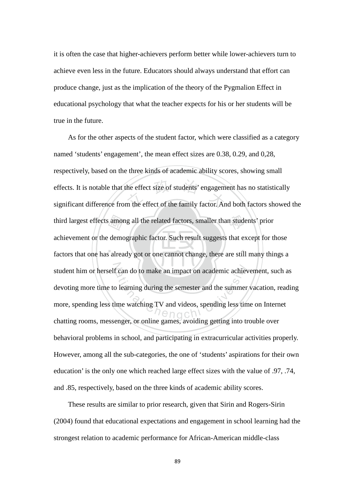it is often the case that higher-achievers perform better while lower-achievers turn to achieve even less in the future. Educators should always understand that effort can produce change, just as the implication of the theory of the Pygmalion Effect in educational psychology that what the teacher expects for his or her students will be true in the future.

amor<br>demo<br>salrea the effect size of students' engagem<br>m the effect of the family factor. An third largest effects among all the related factors, smaller than students' prior ‧ student him or herself can do to make an impact on academic achievement, such as Exam do to make an impact on academic achiever<br>Defining during the semester and the summer<br>time watching TV and videos, spending less time<br> $\frac{1}{2}$  As for the other aspects of the student factor, which were classified as a category named 'students' engagement', the mean effect sizes are 0.38, 0.29, and 0,28, respectively, based on the three kinds of academic ability scores, showing small effects. It is notable that the effect size of students' engagement has no statistically significant difference from the effect of the family factor. And both factors showed the achievement or the demographic factor. Such result suggests that except for those factors that one has already got or one cannot change, there are still many things a devoting more time to learning during the semester and the summer vacation, reading more, spending less time watching TV and videos, spending less time on Internet chatting rooms, messenger, or online games, avoiding getting into trouble over behavioral problems in school, and participating in extracurricular activities properly. However, among all the sub-categories, the one of 'students' aspirations for their own education' is the only one which reached large effect sizes with the value of .97, .74, and .85, respectively, based on the three kinds of academic ability scores.

 These results are similar to prior research, given that Sirin and Rogers-Sirin (2004) found that educational expectations and engagement in school learning had the strongest relation to academic performance for African-American middle-class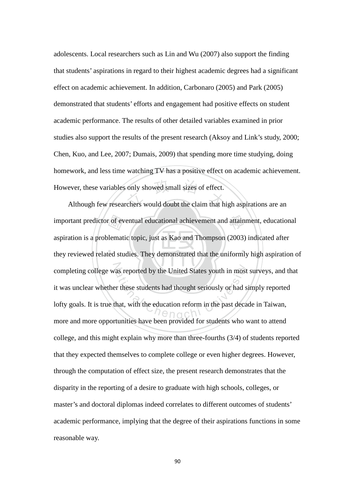ever, these variables only showed small sizes of effect.<br>Although few researchers would doubt the claim that high aspirations are an adolescents. Local researchers such as Lin and Wu (2007) also support the finding that students' aspirations in regard to their highest academic degrees had a significant effect on academic achievement. In addition, Carbonaro (2005) and Park (2005) demonstrated that students' efforts and engagement had positive effects on student academic performance. The results of other detailed variables examined in prior studies also support the results of the present research (Aksoy and Link's study, 2000; Chen, Kuo, and Lee, 2007; Dumais, 2009) that spending more time studying, doing homework, and less time watching TV has a positive effect on academic achievement. However, these variables only showed small sizes of effect.

‧‧ important predictor of eventual educational achievement and attainment, educational<br>aspiration is a problematic topic, just as Kao and Thompson (2003) indicated after<br>they reviewed related studies. They demonstrated that t completing college was reported by the United States youth in most surveys, and that<br>it was unclear whether these students had thought seriously or had simply reported<br>lofty goals. It is true that, with the education refor aspiration is a problematic topic, just as Kao and Thompson (2003) indicated after they reviewed related studies. They demonstrated that the uniformly high aspiration of it was unclear whether these students had thought seriously or had simply reported lofty goals. It is true that, with the education reform in the past decade in Taiwan, more and more opportunities have been provided for students who want to attend college, and this might explain why more than three-fourths (3/4) of students reported that they expected themselves to complete college or even higher degrees. However, through the computation of effect size, the present research demonstrates that the disparity in the reporting of a desire to graduate with high schools, colleges, or master's and doctoral diplomas indeed correlates to different outcomes of students' academic performance, implying that the degree of their aspirations functions in some reasonable way.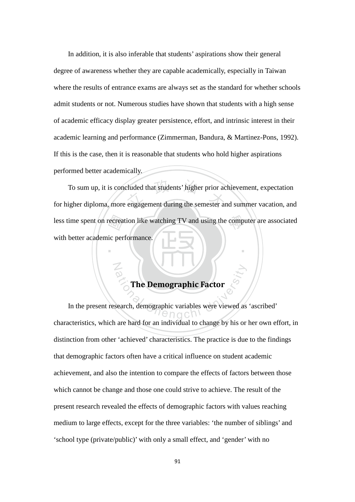In addition, it is also inferable that students' aspirations show their general degree of awareness whether they are capable academically, especially in Taiwan where the results of entrance exams are always set as the standard for whether schools admit students or not. Numerous studies have shown that students with a high sense of academic efficacy display greater persistence, effort, and intrinsic interest in their academic learning and performance (Zimmerman, Bandura, & Martinez-Pons, 1992). If this is the case, then it is reasonable that students who hold higher aspirations performed better academically.

less time spent on recreation like watching TV and using the computer are associated<br>with better academic performance cluded that students' higher prior ac<br>engagement during the semester are To sum up, it is concluded that students' higher prior achievement, expectation for higher diploma, more engagement during the semester and summer vacation, and with better academic performance.

# The Demographic Factor

N

‧

The Demographic Factor<br>search, demographic variables were viewed as In the present research, demographic variables were viewed as 'ascribed' characteristics, which are hard for an individual to change by his or her own effort, in distinction from other 'achieved' characteristics. The practice is due to the findings that demographic factors often have a critical influence on student academic achievement, and also the intention to compare the effects of factors between those which cannot be change and those one could strive to achieve. The result of the present research revealed the effects of demographic factors with values reaching medium to large effects, except for the three variables: 'the number of siblings' and 'school type (private/public)' with only a small effect, and 'gender' with no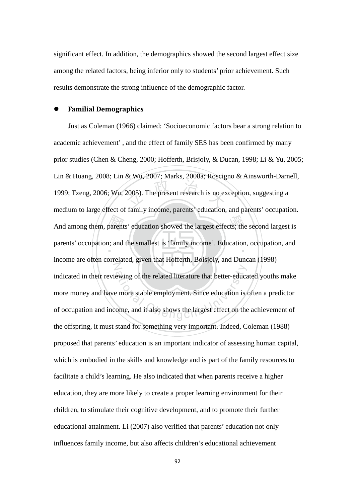significant effect. In addition, the demographics showed the second largest effect size among the related factors, being inferior only to students' prior achievement. Such results demonstrate the strong influence of the demographic factor.

#### Familial Demographics

 國  $2005$ ). The present research is no ex And among them, parents' education showed the largest effects; the second largest is parents' occupation; and the smallest is 'family income'. Education, occupation, and N ewing of the related literature that better-education<br>e more stable employment. Since education is<br>ome, and it also shows the largest effect on the Just as Coleman (1966) claimed: 'Socioeconomic factors bear a strong relation to academic achievement' , and the effect of family SES has been confirmed by many prior studies (Chen & Cheng, 2000; Hofferth, Brisjoly, & Ducan, 1998; Li & Yu, 2005; Lin & Huang, 2008; Lin & Wu, 2007; Marks, 2008a; Roscigno & Ainsworth-Darnell, 1999; Tzeng, 2006; Wu, 2005). The present research is no exception, suggesting a medium to large effect of family income, parents' education, and parents' occupation. income are often correlated, given that Hofferth, Boisjoly, and Duncan (1998) indicated in their reviewing of the related literature that better-educated youths make more money and have more stable employment. Since education is often a predictor of occupation and income, and it also shows the largest effect on the achievement of the offspring, it must stand for something very important. Indeed, Coleman (1988) proposed that parents' education is an important indicator of assessing human capital, which is embodied in the skills and knowledge and is part of the family resources to facilitate a child's learning. He also indicated that when parents receive a higher education, they are more likely to create a proper learning environment for their children, to stimulate their cognitive development, and to promote their further educational attainment. Li (2007) also verified that parents' education not only influences family income, but also affects children's educational achievement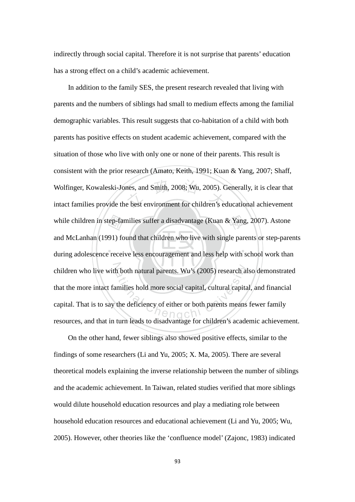indirectly through social capital. Therefore it is not surprise that parents' education has a strong effect on a child's academic achievement.

ep-far<br>91) fo<br>recei nes, and Smith, 2008; Wu, 2005). C<br>e best environment for children's eq while children in step-families suffer a disadvantage (Kuan & Yang, 2007). Astone ‧ children who live with both natural parents. Wu's (2005) research also demonstrated h both natural parents. Wu's (2005) research al<br>unilies hold more social capital, cultural capita<br>the deficiency of either or both parents means In addition to the family SES, the present research revealed that living with parents and the numbers of siblings had small to medium effects among the familial demographic variables. This result suggests that co-habitation of a child with both parents has positive effects on student academic achievement, compared with the situation of those who live with only one or none of their parents. This result is consistent with the prior research (Amato, Keith, 1991; Kuan & Yang, 2007; Shaff, Wolfinger, Kowaleski-Jones, and Smith, 2008; Wu, 2005). Generally, it is clear that intact families provide the best environment for children's educational achievement and McLanhan (1991) found that children who live with single parents or step-parents during adolescence receive less encouragement and less help with school work than that the more intact families hold more social capital, cultural capital, and financial capital. That is to say the deficiency of either or both parents means fewer family resources, and that in turn leads to disadvantage for children's academic achievement.

On the other hand, fewer siblings also showed positive effects, similar to the findings of some researchers (Li and Yu, 2005; X. Ma, 2005). There are several theoretical models explaining the inverse relationship between the number of siblings and the academic achievement. In Taiwan, related studies verified that more siblings would dilute household education resources and play a mediating role between household education resources and educational achievement (Li and Yu, 2005; Wu, 2005). However, other theories like the 'confluence model' (Zajonc, 1983) indicated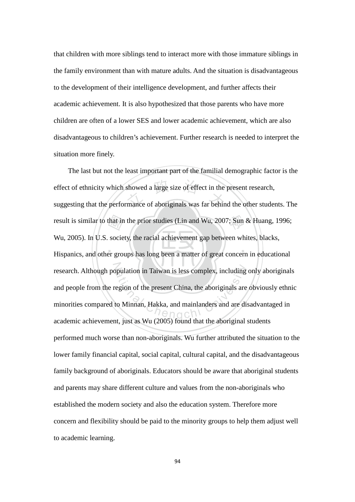that children with more siblings tend to interact more with those immature siblings in the family environment than with mature adults. And the situation is disadvantageous to the development of their intelligence development, and further affects their academic achievement. It is also hypothesized that those parents who have more children are often of a lower SES and lower academic achievement, which are also disadvantageous to children's achievement. Further research is needed to interpret the situation more finely.

‧‧ that in<br>socie<br>er grou showed a large size of effect in the<br>mance of aboriginals was far behin result is similar to that in the prior studies (Lin and Wu, 2007; Sun & Huang, 1996; research. Although population in Taiwan is less complex, including only aboriginals pulation in Taiwan is less complex, including<br>egion of the present China, the aboriginals are<br>to Minnan, Hakka, and mainlanders and are dis-The last but not the least important part of the familial demographic factor is the effect of ethnicity which showed a large size of effect in the present research, suggesting that the performance of aboriginals was far behind the other students. The Wu, 2005). In U.S. society, the racial achievement gap between whites, blacks, Hispanics, and other groups has long been a matter of great concern in educational and people from the region of the present China, the aboriginals are obviously ethnic minorities compared to Minnan, Hakka, and mainlanders and are disadvantaged in academic achievement, just as Wu (2005) found that the aboriginal students performed much worse than non-aboriginals. Wu further attributed the situation to the lower family financial capital, social capital, cultural capital, and the disadvantageous family background of aboriginals. Educators should be aware that aboriginal students and parents may share different culture and values from the non-aboriginals who established the modern society and also the education system. Therefore more concern and flexibility should be paid to the minority groups to help them adjust well to academic learning.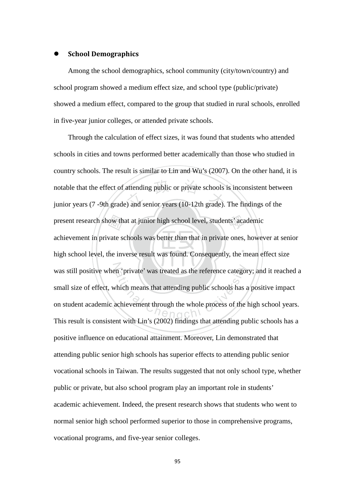#### School Demographics

Among the school demographics, school community (city/town/country) and school program showed a medium effect size, and school type (public/private) showed a medium effect, compared to the group that studied in rural schools, enrolled in five-year junior colleges, or attended private schools.

‧ow the<br>vate so attending public or private schools<br>() and senior years (10-12th grade). present research show that at junior high school level, students' academic ‧ was still positive when 'private' was treated as the reference category; and it reached a ation in 'private' was treated as the reference category<br>
which means that attending public schools has a<br>
achievement through the whole process of the l Through the calculation of effect sizes, it was found that students who attended schools in cities and towns performed better academically than those who studied in country schools. The result is similar to Lin and Wu's (2007). On the other hand, it is notable that the effect of attending public or private schools is inconsistent between junior years (7 -9th grade) and senior years (10-12th grade). The findings of the achievement in private schools was better than that in private ones, however at senior high school level, the inverse result was found. Consequently, the mean effect size small size of effect, which means that attending public schools has a positive impact on student academic achievement through the whole process of the high school years. This result is consistent with Lin's (2002) findings that attending public schools has a positive influence on educational attainment. Moreover, Lin demonstrated that attending public senior high schools has superior effects to attending public senior vocational schools in Taiwan. The results suggested that not only school type, whether public or private, but also school program play an important role in students' academic achievement. Indeed, the present research shows that students who went to normal senior high school performed superior to those in comprehensive programs, vocational programs, and five-year senior colleges.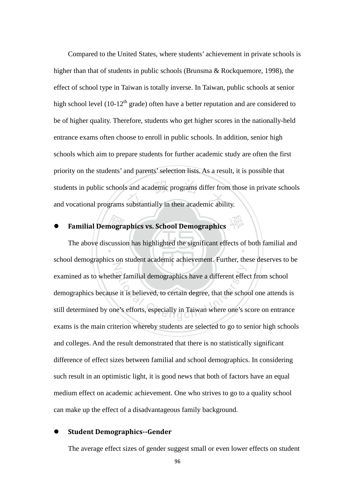s and academic programs differ from<br>substantially in their academic abil-Compared to the United States, where students' achievement in private schools is higher than that of students in public schools (Brunsma & Rockquemore, 1998), the effect of school type in Taiwan is totally inverse. In Taiwan, public schools at senior high school level (10-12<sup>th</sup> grade) often have a better reputation and are considered to be of higher quality. Therefore, students who get higher scores in the nationally-held entrance exams often choose to enroll in public schools. In addition, senior high schools which aim to prepare students for further academic study are often the first priority on the students' and parents' selection lists. As a result, it is possible that students in public schools and academic programs differ from those in private schools and vocational programs substantially in their academic ability.

• Familial Demographics vs. School Demographics The above discussion has highlighted the significant effects of both familial and N er familial demographics have a different effect<br>e it is believed, to certain degree, that the scho<br>e's efforts, especially in Taiwan where one's s school demographics on student academic achievement. Further, these deserves to be examined as to whether familial demographics have a different effect from school demographics because it is believed, to certain degree, that the school one attends is still determined by one's efforts, especially in Taiwan where one's score on entrance exams is the main criterion whereby students are selected to go to senior high schools and colleges. And the result demonstrated that there is no statistically significant difference of effect sizes between familial and school demographics. In considering such result in an optimistic light, it is good news that both of factors have an equal medium effect on academic achievement. One who strives to go to a quality school can make up the effect of a disadvantageous family background.

#### Student Demographics--Gender

The average effect sizes of gender suggest small or even lower effects on student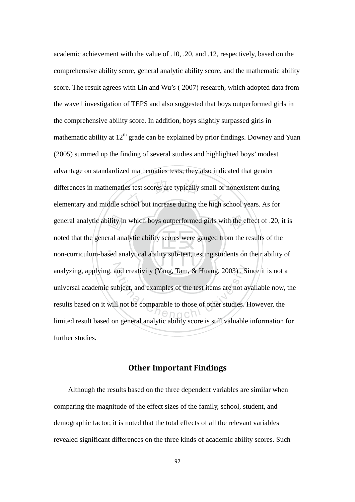‧‧ general analytic ability in which boys outperformed girls with the effect of .20, it is<br>noted that the general analytic ability scores were gauged from the results of the<br>non-curriculum-based analytical ability sub-test, t differences in mathematics test scores are typically small or nonexistent during<br>elementary and middle school but increase during the high school years. As for analyzing, applying, and creativity (Yang, Tam, & Huang, 2003). Since it is not a<br>universal academic subject, and examples of the test items are not available now, t<br>results based on it will not be comparable to those of o academic achievement with the value of .10, .20, and .12, respectively, based on the comprehensive ability score, general analytic ability score, and the mathematic ability score. The result agrees with Lin and Wu's ( 2007) research, which adopted data from the wave1 investigation of TEPS and also suggested that boys outperformed girls in the comprehensive ability score. In addition, boys slightly surpassed girls in mathematic ability at  $12<sup>th</sup>$  grade can be explained by prior findings. Downey and Yuan (2005) summed up the finding of several studies and highlighted boys' modest advantage on standardized mathematics tests; they also indicated that gender differences in mathematics test scores are typically small or nonexistent during noted that the general analytic ability scores were gauged from the results of the non-curriculum-based analytical ability sub-test, testing students on their ability of universal academic subject, and examples of the test items are not available now, the results based on it will not be comparable to those of other studies. However, the limited result based on general analytic ability score is still valuable information for further studies.

#### Other Important Findings

Although the results based on the three dependent variables are similar when comparing the magnitude of the effect sizes of the family, school, student, and demographic factor, it is noted that the total effects of all the relevant variables revealed significant differences on the three kinds of academic ability scores. Such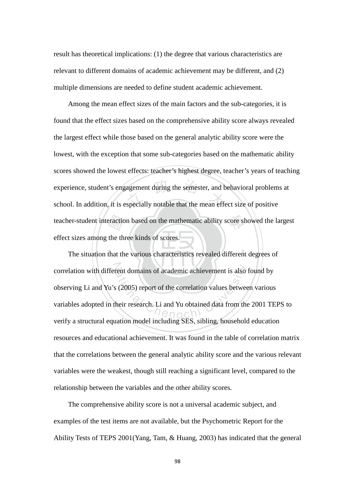result has theoretical implications: (1) the degree that various characteristics are relevant to different domains of academic achievement may be different, and (2) multiple dimensions are needed to define student academic achievement.

teacher-student interaction based on the mathematic ability score showed the largest<br>effect sizes among the three kinds of scores.<br>The situation that the various characteristics revealed different degrees of agement during the semester, and b<br>specially notable that the mean effe Among the mean effect sizes of the main factors and the sub-categories, it is found that the effect sizes based on the comprehensive ability score always revealed the largest effect while those based on the general analytic ability score were the lowest, with the exception that some sub-categories based on the mathematic ability scores showed the lowest effects: teacher's highest degree, teacher's years of teaching experience, student's engagement during the semester, and behavioral problems at school. In addition, it is especially notable that the mean effect size of positive effect sizes among the three kinds of scores.

‧‧ correlation with different domains of academic achievement is also found by<br>observing Li and Yu's (2005) report of the correlation values between various<br>variables adopted in their research. Li and Yu obtained data from th The situation that the various characteristics revealed different degrees of observing Li and Yu's (2005) report of the correlation values between various variables adopted in their research. Li and Yu obtained data from the 2001 TEPS to verify a structural equation model including SES, sibling, household education resources and educational achievement. It was found in the table of correlation matrix that the correlations between the general analytic ability score and the various relevant variables were the weakest, though still reaching a significant level, compared to the relationship between the variables and the other ability scores.

The comprehensive ability score is not a universal academic subject, and examples of the test items are not available, but the Psychometric Report for the Ability Tests of TEPS 2001(Yang, Tam, & Huang, 2003) has indicated that the general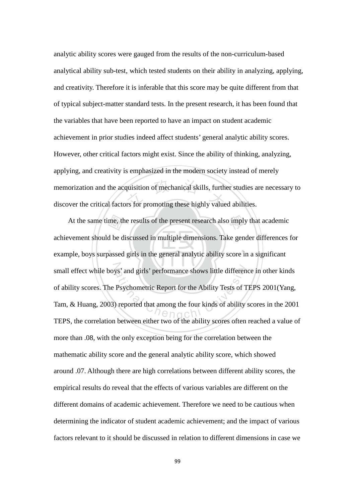memorization and the acquisition of mechanical skills, further studies at discover the critical factors for promoting these highly valued abilities. analytic ability scores were gauged from the results of the non-curriculum-based analytical ability sub-test, which tested students on their ability in analyzing, applying, and creativity. Therefore it is inferable that this score may be quite different from that of typical subject-matter standard tests. In the present research, it has been found that the variables that have been reported to have an impact on student academic achievement in prior studies indeed affect students' general analytic ability scores. However, other critical factors might exist. Since the ability of thinking, analyzing, applying, and creativity is emphasized in the modern society instead of merely memorization and the acquisition of mechanical skills, further studies are necessary to

‧‧ At the same time, the results of the present research also imply that academic<br>vement should be discussed in multiple dimensions. Take gender differences is<br>uple, boys surpassed girls in the general analytic ability score small effect while boys' and girls' performance shows little difference in other kinds Atives and girls' performance shows little different<br>
Psychometric Report for the Ability Tests of T<br>
reported that among the four kinds of ability<br>
ability source of the chility source of the achievement should be discussed in multiple dimensions. Take gender differences for example, boys surpassed girls in the general analytic ability score in a significant of ability scores. The Psychometric Report for the Ability Tests of TEPS 2001(Yang, Tam, & Huang, 2003) reported that among the four kinds of ability scores in the 2001 TEPS, the correlation between either two of the ability scores often reached a value of more than .08, with the only exception being for the correlation between the mathematic ability score and the general analytic ability score, which showed around .07. Although there are high correlations between different ability scores, the empirical results do reveal that the effects of various variables are different on the different domains of academic achievement. Therefore we need to be cautious when determining the indicator of student academic achievement; and the impact of various factors relevant to it should be discussed in relation to different dimensions in case we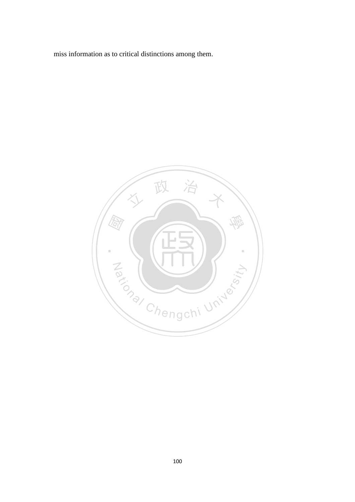miss information as to critical distinctions among them.

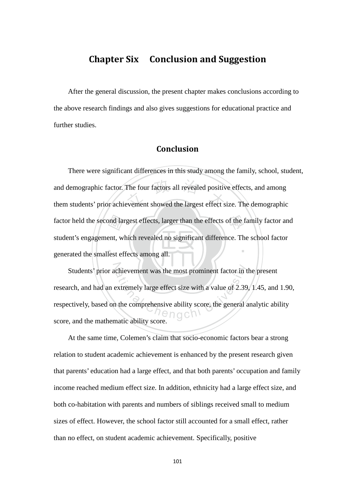# Chapter Six Conclusion and Suggestion

After the general discussion, the present chapter makes conclusions according to the above research findings and also gives suggestions for educational practice and further studies.

## Conclusion

generated the smallest effects among all. factor held the second largest effects, larger than the effects of the family factor and student's engagement, which revealed no significant difference. The school factor generated the smallest effects among all. The four factors all revealed positive<br>evement showed the largest effect s ‧ There were significant differences in this study among the family, school, student, and demographic factor. The four factors all revealed positive effects, and among them students' prior achievement showed the largest effect size. The demographic student's engagement, which revealed no significant difference. The school factor

Students' prior achievement was the most prominent factor in the present<br>rch, and had an extremely large effect size with a value of 2.39, 1.45, and<br>ctively, based on the comprehensive ability score, the general analytic research, and had an extremely large effect size with a value of 2.39, 1.45, and 1.90, respectively, based on the comprehensive ability score, the general analytic ability score, and the mathematic ability score.

At the same time, Colemen's claim that socio-economic factors bear a strong relation to student academic achievement is enhanced by the present research given that parents' education had a large effect, and that both parents' occupation and family income reached medium effect size. In addition, ethnicity had a large effect size, and both co-habitation with parents and numbers of siblings received small to medium sizes of effect. However, the school factor still accounted for a small effect, rather than no effect, on student academic achievement. Specifically, positive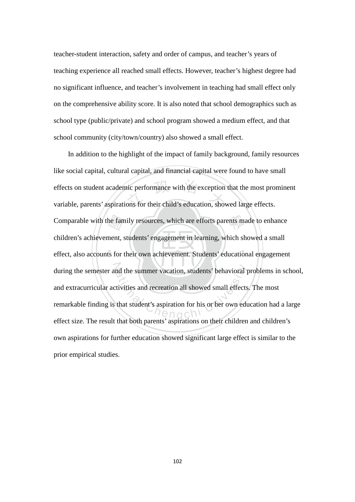teacher-student interaction, safety and order of campus, and teacher's years of teaching experience all reached small effects. However, teacher's highest degree had no significant influence, and teacher's involvement in teaching had small effect only on the comprehensive ability score. It is also noted that school demographics such as school type (public/private) and school program showed a medium effect, and that school community (city/town/country) also showed a small effect.

‧‧ Comparable with the family resources, which are efforts parents made to enhance<br>children's achievement, students' engagement in learning, which showed a small<br>effect, also accounts for their own achievement. Students' educ effects on student academic performance with the exception that the most pror<br>variable, parents' aspirations for their child's education, showed large effects. during the semester and the summer vacation, students' behavioral problems in school, ational the summer vacation, students' behavioral provided small effects<br>that student's aspiration for his or her own educations in the both parameter's aspirations on their obildren In addition to the highlight of the impact of family background, family resources like social capital, cultural capital, and financial capital were found to have small effects on student academic performance with the exception that the most prominent children's achievement, students' engagement in learning, which showed a small effect, also accounts for their own achievement. Students' educational engagement and extracurricular activities and recreation all showed small effects. The most remarkable finding is that student's aspiration for his or her own education had a large effect size. The result that both parents' aspirations on their children and children's own aspirations for further education showed significant large effect is similar to the prior empirical studies.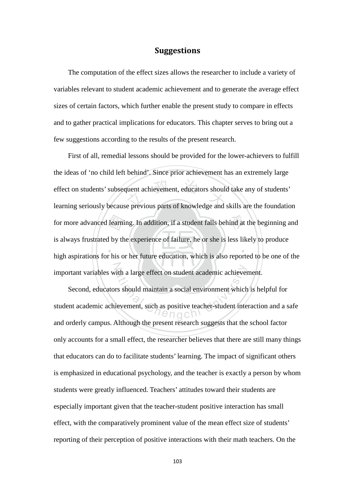## Suggestions

The computation of the effect sizes allows the researcher to include a variety of variables relevant to student academic achievement and to generate the average effect sizes of certain factors, which further enable the present study to compare in effects and to gather practical implications for educators. This chapter serves to bring out a few suggestions according to the results of the present research.

high aspirations for his or her future education, which is also reported to be one of the for more advanced learning. In addition, if a student falls behind at the beginning and<br>is always frustrated by the experience of failure, he or she is less likely to produce<br>high aspirations for his or her future educatio quent achievement, educators should<br>e previous parts of knowledge and ‧ N First of all, remedial lessons should be provided for the lower-achievers to fulfill the ideas of 'no child left behind'. Since prior achievement has an extremely large effect on students' subsequent achievement, educators should take any of students' learning seriously because previous parts of knowledge and skills are the foundation is always frustrated by the experience of failure, he or she is less likely to produce important variables with a large effect on student academic achievement.

ith a large effect on student academic achiever<br>rs should maintain a social environment which<br>ievement, such as positive teacher-student inte Second, educators should maintain a social environment which is helpful for student academic achievement, such as positive teacher-student interaction and a safe and orderly campus. Although the present research suggests that the school factor only accounts for a small effect, the researcher believes that there are still many things that educators can do to facilitate students' learning. The impact of significant others is emphasized in educational psychology, and the teacher is exactly a person by whom students were greatly influenced. Teachers' attitudes toward their students are especially important given that the teacher-student positive interaction has small effect, with the comparatively prominent value of the mean effect size of students' reporting of their perception of positive interactions with their math teachers. On the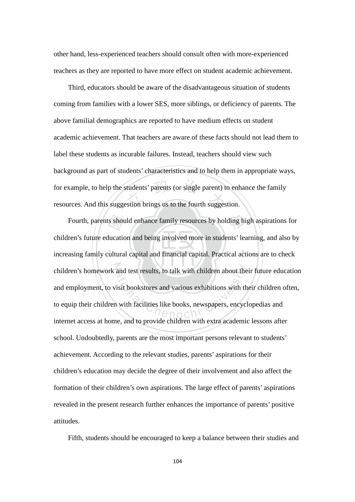other hand, less-experienced teachers should consult often with more-experienced teachers as they are reported to have more effect on student academic achievement.

tudents' parents (or single parent) to<br>stion brings us to the fourth sugges Third, educators should be aware of the disadvantageous situation of students coming from families with a lower SES, more siblings, or deficiency of parents. The above familial demographics are reported to have medium effects on student academic achievement. That teachers are aware of these facts should not lead them to label these students as incurable failures. Instead, teachers should view such background as part of students' characteristics and to help them in appropriate ways, for example, to help the students' parents (or single parent) to enhance the family resources. And this suggestion brings us to the fourth suggestion.

s shot<br>lucation<br>ultura Fourth, parents should enhance family resources by holding high aspirations for ‧ children's homework and test results, to talk with children about their future education and test results, to talk with children about the<br>
visit bookstores and various exhibitions with the<br>
in with facilities like books, newspapers, encycle<br>
and to provide children with outre accompanies children's future education and being involved more in students' learning, and also by increasing family cultural capital and financial capital. Practical actions are to check and employment, to visit bookstores and various exhibitions with their children often, to equip their children with facilities like books, newspapers, encyclopedias and internet access at home, and to provide children with extra academic lessons after school. Undoubtedly, parents are the most important persons relevant to students' achievement. According to the relevant studies, parents' aspirations for their children's education may decide the degree of their involvement and also affect the formation of their children's own aspirations. The large effect of parents' aspirations revealed in the present research further enhances the importance of parents' positive attitudes.

Fifth, students should be encouraged to keep a balance between their studies and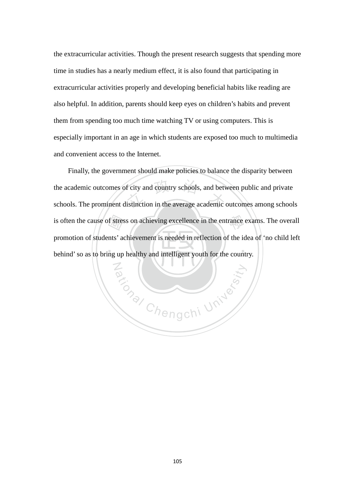the extracurricular activities. Though the present research suggests that spending more time in studies has a nearly medium effect, it is also found that participating in extracurricular activities properly and developing beneficial habits like reading are also helpful. In addition, parents should keep eyes on children's habits and prevent them from spending too much time watching TV or using computers. This is especially important in an age in which students are exposed too much to multimedia and convenient access to the Internet.

f stres<br>nts' ac<br>ng up f city and country schools, and between the average academic of is often the cause of stress on achieving excellence in the entrance exams. The overall ‧ Finally, the government should make policies to balance the disparity between the academic outcomes of city and country schools, and between public and private schools. The prominent distinction in the average academic outcomes among schools promotion of students' achievement is needed in reflection of the idea of 'no child left behind' so as to bring up healthy and intelligent youth for the country.

Za (NIV)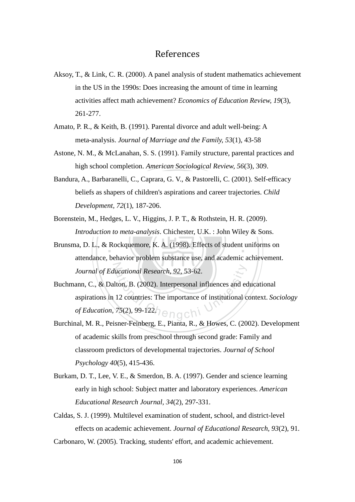## References

- Aksoy, T., & Link, C. R. (2000). A panel analysis of student mathematics achievement in the US in the 1990s: Does increasing the amount of time in learning activities affect math achievement? *Economics of Education Review, 19*(3), 261-277.
- Amato, P. R., & Keith, B. (1991). Parental divorce and adult well-being: A meta-analysis. *Journal of Marriage and the Family, 53*(1), 43-58
- Astone, N. M., & McLanahan, S. S. (1991). Family structure, parental practices and high school completion. *American Sociological Review, 56*(3), 309.
- 1, C., Caprara, G. V.,  $\alpha$  Pastorein, C<br>of children's aspirations and career<br>1), 187-206. Bandura, A., Barbaranelli, C., Caprara, G. V., & Pastorelli, C. (2001). Self-efficacy beliefs as shapers of children's aspirations and career trajectories. *Child Development, 72*(1), 187-206.
- dges,<br>
n to m<br>
Rock Borenstein, M., Hedges, L. V., Higgins, J. P. T., & Rothstein, H. R. (2009). *Introduction to meta-analysis*. Chichester, U.K. : John Wiley & Sons.
- Brunsma, D. L., & Rockquemore, K. A. (1998). Effects of student uniforms on N *Journal of Educational Research, 92*, 53-62. attendance, behavior problem substance use, and academic achievement.
- Exercise and Research, 92, 53-62.<br>
Iton, B. (2002). Interpersonal influences and equal to 12 countries: The importance of institutional contract  $75(2)$ , 99-122. Buchmann, C., & Dalton, B. (2002). Interpersonal influences and educational aspirations in 12 countries: The importance of institutional context. *Sociology of Education, 75*(2), 99-122.
- Burchinal, M. R., Peisner-Feinberg, E., Pianta, R., & Howes, C. (2002). Development of academic skills from preschool through second grade: Family and classroom predictors of developmental trajectories. *Journal of School Psychology 40*(5), 415-436.
- Burkam, D. T., Lee, V. E., & Smerdon, B. A. (1997). Gender and science learning early in high school: Subject matter and laboratory experiences. *American Educational Research Journal, 34*(2), 297-331.
- Caldas, S. J. (1999). Multilevel examination of student, school, and district-level effects on academic achievement. *Journal of Educational Research, 93*(2), 91.
- Carbonaro, W. (2005). Tracking, students' effort, and academic achievement.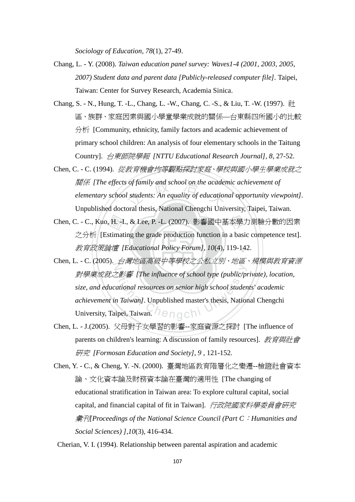*Sociology of Education, 78*(1), 27-49.

- Chang, L. Y. (2008). *Taiwan education panel survey: Waves1-4 (2001, 2003, 2005, 2007) Student data and parent data [Publicly-released computer file].* Taipei, Taiwan: Center for Survey Research, Academia Sinica.
- Chang, S. N., Hung, T. -L., Chang, L. -W., Chang, C. -S., & Liu, T. -W. (1997). 社 區、族群、家庭因素與國小學童學業成就的關係—台東縣四所國小的比較 分析 [Community, ethnicity, family factors and academic achievement of primary school children: An analysis of four elementary schools in the Taitung Country]. 台東師院學報 *[NTTU Educational Research Journal], 8*, 27-52.
- of family and school on the acader<br>1 students: An equality of education<br>oral thosis. National Changchi Univ Chen, C. - C. (1994). 從教育機會均等觀點探討家庭、學校與國小學生學業成就之 關係 *[The effects of family and school on the academic achievement of elementary school students: An equality of educational opportunity viewpoint].* Unpublished doctoral thesis, National Chengchi University, Taipei, Taiwan.
- ‧‧ 教育政策論壇 *[Educational Policy Forum], 10*(4), 119-142. Chen, C. - C., Kuo, H. -I., & Lee, P. -L. (2007). 影響國中基本學力測驗分數的因素<br>之分析 [Estimating the grade production function in a basic competence test].<br>教育政策論壇 [Educational Policy Forum], 10(4), 119-142. 之分析 [Estimating the grade production function in a basic competence test].
- Chen, L. C. (2005). *台灣地區高級中等學校之公私立別、地區、規模與教育資源* 對學業成就之影響 [The influence of school type (public/pi<br>size, and educational resources on senior high school studen<br>achievement in Taiwan]. Unpublished master's thesis, Nation<br>University, Taipei, Taiwan. nengon 對學業成就之影響 *[The influence of school type (public/private), location, size, and educational resources on senior high school students' academic achievement in Taiwan]*. Unpublished master's thesis, National Chengchi
- Chen, L. J.(2005). 父母對子女學習的影響--家庭資源之探討 [The influence of parents on children's learning: A discussion of family resources]. 教育與社會 研究 *[Formosan Education and Society], 9* , 121-152.
- Chen, Y. C., & Cheng, Y. -N. (2000). 臺灣地區教育階層化之變遷--檢證社會資本 論、文化資本論及財務資本論在臺灣的適用性 [The changing of educational stratification in Taiwan area: To explore cultural capital, social capital, and financial capital of fit in Taiwan]. 行政院國家科學委員會研究 彙刊*[Proceedings of the National Science Council (Part C*:*Humanities and Social Sciences) ],10*(3), 416-434.

Cherian, V. I. (1994). Relationship between parental aspiration and academic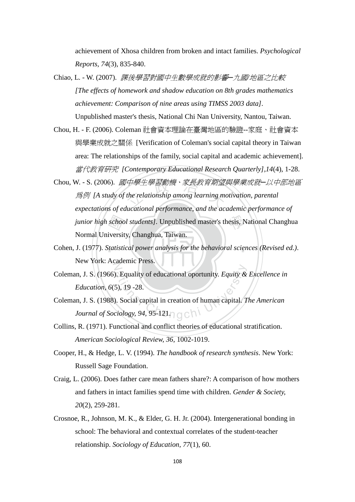achievement of Xhosa children from broken and intact families. *Psychological Reports, 74*(3), 835-840.

- Chiao, L. W. (2007). 課後學習對國中生數學成就的影響─九國*/*地區之比較 *[The effects of homework and shadow education on 8th grades mathematics achievement: Comparison of nine areas using TIMSS 2003 data].*  Unpublished master's thesis, National Chi Nan University, Nantou, Taiwan.
- Chou, H. F. (2006). Coleman 社會資本理論在臺灣地區的驗證--家庭、社會資本 與學業成就之關係 [Verification of Coleman's social capital theory in Taiwan area: The relationships of the family, social capital and academic achievement]. 當代教育研究 *[Contemporary Educational Research Quarterly],14*(4), 1-28.
- schoo<br>iversit<br>tatisti |中學生學習動機、家長教育期望<br>the relationship among learning mo<br>|ugational performance\_and\_the\_ac junior high school students]. Unpublished master's thesis, National Changhua Chou, W. - S. (2006). 國中學生學習動機、家長教育期望與學業成就─以中部地區 為例 *[A study of the relationship among learning motivation, parental expectations of educational performance, and the academic performance of*  Normal University, Changhua, Taiwan.
- Cohen, J. (1977). *Statistical power analysis for the behavioral sciences (Revised ed.).* N New York: Academic Press.
- ational opertunity. Equity &<br>5), 19 -28.<br>ational capital in creation of human capital. The Social capital in creation of human capital. The Society of  $\frac{1}{2}$ Coleman, J. S. (1966). Equality of educational oportunity. *Equity & Excellence in Education, 6*(5), 19 -28.
- Coleman, J. S. (1988). Social capital in creation of human capital. *The American Journal of Sociology, 94, 95-121* $\cap$   $\cap$   $\cap$   $\setminus$
- Collins, R. (1971). Functional and conflict theories of educational stratification. *American Sociological Review, 36*, 1002-1019.
- Cooper, H., & Hedge, L. V. (1994). *The handbook of research synthesis*. New York: Russell Sage Foundation.
- Craig, L. (2006). Does father care mean fathers share?: A comparison of how mothers and fathers in intact families spend time with children. *Gender & Society, 20*(2), 259-281.
- Crosnoe, R., Johnson, M. K., & Elder, G. H. Jr. (2004). Intergenerational bonding in school: The behavioral and contextual correlates of the student-teacher relationship. *Sociology of Education, 77*(1), 60.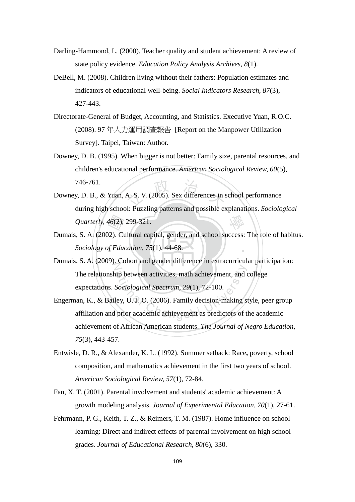- Darling-Hammond, L. (2000). Teacher quality and student achievement: A review of state policy evidence. *Education Policy Analysis Archives, 8*(1).
- DeBell, M. (2008). Children living without their fathers: Population estimates and indicators of educational well-being. *Social Indicators Research, 87*(3), 427-443.
- Directorate-General of Budget, Accounting, and Statistics. Executive Yuan, R.O.C. (2008). 97 年人力運用調查報告 [Report on the Manpower Utilization Survey]. Taipei, Taiwan: Author.
- Downey, D. B. (1995). When bigger is not better: Family size, parental resources, and children's educational performance. *American Sociological Review, 60*(5), 746-761.
- A. S. V. (2005). Sex differences in s 學 Downey, D. B., & Yuan, A. S. V. (2005). Sex differences in school performance during high school: Puzzling patterns and possible explanations. *Sociological Quarterly, 46*(2), 299-321.
- ‧46(2),<br>)2). Cu<br>of Edu ‧ Dumais, S. A. (2002). Cultural capital, gender, and school success: The role of habitus. *Sociology of Education, 75*(1), 44-68.
- N Dumais, S. A. (2009). Cohort and gender difference in extracurricular participation: ip between activities, math achievement, and consider activities, math achievement, and consider the Sociological Spectrum, 29(1), 72-100.<br>ley, U. J. O. (2006). Family decision-making soprior academic achievement as predic The relationship between activities, math achievement, and college expectations. *Sociological Spectrum, 29*(1), 72-100.
- Engerman, K., & Bailey, U. J. O. (2006). Family decision-making style, peer group affiliation and prior academic achievement as predictors of the academic achievement of African American students. *The Journal of Negro Education, 75*(3), 443-457.
- Entwisle, D. R., & Alexander, K. L. (1992). Summer setback: Race**,** poverty, school composition, and mathematics achievement in the first two years of school. *American Sociological Review, 57*(1), 72-84.
- Fan, X. T. (2001). Parental involvement and students' academic achievement: A growth modeling analysis. *Journal of Experimental Education, 70*(1), 27-61.
- Fehrmann, P. G., Keith, T. Z., & Reimers, T. M. (1987). Home influence on school learning: Direct and indirect effects of parental involvement on high school grades. *Journal of Educational Research, 80*(6), 330.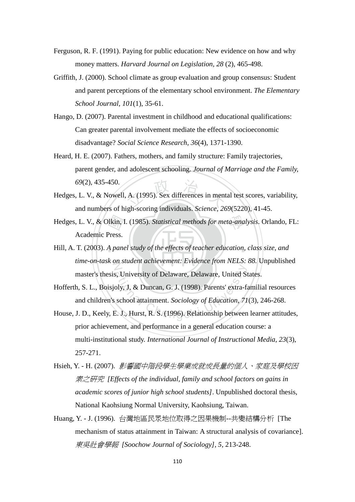- Ferguson, R. F. (1991). Paying for public education: New evidence on how and why money matters. *Harvard Journal on Legislation, 28* (2), 465-498.
- Griffith, J. (2000). School climate as group evaluation and group consensus: Student and parent perceptions of the elementary school environment. *The Elementary School Journal, 101*(1), 35-61.
- Hango, D. (2007). Parental investment in childhood and educational qualifications: Can greater parental involvement mediate the effects of socioeconomic disadvantage? *Social Science Research, 36*(4), 1371-1390.
- Heard, H. E. (2007). Fathers, mothers, and family structure: Family trajectories, parent gender, and adolescent schooling. *Journal of Marriage and the Family, 69*(2), 435-450.
- A. (1995). Sex differences in ment Hedges, L. V., & Nowell, A. (1995). Sex differences in mental test scores, variability, and numbers of high-scoring individuals. *Science, 269*(5220), 41-45.
- Hedges, L. V., & Olkin, I. (1985). *Statistical methods for meta-analysis*. Orlando, FL:<br>Academic Press.<br>Hill, A. T. (2003). A panel study of the effects of teacher education, class size, and Academic Press.
- Hill, A. T. (2003). A panel study of the effects of teacher education, class size, and time-on-task on student achievement: Evidence from NELS: 88. Unpublished master's thesis, University of Delaware, Delaware, United States.
- ational Chengchi University of Delaware, Delaware, United St<br>
oly, J, & Duncan, G. J. (1998). Parents' extra-fa<br>
school attainment. Sociology of Education, 71<br>
E. J., Hurst, R. S. (1996). Relationship between Hofferth, S. L., Boisjoly, J, & Duncan, G. J. (1998). Parents' extra-familial resources and children's school attainment. *Sociology of Education, 71*(3), 246-268.
- House, J. D., Keely, E. J., Hurst, R. S. (1996). Relationship between learner attitudes, prior achievement, and performance in a general education course: a multi-institutional study. *International Journal of Instructional Media, 23*(3), 257-271.
- Hsieh, Y. H. (2007). 影響國中階段學生學業成就成長量的個人、家庭及學校因 素之研究 *[Effects of the individual, family and school factors on gains in academic scores of junior high school students]*. Unpublished doctoral thesis, National Kaohsiung Normal University, Kaohsiung, Taiwan.
- Huang, Y. J. (1996). 台灣地區民眾地位取得之因果機制--共變結構分析 [The mechanism of status attainment in Taiwan: A structural analysis of covariance]. 東吳社會學報 *[Soochow Journal of Sociology], 5*, 213-248.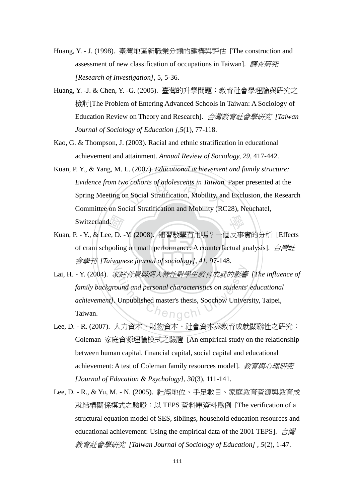- Huang, Y. J. (1998). 臺灣地區新職業分類的建構與評估 [The construction and assessment of new classification of occupations in Taiwan]. 調查研究 *[Research of Investigation]*, 5, 5-36.
- Huang, Y. -J. & Chen, Y. -G. (2005). 臺灣的升學問題:教育社會學理論與研究之 檢討[The Problem of Entering Advanced Schools in Taiwan: A Sociology of Education Review on Theory and Research]. 台灣教育社會學研究 *[Taiwan Journal of Sociology of Education ],5*(1), 77-118.
- Kao, G. & Thompson, J. (2003). Racial and ethnic stratification in educational achievement and attainment. *Annual Review of Sociology, 29*, 417-442.
- o cohorts of adolescents in Taiwan.<br>n Social Stratification, Mobility, an<br>cial Stratification and Mobility (BC 學 Kuan, P. Y., & Yang, M. L. (2007). *Educational achievement and family structure: Evidence from two cohorts of adolescents in Taiwan.* Paper presented at the Spring Meeting on Social Stratification, Mobility, and Exclusion, the Research Committee on Social Stratification and Mobility (RC28), Neuchatel, Switzerland.
- $\sqrt{\frac{1}{|G|}}$ <br>e, D. ooling of cram schooling on math performance: A counterfactual analysis]. 白灣社 N 會學刊 *[Taiwanese journal of sociology], 41*, 97-148. Kuan, P. - Y., & Lee, D. -Y. (2008). 補習數學有用嗎?一個反事實的分析 [Effects
- The Times of the Search Search<br>
The Search Search Search Search Unpublished master's thesis, Soochow Univer<br>
Unpublished master's thesis, Soochow Univer Lai, H. - Y. (2004). 家庭背景與個人特性對學生教育成就的影響 *[The influence of family background and personal characteristics on students' educational achievement].* Unpublished master's thesis, Soochow University, Taipei, Taiwan.
- Lee, D. R. (2007). 人力資本、財物資本、社會資本與教育成就關聯性之研究: Coleman 家庭資源理論模式之驗證 [An empirical study on the relationship between human capital, financial capital, social capital and educational achievement: A test of Coleman family resources model]. 教育與心理研究 *[Journal of Education & Psychology], 30*(3), 111-141.
- Lee, D. R., & Yu, M. N. (2005). 社經地位、手足數目、家庭教育資源與教育成 就結構關係模式之驗證:以 TEPS 資料庫資料為例 [The verification of a structural equation model of SES, siblings, household education resources and educational achievement: Using the empirical data of the 2001 TEPS]. 台灣 教育社會學研究 *[Taiwan Journal of Sociology of Education] , 5*(2), 1-47.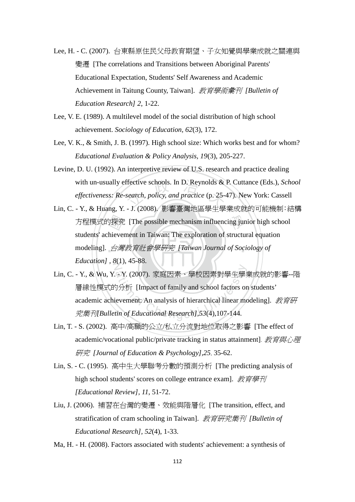- Lee, H. C. (2007). 台東縣原住民父母教育期望、子女知覺與學業成就之關連與 變遷 [The correlations and Transitions between Aboriginal Parents' Educational Expectation, Students' Self Awareness and Academic Achievement in Taitung County, Taiwan]. 教育學術彙刊 *[Bulletin of Education Research] 2*, 1-22.
- Lee, V. E. (1989). A multilevel model of the social distribution of high school achievement. *Sociology of Education, 62*(3), 172.
- Lee, V. K., & Smith, J. B. (1997). High school size: Which works best and for whom? *Educational Evaluation & Policy Analysis, 19*(3), 205-227.
- ffective schools. In D. Reynolds &<br>search, policy, and practice (p. 25-4<br>1 (2008) 影郷喜灘地叵與出與 Levine, D. U. (1992). An interpretive review of U.S. research and practice dealing with un-usually effective schools. In D. Reynolds & P. Cuttance (Eds.), *School effectiveness: Re-search, policy, and practice* (p. 25-47). New York: Cassell
- ‧‧ modeling]. 台灣教育社會學研究 *[Taiwan Journal of Sociology of*  方程模式的探究 [The possible mechanism influencing junior high school<br>students' achievement in Taiwan: The exploration of structural equation<br>modeling]. *台灣教育社會學研究 [Taiwan Journal of Sociology of Education*], 8(1), 45-88. Lin, C. - Y., & Huang, Y. - J. (2008). 影響臺灣地區學生學業成就的可能機制:結構 students' achievement in Taiwan: The exploration of structural equation
- Y. (2007). 家庭因素、學校因素對學生學<br><br><br><br><br><br><br><br><br><br>(in of Educational Research],53(4),107-144.<br> Lin, C. - Y., & Wu, Y. - Y. (2007). 家庭因素、學校因素對學生學業成就的影響--階 層線性模式的分析 [Impact of family and school factors on students' academic achievement: An analysis of hierarchical linear modeling]. 教育研 究集刊*[Bulletin of Educational Research],53*(4),107-144.
- Lin, T. S. (2002). 高中/高職的公立/私立分流對地位取得之影響 [The effect of academic/vocational public/private tracking in status attainment]. 教育與心理 研究 *[Journal of Education & Psychology],25*, 35-62.
- Lin, S. C. (1995). 高中生大學聯考分數的預測分析 [The predicting analysis of high school students' scores on college entrance exam]. 教育學刊 *[Educational Review], 11*, 51-72.
- Liu, J. (2006). 補習在台灣的變遷、效能與階層化 [The transition, effect, and stratification of cram schooling in Taiwan]. 教育研究集刊 *[Bulletin of Educational Research], 52*(4), 1-33.
- Ma, H. H. (2008). Factors associated with students' achievement: a synthesis of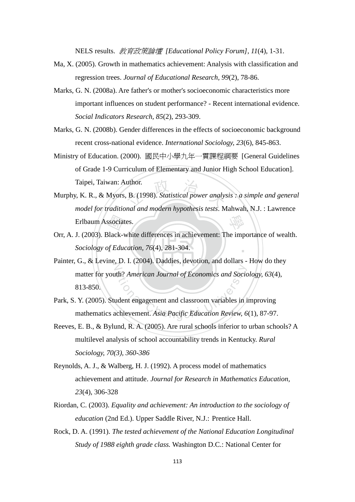NELS results. 教育政策論壇 *[Educational Policy Forum], 11*(4), 1-31.

- Ma, X. (2005). Growth in mathematics achievement: Analysis with classification and regression trees. *Journal of Educational Research, 99*(2), 78-86.
- Marks, G. N. (2008a). Are father's or mother's socioeconomic characteristics more important influences on student performance? - Recent international evidence. *Social Indicators Research, 85*(2), 293-309.
- Marks, G. N. (2008b). Gender differences in the effects of socioeconomic background recent cross-national evidence. *International Sociology, 23*(6), 845-863.
- Ministry of Education. (2000). 國民中小學九年一貫課程綱要 [General Guidelines of Grade 1-9 Curriculum of Elementary and Junior High School Education]. Taipei, Taiwan: Author.
- uthor.<br>
B. (1998). Statistical power analyst<br>
and and modern hypothesis tests. M 學 Murphy, K. R., & Myors, B. (1998). *Statistical power analysis : a simple and general model for traditional and modern hypothesis tests*. Mahwah, N.J. : Lawrence Erlbaum Associates.
- ‧*Sociology of Education, 76*(4), 281-304. ssociat<br>|<br>|<br>| Edu ‧ Orr, A. J. (2003). Black-white differences in achievement: The importance of wealth.
- Painter, G., & Levine, D. I. (2004). Daddies, devotion, and dollars How do they The American Journal of Economics and Socion<br>
udent engagement and classroom variables in independent and classroom variables in it<br>
uchievement. Asia Pacific Education Review, 6 matter for youth? *American Journal of Economics and Sociology, 63*(4), 813-850.
- Park, S. Y. (2005). Student engagement and classroom variables in improving mathematics achievement. *Asia Pacific Education Review, 6*(1), 87-97.
- Reeves, E. B., & Bylund, R. A. (2005). Are rural schools inferior to urban schools? A multilevel analysis of school accountability trends in Kentucky. *Rural Sociology, 70(3), 360-386*
- Reynolds, A. J., & Walberg, H. J. (1992). A process model of mathematics achievement and attitude. *Journal for Research in Mathematics Education, 23*(4), 306-328
- Riordan, C. (2003). *Equality and achievement: An introduction to the sociology of education* (2nd Ed.). Upper Saddle River, N.J.: Prentice Hall.
- Rock, D. A. (1991). *The tested achievement of the National Education Longitudinal Study of 1988 eighth grade class.* Washington D.C.: National Center for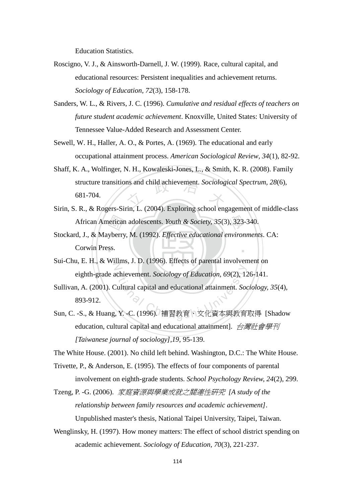Education Statistics.

- Roscigno, V. J., & Ainsworth-Darnell, J. W. (1999). Race, cultural capital, and educational resources: Persistent inequalities and achievement returns. *Sociology of Education, 72*(3), 158-178.
- Sanders, W. L., & Rivers, J. C. (1996). *Cumulative and residual effects of teachers on future student academic achievement*. Knoxville, United States: University of Tennessee Value-Added Research and Assessment Center.
- Sewell, W. H., Haller, A. O., & Portes, A. (1969). The educational and early occupational attainment process. *American Sociological Review, 34*(1), 82-92.
- structure transitions and child achievement. *Sociological Spectrum, 28*(6),<br>681-704. Shaff, K. A., Wolfinger, N. H., Kowaleski-Jones, L., & Smith, K. R. (2008). Family 681-704.
- Sirin, S. R., & Rogers-Sirin, L. (2004). Exploring school engagement of middle-class
- African American adolescents. *Youth & Society, 35*(3), 323-340.<br>d, J., & Mayberry, M. (1992). *Effective educational environment*.<br>Corwin Press. ‧ Stockard, J., & Mayberry, M. (1992). *Effective educational environments*. CA: Corwin Press.
- Sui-Chu, E. H., & Willms, J. D. (1996). Effects of parental involvement on eighth-grade achievement. *Sociology of Education, 69*(2), 126-141.
- eighth-grade achievement. *Sociology of Education*, 69(2), 126-141.<br>Sullivan, A. (2001). Cultural capital and educational attainment. *Sociology*, 35(4),<br>893-912.<br>Sun, C. -S., & Huang, Y. -C. (1996). 補習教育、文化資本與教育取得 [Shado Sullivan, A. (2001). Cultural capital and educational attainment. *Sociology, 35*(4), 893-912.
- education, cultural capital and educational attainment]. 台灣社會學刊 *[Taiwanese journal of sociology],19,* 95-139.

The White House. (2001). No child left behind. Washington, D.C.: The White House.

- Trivette, P., & Anderson, E. (1995). The effects of four components of parental involvement on eighth-grade students. *School Psychology Review, 24*(2), 299.
- Tzeng, P. -G. (2006). 家庭資源與學業成就之關連性研究 *[A study of the relationship between family resources and academic achievement]*. Unpublished master's thesis, National Taipei University, Taipei, Taiwan.
- Wenglinsky, H. (1997). How money matters: The effect of school district spending on academic achievement. *Sociology of Education, 70*(3), 221-237.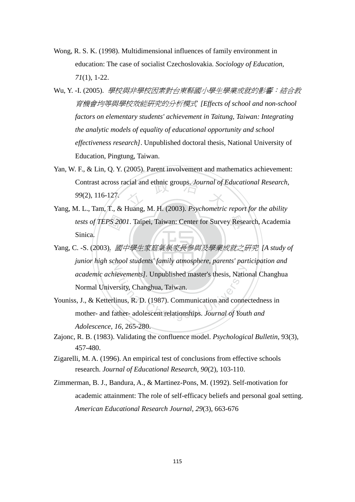- Wong, R. S. K. (1998). Multidimensional influences of family environment in education: The case of socialist Czechoslovakia. *Sociology of Education, 71*(1), 1-22.
- Wu, Y. -I. (2005). *學校與非學校因素對台東縣國小學生學業成就的影響:結合教* 育機會均等與學校效能研究的分析模式 *[Effects of school and non-school factors on elementary students' achievement in Taitung, Taiwan: Integrating the analytic models of equality of educational opportunity and school effectiveness research]*. Unpublished doctoral thesis, National University of Education, Pingtung, Taiwan.
- Contrast across racial and ethnic groups. *Journal of Educational Research*,<br>99(2), 116-127.<br>*A* J Tam T & Huang M H (2003) *Poughomatric raport for the obility* Yan, W. F., & Lin, Q. Y. (2005). Parent involvement and mathematics achievement: *99*(2), 116-127.
- )<br>0. 國<sup>1</sup> tests of TEPS 2001. Taipei, Taiwan: Center for Survey Research, Academia Yang, M. L., Tam, T., & Huang, M. H. (2003). *Psychometric report for the ability*  Sinica.
- ‧‧ Yang, C. -S. (2003). 國中學生家庭氣氛家長參與及學業成就之研究 *[A study of*  junior high school students' family atmosphere, parents' participation and **partici** Evements]. Unpublished master's thesis, National Chengcity, Changhua, Taiwan.<br>
inus, R. D. (1987). Communication and connent<br>
ather-adolescent relationships. Journal of Yout *academic achievements].* Unpublished master's thesis, National Changhua Normal University, Changhua, Taiwan.
- Youniss, J., & Ketterlinus, R. D. (1987). Communication and connectedness in mother- and father- adolescent relationships. *Journal of Youth and Adolescence, 16*, 265-280.
- Zajonc, R. B. (1983). Validating the confluence model. *Psychological Bulletin*, 93(3), 457-480.
- Zigarelli, M. A. (1996). An empirical test of conclusions from effective schools research. *Journal of Educational Research, 90*(2), 103-110.
- Zimmerman, B. J., Bandura, A., & Martinez-Pons, M. (1992). Self-motivation for academic attainment: The role of self-efficacy beliefs and personal goal setting. *American Educational Research Journal, 29*(3), 663-676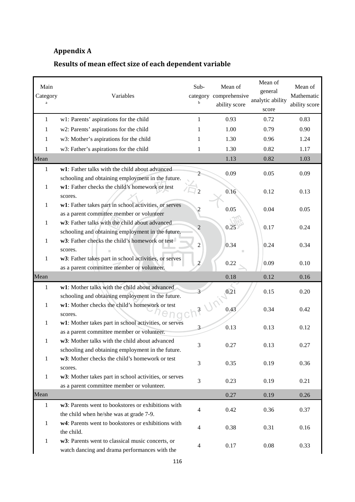## Appendix A

## Results of mean effect size of each dependent variable

| Main<br>Category | Variables                                                                                                          | Sub-<br>b      | Mean of<br>category comprehensive<br>ability score | Mean of<br>general<br>analytic ability<br>score | Mean of<br>Mathematic<br>ability score |
|------------------|--------------------------------------------------------------------------------------------------------------------|----------------|----------------------------------------------------|-------------------------------------------------|----------------------------------------|
| $\mathbf{1}$     | w1: Parents' aspirations for the child                                                                             | 1              | 0.93                                               | 0.72                                            | 0.83                                   |
| 1                | w2: Parents' aspirations for the child                                                                             | 1              | 1.00                                               | 0.79                                            | 0.90                                   |
| 1                | w3: Mother's aspirations for the child                                                                             |                | 1.30                                               | 0.96                                            | 1.24                                   |
| 1                | w3: Father's aspirations for the child                                                                             | 1              | 1.30                                               | 0.82                                            | 1.17                                   |
| Mean             |                                                                                                                    |                | 1.13                                               | 0.82                                            | 1.03                                   |
| $\mathbf{1}$     | w1: Father talks with the child about advanced<br>schooling and obtaining employment in the future.                |                | 0.09                                               | 0.05                                            | 0.09                                   |
| 1                | w1: Father checks the child's homework or test<br>scores.<br>w1: Father takes part in school activities, or serves |                | 0.16                                               | 0.12                                            | 0.13                                   |
| 1                | as a parent committee member or volunteer                                                                          | 2              | 0.05                                               | 0.04                                            | 0.05                                   |
| 1                | w3: Father talks with the child about advanced<br>schooling and obtaining employment in the future.                | $\overline{c}$ | 0.25                                               | 0.17                                            | 0.24                                   |
| 1                | w3: Father checks the child's homework or test<br>scores.                                                          | $\overline{c}$ | 0.34                                               | 0.24                                            | 0.34                                   |
| 1                | w3: Father takes part in school activities, or serves<br>as a parent committee member or volunteer.                |                | 0.22                                               | 0.09                                            | 0.10                                   |
| Mean             |                                                                                                                    |                | 0.18                                               | 0.12                                            | 0.16                                   |
| 1                | w1: Mother talks with the child about advanced<br>schooling and obtaining employment in the future.                |                | 0.21                                               | 0.15                                            | 0.20                                   |
| 1                | w1: Mother checks the child's homework or test<br>scores.                                                          | $\sqrt{3}$     | - 12<br>0.43                                       | 0.34                                            | 0.42                                   |
| 1                | w1: Mother takes part in school activities, or serves<br>as a parent committee member or volunteer.                |                | 0.13                                               | 0.13                                            | 0.12                                   |
| 1                | w3: Mother talks with the child about advanced<br>schooling and obtaining employment in the future.                | 3              | 0.27                                               | 0.13                                            | 0.27                                   |
| 1                | w3: Mother checks the child's homework or test<br>scores.                                                          | 3              | 0.35                                               | 0.19                                            | 0.36                                   |
| $\mathbf{1}$     | w3: Mother takes part in school activities, or serves<br>as a parent committee member or volunteer.                | 3              | 0.23                                               | 0.19                                            | 0.21                                   |
| Mean             |                                                                                                                    |                | 0.27                                               | 0.19                                            | 0.26                                   |
| 1                | w3: Parents went to bookstores or exhibitions with<br>the child when he/she was at grade 7-9.                      | 4              | 0.42                                               | 0.36                                            | 0.37                                   |
| 1                | w4: Parents went to bookstores or exhibitions with<br>the child.                                                   | 4              | 0.38                                               | 0.31                                            | 0.16                                   |
| $\mathbf{1}$     | w3: Parents went to classical music concerts, or<br>watch dancing and drama performances with the                  | 4              | 0.17                                               | 0.08                                            | 0.33                                   |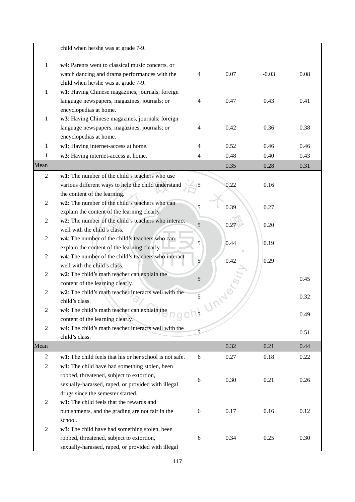|                | child when he/she was at grade 7-9.                                            |             |      |         |      |
|----------------|--------------------------------------------------------------------------------|-------------|------|---------|------|
| $\mathbf{1}$   | w4: Parents went to classical music concerts, or                               |             |      |         |      |
|                | watch dancing and drama performances with the                                  | 4           | 0.07 | $-0.03$ | 0.08 |
|                | child when he/she was at grade 7-9.                                            |             |      |         |      |
| 1              | w1: Having Chinese magazines, journals; foreign                                |             |      |         |      |
|                | language newspapers, magazines, journals; or                                   | 4           | 0.47 | 0.43    | 0.41 |
|                | encyclopedias at home.                                                         |             |      |         |      |
| 1              | w3: Having Chinese magazines, journals; foreign                                |             |      |         |      |
|                | language newspapers, magazines, journals; or                                   | 4           | 0.42 | 0.36    | 0.38 |
|                | encyclopedias at home.                                                         |             |      |         |      |
| 1              | w1: Having internet-access at home.                                            | 4           | 0.52 | 0.46    | 0.46 |
| 1              | w3: Having internet-access at home.                                            | 4           | 0.48 | 0.40    | 0.43 |
| Mean           |                                                                                |             | 0.35 | 0.28    | 0.31 |
| $\overline{2}$ | w1: The number of the child's teachers who use                                 |             |      |         |      |
|                | various different ways to help the child understand                            |             | 0.22 | 0.16    |      |
| 2              | the content of the learning.<br>w2: The number of the child's teachers who can |             |      |         |      |
|                | explain the content of the learning clearly.                                   | 5           | 0.39 | 0.27    |      |
| 2              | w2: The number of the child's teachers who interact                            |             |      |         |      |
|                | well with the child's class.                                                   | 5           | 0.2  | 0.20    |      |
| $\overline{c}$ | w4: The number of the child's teachers who can                                 | 5           | 0.44 | 0.19    |      |
|                | explain the content of the learning clearly.                                   |             |      |         |      |
| $\overline{c}$ | w4: The number of the child's teachers who interact                            | 5           | 0.42 | 0.29    |      |
|                | well with the child's class.                                                   |             |      |         |      |
| 2              | w2: The child's math teacher can explain the                                   | 5           |      |         | 0.45 |
|                | content of the learning clearly.                                               |             |      |         |      |
| $\overline{c}$ | w2: The child's math teacher interacts well with the                           | 5           |      |         | 0.32 |
| $\overline{c}$ | child's class.<br>w4: The child's math teacher can explain the                 |             |      |         |      |
|                | content of the learning clearly.                                               | $\bigcap$ 5 |      |         | 0.49 |
| $\overline{2}$ | w4: The child's math teacher interacts well with the                           |             |      |         |      |
|                | child's class.                                                                 | 5           |      |         | 0.51 |
| Mean           |                                                                                |             | 0.32 | 0.21    | 0.44 |
| 2              | w1: The child feels that his or her school is not safe.                        | 6           | 0.27 | 0.18    | 0.22 |
| $\overline{2}$ | w1: The child have had something stolen, been                                  |             |      |         |      |
|                | robbed, threatened, subject to extortion,                                      |             |      | 0.21    | 0.26 |
|                | sexually-harassed, raped, or provided with illegal                             | 6           | 0.30 |         |      |
|                | drugs since the semester started.                                              |             |      |         |      |
| $\overline{2}$ | w1: The child feels that the rewards and                                       |             |      |         |      |
|                | punishments, and the grading are not fair in the                               | 6           | 0.17 | 0.16    | 0.12 |
|                | school.                                                                        |             |      |         |      |
| $\overline{2}$ | w3: The child have had something stolen, been                                  |             |      |         |      |
|                | robbed, threatened, subject to extortion,                                      | 6           | 0.34 | 0.25    | 0.30 |
|                | sexually-harassed, raped, or provided with illegal                             |             |      |         |      |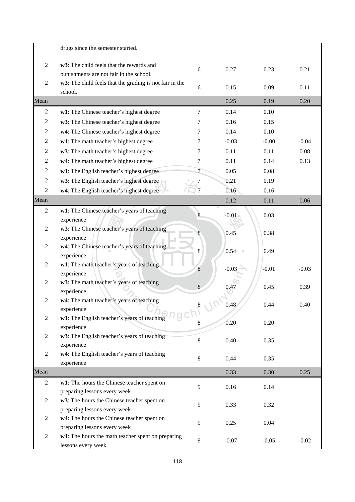$\begin{array}{c} \hline \end{array}$ 

|                  | drugs since the semester started.                                              |                  |         |         |         |
|------------------|--------------------------------------------------------------------------------|------------------|---------|---------|---------|
| $\sqrt{2}$       | w3: The child feels that the rewards and                                       |                  |         |         |         |
|                  | punishments are not fair in the school.                                        | 6                | 0.27    | 0.23    | 0.21    |
| $\mathfrak{2}$   | w3: The child feels that the grading is not fair in the                        | 6                | 0.15    | 0.09    | 0.11    |
|                  | school.                                                                        |                  |         |         |         |
| Mean             |                                                                                |                  | 0.25    | 0.19    | 0.20    |
| $\overline{c}$   | w1: The Chinese teacher's highest degree                                       | 7                | 0.14    | 0.10    |         |
| 2                | w3: The Chinese teacher's highest degree                                       | 7                | 0.16    | 0.15    |         |
| $\overline{c}$   | w4: The Chinese teacher's highest degree                                       | 7                | 0.14    | 0.10    |         |
| 2                | w1: The math teacher's highest degree                                          | 7                | $-0.03$ | $-0.00$ | $-0.04$ |
| $\overline{c}$   | w3: The math teacher's highest degree                                          | 7                | 0.11    | 0.11    | 0.08    |
| 2                | w4: The math teacher's highest degree                                          | 7                | 0.11    | 0.14    | 0.13    |
| $\overline{c}$   | w1: The English teacher's highest degree                                       | 7                | 0.05    | 0.08    |         |
| 2                | w3: The English teacher's highest degree                                       |                  | 0.21    | 0.19    |         |
| 2                | w4: The English teacher's highest degree                                       |                  | 0.16    | 0.16    |         |
| Mean             |                                                                                |                  | 0.12    | 0.11    | 0.06    |
| $\overline{2}$   | w1: The Chinese teacher's years of teaching                                    | 8                |         |         |         |
|                  | experience                                                                     |                  | $-0.01$ | 0.03    |         |
| 2                | w3: The Chinese teacher's years of teaching                                    |                  | 0.45    | 0.38    |         |
|                  | experience                                                                     |                  |         |         |         |
| 2                | w4: The Chinese teacher's years of teaching                                    | 8                | 0.54    | 0.49    |         |
|                  | experience                                                                     |                  |         |         |         |
| 2                | w1: The math teacher's years of teaching                                       | $\boldsymbol{8}$ | $-0.03$ | $-0.01$ | $-0.03$ |
| 2                | experience<br>w3: The math teacher's years of teaching                         |                  |         |         |         |
|                  | experience                                                                     | 8                | 0.47    | 0.45    | 0.39    |
| 2                | w4: The math teacher's years of teaching                                       |                  |         |         |         |
|                  | experience                                                                     | 8                | 0.48    | 0.44    | 0.40    |
| $\boldsymbol{2}$ | w1: The English teacher's years of teaching $\cap$ $\cap$ $\cap$ $\cap$ $\cap$ |                  |         |         |         |
|                  | experience                                                                     | 8                | 0.20    | 0.20    |         |
| $\overline{c}$   | w3: The English teacher's years of teaching                                    | $\,8\,$          | 0.40    | 0.35    |         |
|                  | experience                                                                     |                  |         |         |         |
| $\boldsymbol{2}$ | w4: The English teacher's years of teaching                                    | 8                | 0.44    | 0.35    |         |
|                  | experience                                                                     |                  |         |         |         |
| Mean             |                                                                                |                  | 0.33    | 0.30    | 0.25    |
| $\overline{c}$   | w1: The hours the Chinese teacher spent on                                     | 9                | 0.16    | 0.14    |         |
|                  | preparing lessons every week                                                   |                  |         |         |         |
| $\overline{c}$   | w3: The hours the Chinese teacher spent on                                     | 9                | 0.33    | 0.32    |         |
| $\overline{c}$   | preparing lessons every week<br>w4: The hours the Chinese teacher spent on     |                  |         |         |         |
|                  | preparing lessons every week                                                   | 9                | 0.25    | 0.04    |         |
| $\mathbf{2}$     | w1: The hours the math teacher spent on preparing                              |                  |         |         |         |
|                  | lessons every week                                                             | 9                | $-0.07$ | $-0.05$ | $-0.02$ |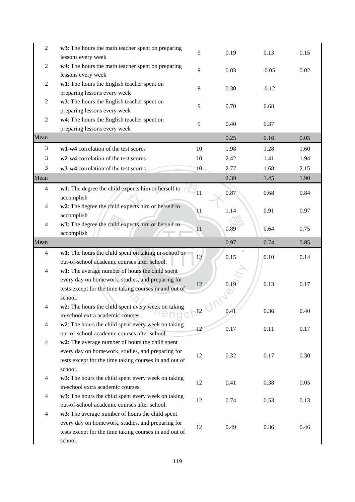| $\mathfrak{2}$ | w3: The hours the math teacher spent on preparing<br>lessons every week                                                                                                   | 9              | 0.19 | 0.13    | 0.15 |
|----------------|---------------------------------------------------------------------------------------------------------------------------------------------------------------------------|----------------|------|---------|------|
| $\overline{2}$ | w4: The hours the math teacher spent on preparing<br>lessons every week                                                                                                   | 9              | 0.03 | $-0.05$ | 0.02 |
| $\mathfrak{2}$ | w1: The hours the English teacher spent on<br>preparing lessons every week                                                                                                | 9              | 0.30 | $-0.12$ |      |
| $\mathfrak{2}$ | w3: The hours the English teacher spent on<br>preparing lessons every week                                                                                                | 9              | 0.70 | 0.68    |      |
| $\mathfrak{2}$ | w4: The hours the English teacher spent on<br>preparing lessons every week                                                                                                | 9              | 0.40 | 0.37    |      |
| Mean           |                                                                                                                                                                           |                | 0.25 | 0.16    | 0.05 |
| 3              | w1-w4 correlation of the test scores                                                                                                                                      | 10             | 1.98 | 1.28    | 1.60 |
| 3              | w2-w4 correlation of the test scores                                                                                                                                      | 10             | 2.42 | 1.41    | 1.94 |
| 3              | w3-w4 correlation of the test scores                                                                                                                                      | 10             | 2.77 | 1.68    | 2.15 |
| Mean           |                                                                                                                                                                           |                | 2.39 | 1.45    | 1.90 |
| $\overline{4}$ | w1: The degree the child expects him or herself to<br>accomplish                                                                                                          | $\bar{q}_{11}$ | 0.87 | 0.68    | 0.84 |
| 4              | w2: The degree the child expects him or herself to<br>accomplish                                                                                                          | 11             | 1.14 | 0.91    | 0.97 |
| $\overline{4}$ | w3: The degree the child expects him or herself to<br>accomplish                                                                                                          | 11             | 0.89 | 0.64    | 0.75 |
| Mean           |                                                                                                                                                                           |                | 0.97 | 0.74    | 0.85 |
| $\overline{4}$ | w1: The hours the child spent on taking in-school or<br>out-of-school academic courses after school.                                                                      | 12             | 0.15 | 0.10    | 0.14 |
| $\overline{4}$ | w1: The average number of hours the child spent<br>every day on homework, studies, and preparing for<br>tests except for the time taking courses in and out of<br>school. | 12             | 0.16 | 0.13    | 0.17 |
| 4              | w2: The hours the child spent every week on taking<br>in-school extra academic courses.                                                                                   | $\sqrt{12}$    | 0.41 | 0.36    | 0.40 |
| $\overline{4}$ | w2: The hours the child spent every week on taking<br>out-of-school academic courses after school.                                                                        | 12             | 0.17 | 0.11    | 0.17 |
| $\overline{4}$ | w2: The average number of hours the child spent<br>every day on homework, studies, and preparing for<br>tests except for the time taking courses in and out of<br>school. | 12             | 0.32 | 0.17    | 0.30 |
| $\overline{4}$ | w3: The hours the child spent every week on taking<br>in-school extra academic courses.                                                                                   | 12             | 0.41 | 0.38    | 0.05 |
| $\overline{4}$ | w3: The hours the child spent every week on taking<br>out-of-school academic courses after school.                                                                        | 12             | 0.74 | 0.53    | 0.13 |
| $\overline{4}$ | w3: The average number of hours the child spent<br>every day on homework, studies, and preparing for<br>tests except for the time taking courses in and out of<br>school. | 12             | 0.49 | 0.36    | 0.46 |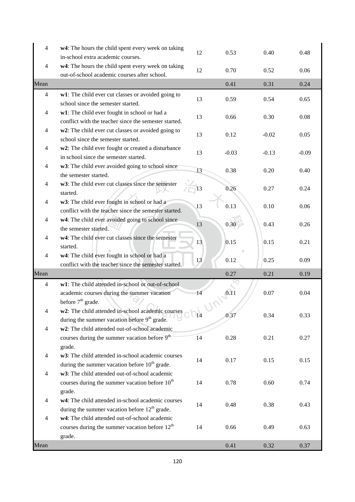| 4              | w4: The hours the child spent every week on taking                                                    | 12         | 0.53          | 0.40    | 0.48    |
|----------------|-------------------------------------------------------------------------------------------------------|------------|---------------|---------|---------|
|                | in-school extra academic courses.                                                                     |            |               |         |         |
| $\overline{4}$ | w4: The hours the child spent every week on taking<br>out-of-school academic courses after school.    | 12         | 0.70          | 0.52    | 0.06    |
| Mean           |                                                                                                       |            | 0.41          | 0.31    | 0.24    |
| $\overline{4}$ | w1: The child ever cut classes or avoided going to                                                    |            |               |         |         |
|                | school since the semester started.                                                                    | 13         | 0.59          | 0.54    | 0.65    |
| $\overline{4}$ | w1: The child ever fought in school or had a                                                          |            |               |         |         |
|                | conflict with the teacher since the semester started.                                                 | 13         | 0.66          | 0.30    | 0.08    |
| 4              | w2: The child ever cut classes or avoided going to                                                    | 13         | 0.12          | $-0.02$ | 0.05    |
|                | school since the semester started.                                                                    |            |               |         |         |
| $\overline{4}$ | w2: The child ever fought or created a disturbance                                                    | 13         | $-0.03$       | $-0.13$ | $-0.09$ |
|                | in school since the semester started.                                                                 |            |               |         |         |
| 4              | w3: The child ever avoided going to school since                                                      | 13         | 0.38          | 0.20    | 0.40    |
|                | the semester started.                                                                                 |            |               |         |         |
| 4              | w3: The child ever cut classes since the semester                                                     | 13         | 0.26          | 0.27    | 0.24    |
|                | started.                                                                                              |            |               |         |         |
| 4              | w3: The child ever fought in school or had a                                                          | 13         | 0.13          | 0.10    | 0.06    |
|                | conflict with the teacher since the semester started.                                                 |            |               |         |         |
| 4              | w4: The child ever avoided going to school since                                                      | 13         | 0.30          | 0.43    | 0.26    |
|                | the semester started.                                                                                 |            |               |         |         |
| 4              | w4: The child ever cut classes since the semester                                                     | 13         | 0.15          | 0.15    | 0.21    |
|                | started.                                                                                              |            |               |         |         |
| 4              | w4: The child ever fought in school or had a<br>conflict with the teacher since the semester started. | 13         | 0.12          | 0.25    | 0.09    |
| Mean           |                                                                                                       |            | 0.27          | 0.21    | 0.19    |
|                |                                                                                                       |            |               |         |         |
| $\overline{4}$ | w1: The child attended in-school or out-of-school                                                     |            |               |         |         |
|                | academic courses during the summer vacation<br>before 7 <sup>th</sup> grade.                          | 14         | $\sqrt{0.11}$ | 0.07    | 0.04    |
|                | w2: The child attended in-school academic courses                                                     |            |               |         |         |
|                | during the summer vacation before 9 <sup>th</sup> grade.                                              | $\vert$ 14 | 0.37          | 0.34    | 0.33    |
| $\overline{4}$ | w2: The child attended out-of-school academic                                                         |            |               |         |         |
|                | courses during the summer vacation before 9 <sup>th</sup>                                             | 14         | 0.28          | 0.21    | 0.27    |
|                | grade.                                                                                                |            |               |         |         |
| $\overline{4}$ | w3: The child attended in-school academic courses                                                     |            |               |         |         |
|                | during the summer vacation before 10 <sup>th</sup> grade.                                             | 14         | 0.17          | 0.15    | 0.15    |
| $\overline{4}$ | w3: The child attended out-of-school academic                                                         |            |               |         |         |
|                | courses during the summer vacation before $10^{th}$                                                   | 14         | 0.78          | 0.60    | 0.74    |
|                | grade.                                                                                                |            |               |         |         |
| $\overline{4}$ | w4: The child attended in-school academic courses                                                     |            |               |         |         |
|                | during the summer vacation before $12th$ grade.                                                       | 14         | 0.48          | 0.38    | 0.43    |
| $\overline{4}$ | w4: The child attended out-of-school academic                                                         |            |               |         |         |
|                | courses during the summer vacation before 12 <sup>th</sup>                                            | 14         | 0.66          | 0.49    | 0.63    |
|                | grade.                                                                                                |            |               |         |         |
| Mean           |                                                                                                       |            | 0.41          | 0.32    | 0.37    |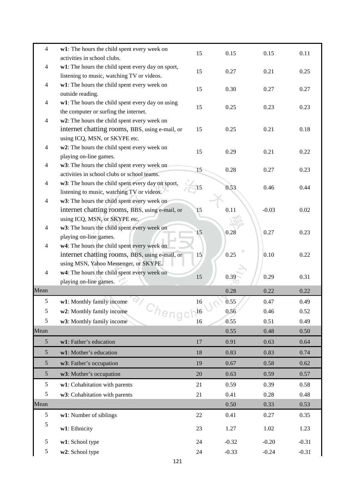| $\overline{4}$ | w1: The hours the child spent every week on                                                   | 15 | 0.15              | 0.15    | 0.11    |
|----------------|-----------------------------------------------------------------------------------------------|----|-------------------|---------|---------|
|                | activities in school clubs.                                                                   |    |                   |         |         |
| $\overline{4}$ | w1: The hours the child spent every day on sport,                                             | 15 | 0.27              | 0.21    | 0.25    |
|                | listening to music, watching TV or videos.                                                    |    |                   |         |         |
| $\overline{4}$ | w1: The hours the child spent every week on                                                   | 15 | 0.30              | 0.27    | 0.27    |
|                | outside reading.                                                                              |    |                   |         |         |
| $\overline{4}$ | w1: The hours the child spent every day on using                                              | 15 | 0.25              | 0.23    | 0.23    |
|                | the computer or surfing the internet.                                                         |    |                   |         |         |
| $\overline{4}$ | w2: The hours the child spent every week on<br>internet chatting rooms, BBS, using e-mail, or | 15 | 0.25              | 0.21    | 0.18    |
|                | using ICQ, MSN, or SKYPE etc.                                                                 |    |                   |         |         |
| $\overline{4}$ | w2: The hours the child spent every week on                                                   |    |                   |         |         |
|                | playing on-line games.                                                                        | 15 | 0.29              | 0.21    | 0.22    |
| $\overline{4}$ | w3: The hours the child spent every week on                                                   |    |                   |         |         |
|                | activities in school clubs or school teams.                                                   | 15 | 0.28              | 0.27    | 0.23    |
| $\overline{4}$ | w3: The hours the child spent every day on sport,                                             | 15 | 0.53              | 0.46    | 0.44    |
|                | listening to music, watching TV or videos.                                                    |    |                   |         |         |
| $\overline{4}$ | w3: The hours the child spent every week on                                                   |    |                   |         |         |
|                | internet chatting rooms, BBS, using e-mail, or                                                | 15 | 0.11              | $-0.03$ | 0.02    |
|                | using ICQ, MSN, or SKYPE etc.                                                                 |    |                   |         |         |
| $\overline{4}$ | w3: The hours the child spent every week on                                                   | 15 | 0.28              | 0.27    | 0.23    |
| $\overline{4}$ | playing on-line games.                                                                        |    |                   |         |         |
|                | w4: The hours the child spent every week on<br>internet chatting rooms, BBS, using e-mail, or | 15 | 0.25              | 0.10    | 0.22    |
|                | using MSN, Yahoo Messenger, or SKYPE.                                                         |    |                   |         |         |
| $\overline{4}$ | w4: The hours the child spent every week on                                                   |    |                   |         |         |
|                | playing on-line games.                                                                        | 15 | 0.39              | 0.29    | 0.31    |
| Mean           |                                                                                               |    | 0.28              | 0.22    | 0.22    |
| 5              | w1: Monthly family income                                                                     | 16 | $\overline{0.55}$ | 0.47    | 0.49    |
| 5              | w2: Monthly family income<br>heng                                                             | 16 | 0.56              | 0.46    | 0.52    |
| 5              | w3: Monthly family income                                                                     | 16 | 0.55              | 0.51    | 0.49    |
| Mean           |                                                                                               |    | 0.55              | 0.48    | 0.50    |
| $\mathfrak{S}$ | w1: Father's education                                                                        | 17 | 0.91              | 0.63    | 0.64    |
| $\mathfrak{S}$ | w1: Mother's education                                                                        | 18 | 0.83              | 0.83    | 0.74    |
| $\mathfrak{S}$ | w3: Father's occupation                                                                       | 19 | 0.67              | 0.58    | 0.62    |
| $\mathfrak{S}$ | w3: Mother's occupation                                                                       | 20 | 0.63              | 0.59    | 0.57    |
| 5              | w1: Cohabitation with parents                                                                 | 21 | 0.59              | 0.39    | 0.58    |
| 5              | w3: Cohabitation with parents                                                                 | 21 | 0.41              | 0.28    | 0.48    |
| Mean           |                                                                                               |    | 0.50              | 0.33    | 0.53    |
| 5              | w1: Number of siblings                                                                        | 22 | 0.41              | 0.27    | 0.35    |
| $\mathfrak{S}$ | w1: Ethnicity                                                                                 | 23 | 1.27              | 1.02    | 1.23    |
|                |                                                                                               |    |                   |         |         |
| 5              | w1: School type                                                                               | 24 | $-0.32$           | $-0.20$ | $-0.31$ |
| 5              | w2: School type                                                                               | 24 | $-0.33$           | $-0.24$ | $-0.31$ |